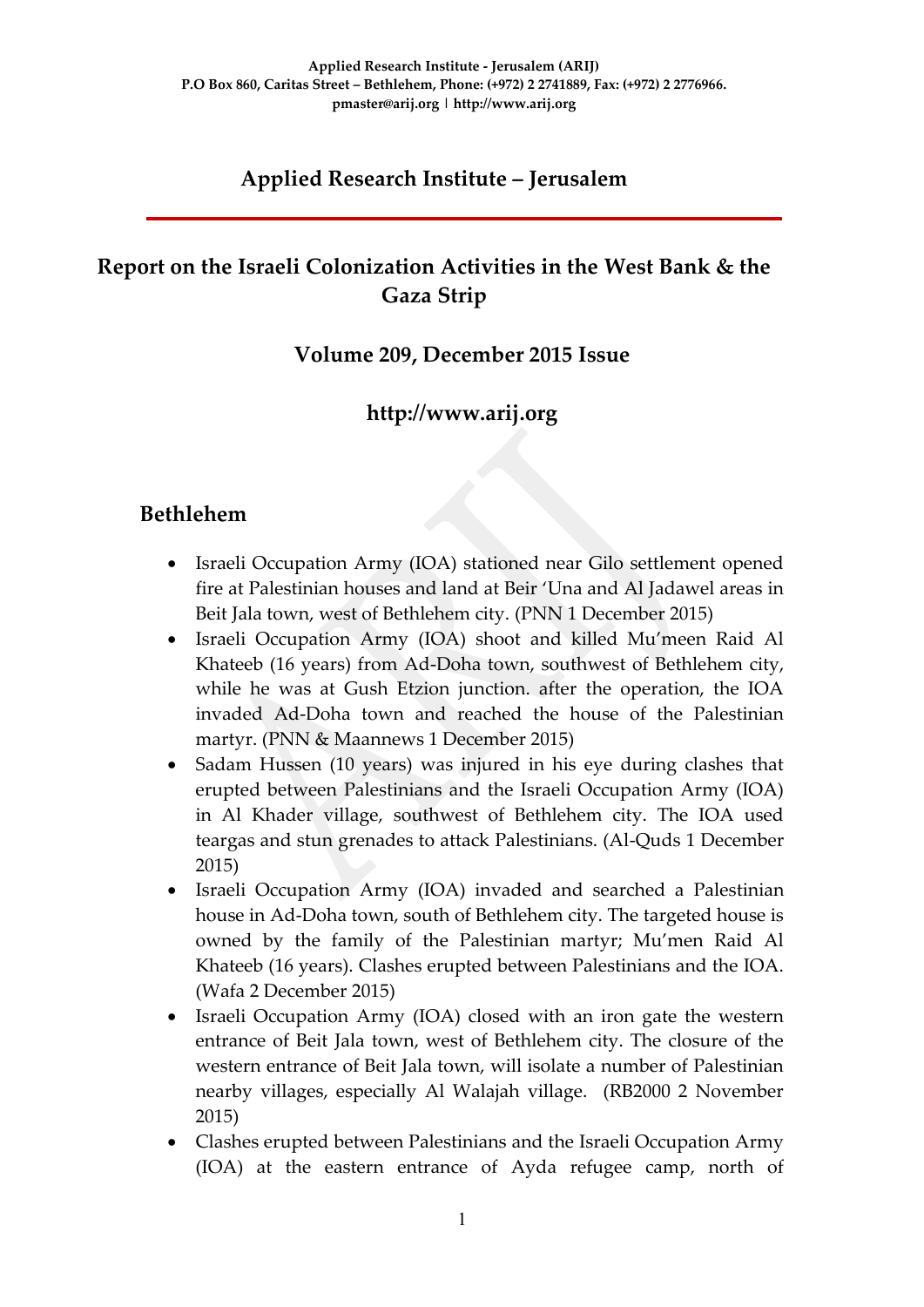# **Applied Research Institute – Jerusalem**

# **Report on the Israeli Colonization Activities in the West Bank & the Gaza Strip**

## **Volume 209, December 2015 Issue**

# **http://www.arij.org**

## **Bethlehem**

- Israeli Occupation Army (IOA) stationed near Gilo settlement opened fire at Palestinian houses and land at Beir 'Una and Al Jadawel areas in Beit Jala town, west of Bethlehem city. (PNN 1 December 2015)
- Israeli Occupation Army (IOA) shoot and killed Mu'meen Raid Al Khateeb (16 years) from Ad-Doha town, southwest of Bethlehem city, while he was at Gush Etzion junction. after the operation, the IOA invaded Ad-Doha town and reached the house of the Palestinian martyr. (PNN & Maannews 1 December 2015)
- Sadam Hussen (10 years) was injured in his eye during clashes that erupted between Palestinians and the Israeli Occupation Army (IOA) in Al Khader village, southwest of Bethlehem city. The IOA used teargas and stun grenades to attack Palestinians. (Al-Quds 1 December 2015)
- Israeli Occupation Army (IOA) invaded and searched a Palestinian house in Ad-Doha town, south of Bethlehem city. The targeted house is owned by the family of the Palestinian martyr; Mu'men Raid Al Khateeb (16 years). Clashes erupted between Palestinians and the IOA. (Wafa 2 December 2015)
- Israeli Occupation Army (IOA) closed with an iron gate the western entrance of Beit Jala town, west of Bethlehem city. The closure of the western entrance of Beit Jala town, will isolate a number of Palestinian nearby villages, especially Al Walajah village. (RB2000 2 November 2015)
- Clashes erupted between Palestinians and the Israeli Occupation Army (IOA) at the eastern entrance of Ayda refugee camp, north of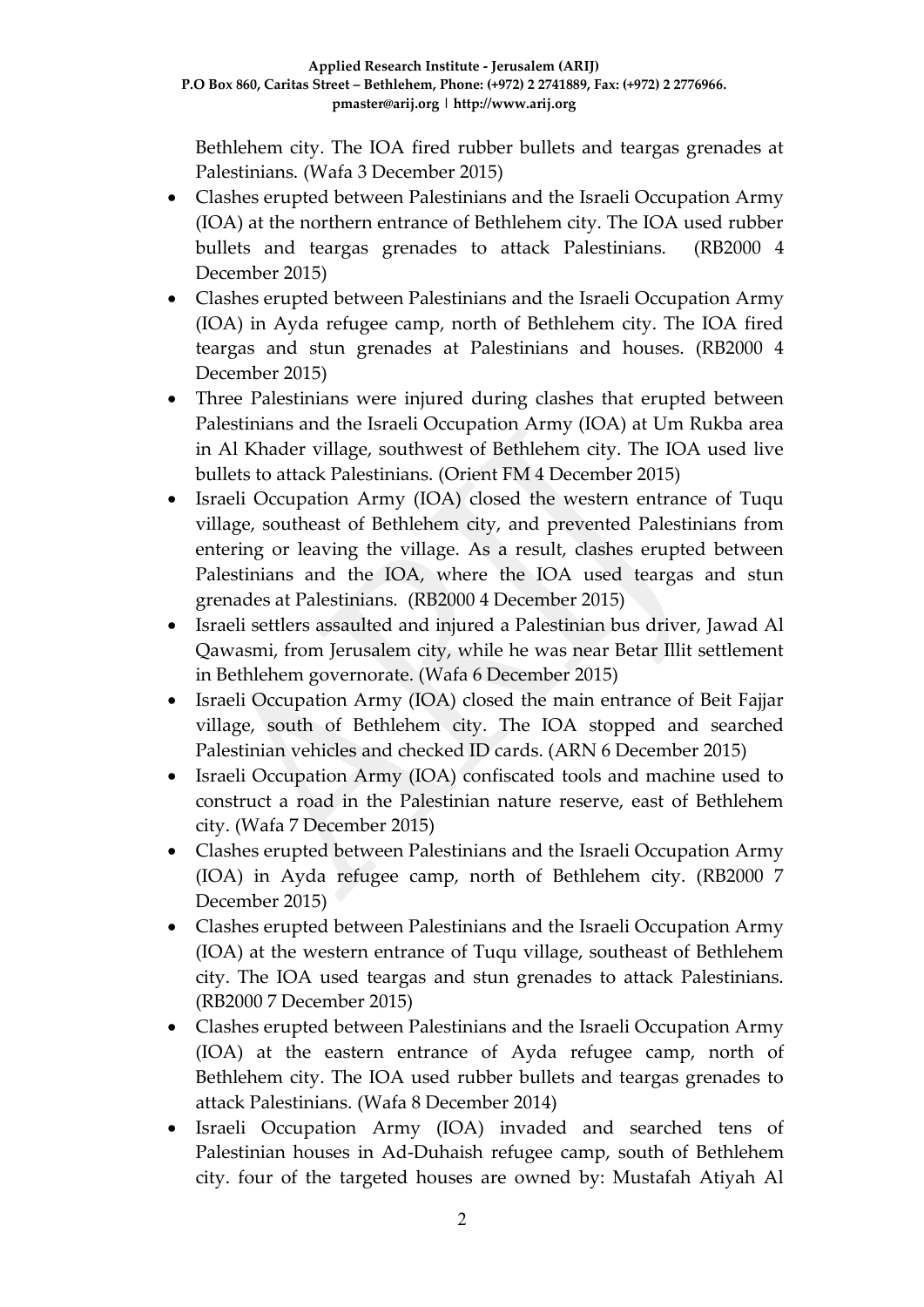Bethlehem city. The IOA fired rubber bullets and teargas grenades at Palestinians. (Wafa 3 December 2015)

- Clashes erupted between Palestinians and the Israeli Occupation Army (IOA) at the northern entrance of Bethlehem city. The IOA used rubber bullets and teargas grenades to attack Palestinians. (RB2000 4 December 2015)
- Clashes erupted between Palestinians and the Israeli Occupation Army (IOA) in Ayda refugee camp, north of Bethlehem city. The IOA fired teargas and stun grenades at Palestinians and houses. (RB2000 4 December 2015)
- Three Palestinians were injured during clashes that erupted between Palestinians and the Israeli Occupation Army (IOA) at Um Rukba area in Al Khader village, southwest of Bethlehem city. The IOA used live bullets to attack Palestinians. (Orient FM 4 December 2015)
- Israeli Occupation Army (IOA) closed the western entrance of Tuqu village, southeast of Bethlehem city, and prevented Palestinians from entering or leaving the village. As a result, clashes erupted between Palestinians and the IOA, where the IOA used teargas and stun grenades at Palestinians. (RB2000 4 December 2015)
- Israeli settlers assaulted and injured a Palestinian bus driver, Jawad Al Qawasmi, from Jerusalem city, while he was near Betar Illit settlement in Bethlehem governorate. (Wafa 6 December 2015)
- Israeli Occupation Army (IOA) closed the main entrance of Beit Fajjar village, south of Bethlehem city. The IOA stopped and searched Palestinian vehicles and checked ID cards. (ARN 6 December 2015)
- Israeli Occupation Army (IOA) confiscated tools and machine used to construct a road in the Palestinian nature reserve, east of Bethlehem city. (Wafa 7 December 2015)
- Clashes erupted between Palestinians and the Israeli Occupation Army (IOA) in Ayda refugee camp, north of Bethlehem city. (RB2000 7 December 2015)
- Clashes erupted between Palestinians and the Israeli Occupation Army (IOA) at the western entrance of Tuqu village, southeast of Bethlehem city. The IOA used teargas and stun grenades to attack Palestinians. (RB2000 7 December 2015)
- Clashes erupted between Palestinians and the Israeli Occupation Army (IOA) at the eastern entrance of Ayda refugee camp, north of Bethlehem city. The IOA used rubber bullets and teargas grenades to attack Palestinians. (Wafa 8 December 2014)
- Israeli Occupation Army (IOA) invaded and searched tens of Palestinian houses in Ad-Duhaish refugee camp, south of Bethlehem city. four of the targeted houses are owned by: Mustafah Atiyah Al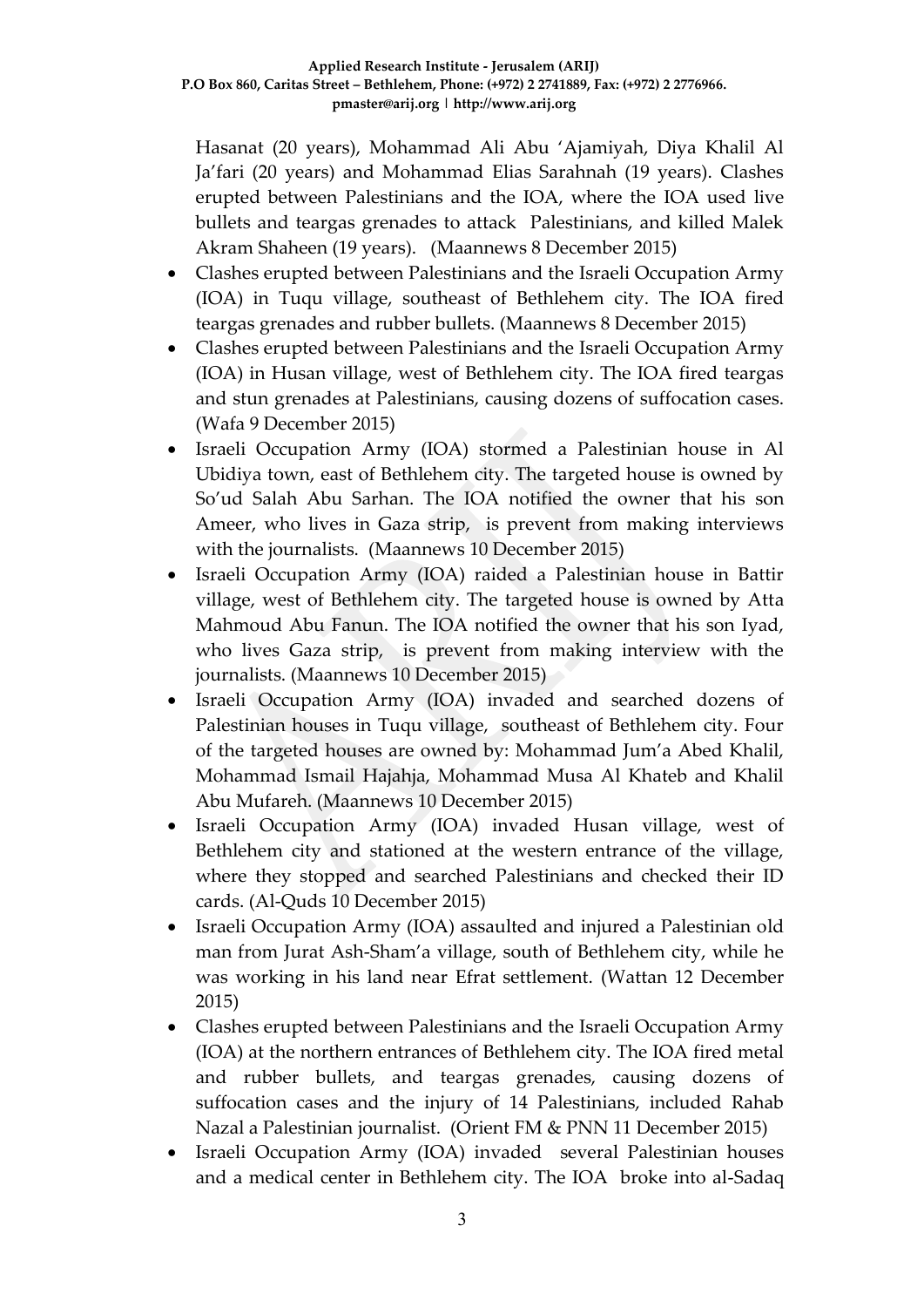Hasanat (20 years), Mohammad Ali Abu 'Ajamiyah, Diya Khalil Al Ja'fari (20 years) and Mohammad Elias Sarahnah (19 years). Clashes erupted between Palestinians and the IOA, where the IOA used live bullets and teargas grenades to attack Palestinians, and killed Malek Akram Shaheen (19 years). (Maannews 8 December 2015)

- Clashes erupted between Palestinians and the Israeli Occupation Army (IOA) in Tuqu village, southeast of Bethlehem city. The IOA fired teargas grenades and rubber bullets. (Maannews 8 December 2015)
- Clashes erupted between Palestinians and the Israeli Occupation Army (IOA) in Husan village, west of Bethlehem city. The IOA fired teargas and stun grenades at Palestinians, causing dozens of suffocation cases. (Wafa 9 December 2015)
- Israeli Occupation Army (IOA) stormed a Palestinian house in Al Ubidiya town, east of Bethlehem city. The targeted house is owned by So'ud Salah Abu Sarhan. The IOA notified the owner that his son Ameer, who lives in Gaza strip, is prevent from making interviews with the journalists. (Maannews 10 December 2015)
- Israeli Occupation Army (IOA) raided a Palestinian house in Battir village, west of Bethlehem city. The targeted house is owned by Atta Mahmoud Abu Fanun. The IOA notified the owner that his son Iyad, who lives Gaza strip, is prevent from making interview with the journalists. (Maannews 10 December 2015)
- Israeli Occupation Army (IOA) invaded and searched dozens of Palestinian houses in Tuqu village, southeast of Bethlehem city. Four of the targeted houses are owned by: Mohammad Jum'a Abed Khalil, Mohammad Ismail Hajahja, Mohammad Musa Al Khateb and Khalil Abu Mufareh. (Maannews 10 December 2015)
- Israeli Occupation Army (IOA) invaded Husan village, west of Bethlehem city and stationed at the western entrance of the village, where they stopped and searched Palestinians and checked their ID cards. (Al-Quds 10 December 2015)
- Israeli Occupation Army (IOA) assaulted and injured a Palestinian old man from Jurat Ash-Sham'a village, south of Bethlehem city, while he was working in his land near Efrat settlement. (Wattan 12 December 2015)
- Clashes erupted between Palestinians and the Israeli Occupation Army (IOA) at the northern entrances of Bethlehem city. The IOA fired metal and rubber bullets, and teargas grenades, causing dozens of suffocation cases and the injury of 14 Palestinians, included Rahab Nazal a Palestinian journalist. (Orient FM & PNN 11 December 2015)
- Israeli Occupation Army (IOA) invaded several Palestinian houses and a medical center in Bethlehem city. The IOA broke into al-Sadaq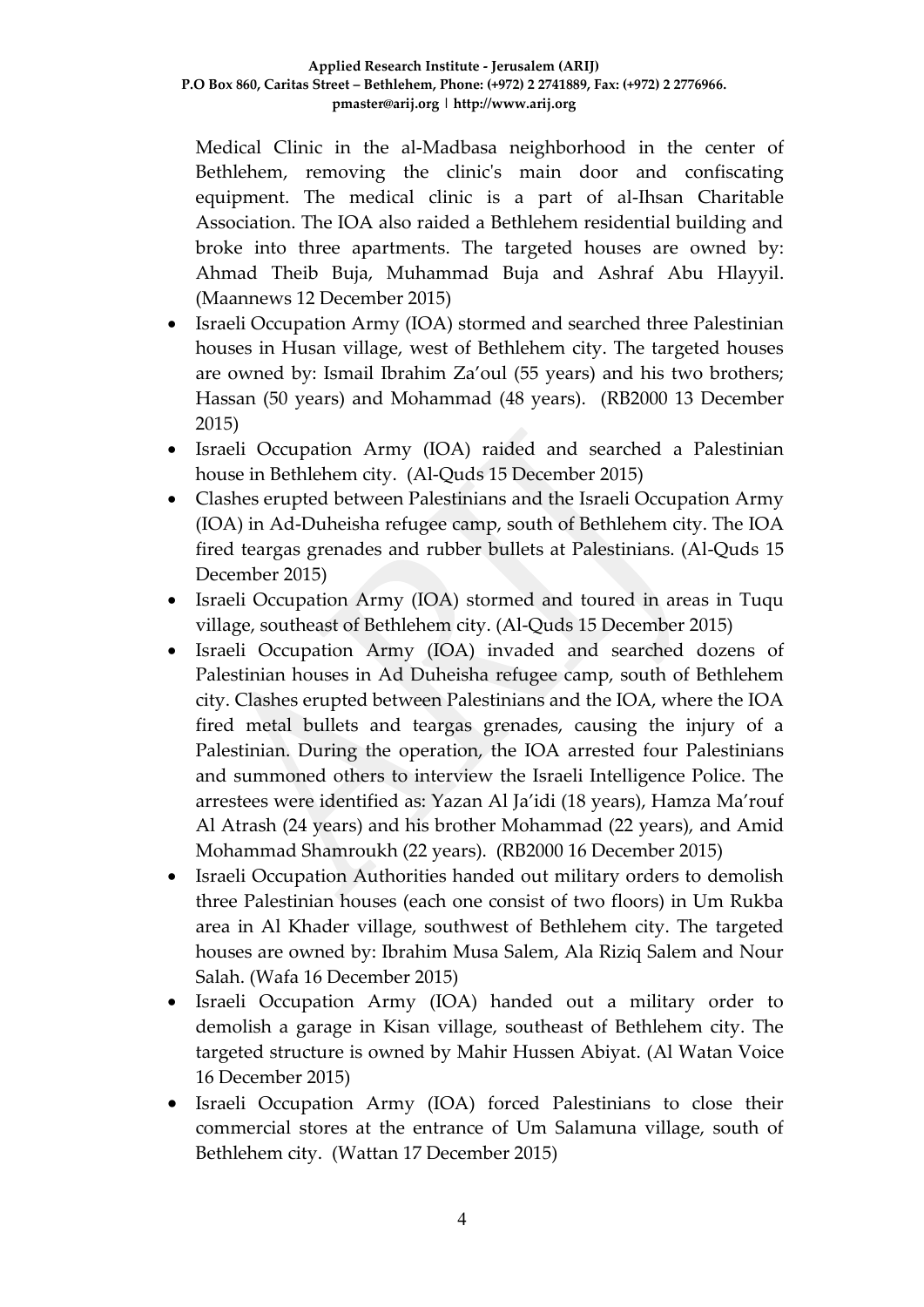Medical Clinic in the al-Madbasa neighborhood in the center of Bethlehem, removing the clinic's main door and confiscating equipment. The medical clinic is a part of al-Ihsan Charitable Association. The IOA also raided a Bethlehem residential building and broke into three apartments. The targeted houses are owned by: Ahmad Theib Buja, Muhammad Buja and Ashraf Abu Hlayyil. (Maannews 12 December 2015)

- Israeli Occupation Army (IOA) stormed and searched three Palestinian houses in Husan village, west of Bethlehem city. The targeted houses are owned by: Ismail Ibrahim Za'oul (55 years) and his two brothers; Hassan (50 years) and Mohammad (48 years). (RB2000 13 December 2015)
- Israeli Occupation Army (IOA) raided and searched a Palestinian house in Bethlehem city. (Al-Quds 15 December 2015)
- Clashes erupted between Palestinians and the Israeli Occupation Army (IOA) in Ad-Duheisha refugee camp, south of Bethlehem city. The IOA fired teargas grenades and rubber bullets at Palestinians. (Al-Quds 15 December 2015)
- Israeli Occupation Army (IOA) stormed and toured in areas in Tuqu village, southeast of Bethlehem city. (Al-Quds 15 December 2015)
- Israeli Occupation Army (IOA) invaded and searched dozens of Palestinian houses in Ad Duheisha refugee camp, south of Bethlehem city. Clashes erupted between Palestinians and the IOA, where the IOA fired metal bullets and teargas grenades, causing the injury of a Palestinian. During the operation, the IOA arrested four Palestinians and summoned others to interview the Israeli Intelligence Police. The arrestees were identified as: Yazan Al Ja'idi (18 years), Hamza Ma'rouf Al Atrash (24 years) and his brother Mohammad (22 years), and Amid Mohammad Shamroukh (22 years). (RB2000 16 December 2015)
- Israeli Occupation Authorities handed out military orders to demolish three Palestinian houses (each one consist of two floors) in Um Rukba area in Al Khader village, southwest of Bethlehem city. The targeted houses are owned by: Ibrahim Musa Salem, Ala Riziq Salem and Nour Salah. (Wafa 16 December 2015)
- Israeli Occupation Army (IOA) handed out a military order to demolish a garage in Kisan village, southeast of Bethlehem city. The targeted structure is owned by Mahir Hussen Abiyat. (Al Watan Voice 16 December 2015)
- Israeli Occupation Army (IOA) forced Palestinians to close their commercial stores at the entrance of Um Salamuna village, south of Bethlehem city. (Wattan 17 December 2015)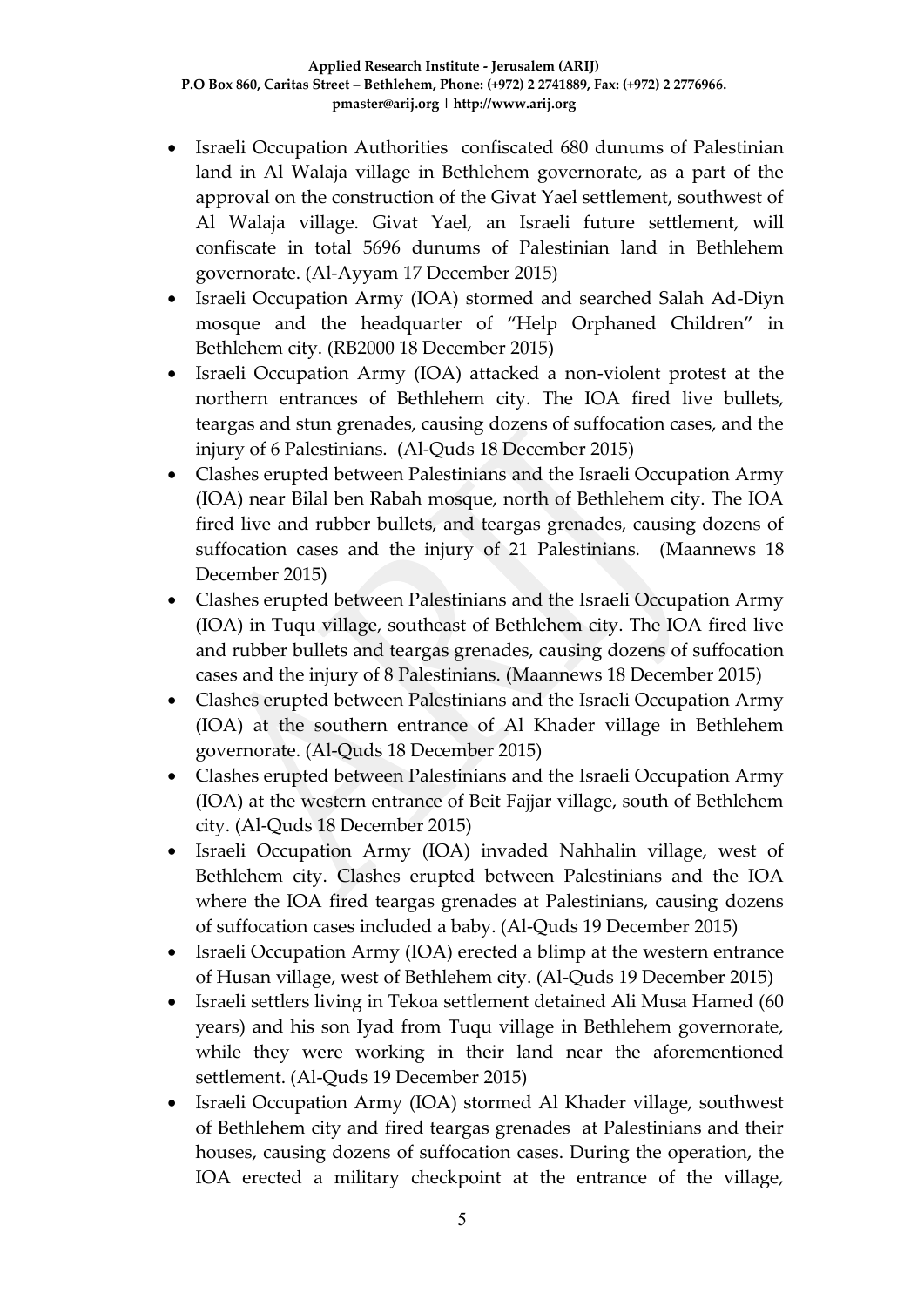- Israeli Occupation Authorities confiscated 680 dunums of Palestinian land in Al Walaja village in Bethlehem governorate, as a part of the approval on the construction of the Givat Yael settlement, southwest of Al Walaja village. Givat Yael, an Israeli future settlement, will confiscate in total 5696 dunums of Palestinian land in Bethlehem governorate. (Al-Ayyam 17 December 2015)
- Israeli Occupation Army (IOA) stormed and searched Salah Ad-Diyn mosque and the headquarter of "Help Orphaned Children" in Bethlehem city. (RB2000 18 December 2015)
- Israeli Occupation Army (IOA) attacked a non-violent protest at the northern entrances of Bethlehem city. The IOA fired live bullets, teargas and stun grenades, causing dozens of suffocation cases, and the injury of 6 Palestinians. (Al-Quds 18 December 2015)
- Clashes erupted between Palestinians and the Israeli Occupation Army (IOA) near Bilal ben Rabah mosque, north of Bethlehem city. The IOA fired live and rubber bullets, and teargas grenades, causing dozens of suffocation cases and the injury of 21 Palestinians. (Maannews 18 December 2015)
- Clashes erupted between Palestinians and the Israeli Occupation Army (IOA) in Tuqu village, southeast of Bethlehem city. The IOA fired live and rubber bullets and teargas grenades, causing dozens of suffocation cases and the injury of 8 Palestinians. (Maannews 18 December 2015)
- Clashes erupted between Palestinians and the Israeli Occupation Army (IOA) at the southern entrance of Al Khader village in Bethlehem governorate. (Al-Quds 18 December 2015)
- Clashes erupted between Palestinians and the Israeli Occupation Army (IOA) at the western entrance of Beit Fajjar village, south of Bethlehem city. (Al-Quds 18 December 2015)
- Israeli Occupation Army (IOA) invaded Nahhalin village, west of Bethlehem city. Clashes erupted between Palestinians and the IOA where the IOA fired teargas grenades at Palestinians, causing dozens of suffocation cases included a baby. (Al-Quds 19 December 2015)
- Israeli Occupation Army (IOA) erected a blimp at the western entrance of Husan village, west of Bethlehem city. (Al-Quds 19 December 2015)
- Israeli settlers living in Tekoa settlement detained Ali Musa Hamed (60 years) and his son Iyad from Tuqu village in Bethlehem governorate, while they were working in their land near the aforementioned settlement. (Al-Quds 19 December 2015)
- Israeli Occupation Army (IOA) stormed Al Khader village, southwest of Bethlehem city and fired teargas grenades at Palestinians and their houses, causing dozens of suffocation cases. During the operation, the IOA erected a military checkpoint at the entrance of the village,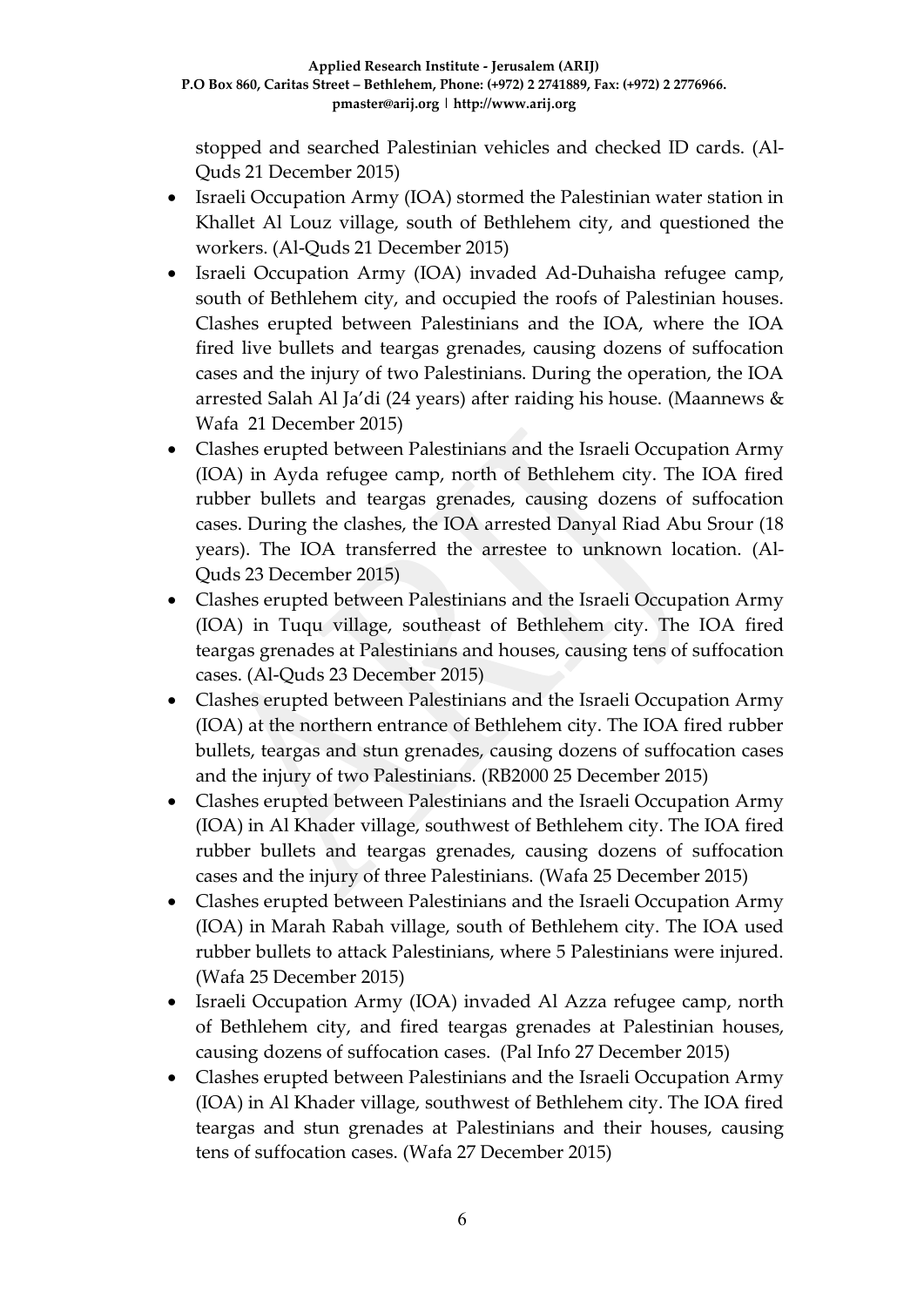stopped and searched Palestinian vehicles and checked ID cards. (Al-Quds 21 December 2015)

- Israeli Occupation Army (IOA) stormed the Palestinian water station in Khallet Al Louz village, south of Bethlehem city, and questioned the workers. (Al-Quds 21 December 2015)
- Israeli Occupation Army (IOA) invaded Ad-Duhaisha refugee camp, south of Bethlehem city, and occupied the roofs of Palestinian houses. Clashes erupted between Palestinians and the IOA, where the IOA fired live bullets and teargas grenades, causing dozens of suffocation cases and the injury of two Palestinians. During the operation, the IOA arrested Salah Al Ja'di (24 years) after raiding his house. (Maannews & Wafa 21 December 2015)
- Clashes erupted between Palestinians and the Israeli Occupation Army (IOA) in Ayda refugee camp, north of Bethlehem city. The IOA fired rubber bullets and teargas grenades, causing dozens of suffocation cases. During the clashes, the IOA arrested Danyal Riad Abu Srour (18 years). The IOA transferred the arrestee to unknown location. (Al-Quds 23 December 2015)
- Clashes erupted between Palestinians and the Israeli Occupation Army (IOA) in Tuqu village, southeast of Bethlehem city. The IOA fired teargas grenades at Palestinians and houses, causing tens of suffocation cases. (Al-Quds 23 December 2015)
- Clashes erupted between Palestinians and the Israeli Occupation Army (IOA) at the northern entrance of Bethlehem city. The IOA fired rubber bullets, teargas and stun grenades, causing dozens of suffocation cases and the injury of two Palestinians. (RB2000 25 December 2015)
- Clashes erupted between Palestinians and the Israeli Occupation Army (IOA) in Al Khader village, southwest of Bethlehem city. The IOA fired rubber bullets and teargas grenades, causing dozens of suffocation cases and the injury of three Palestinians. (Wafa 25 December 2015)
- Clashes erupted between Palestinians and the Israeli Occupation Army (IOA) in Marah Rabah village, south of Bethlehem city. The IOA used rubber bullets to attack Palestinians, where 5 Palestinians were injured. (Wafa 25 December 2015)
- Israeli Occupation Army (IOA) invaded Al Azza refugee camp, north of Bethlehem city, and fired teargas grenades at Palestinian houses, causing dozens of suffocation cases. (Pal Info 27 December 2015)
- Clashes erupted between Palestinians and the Israeli Occupation Army (IOA) in Al Khader village, southwest of Bethlehem city. The IOA fired teargas and stun grenades at Palestinians and their houses, causing tens of suffocation cases. (Wafa 27 December 2015)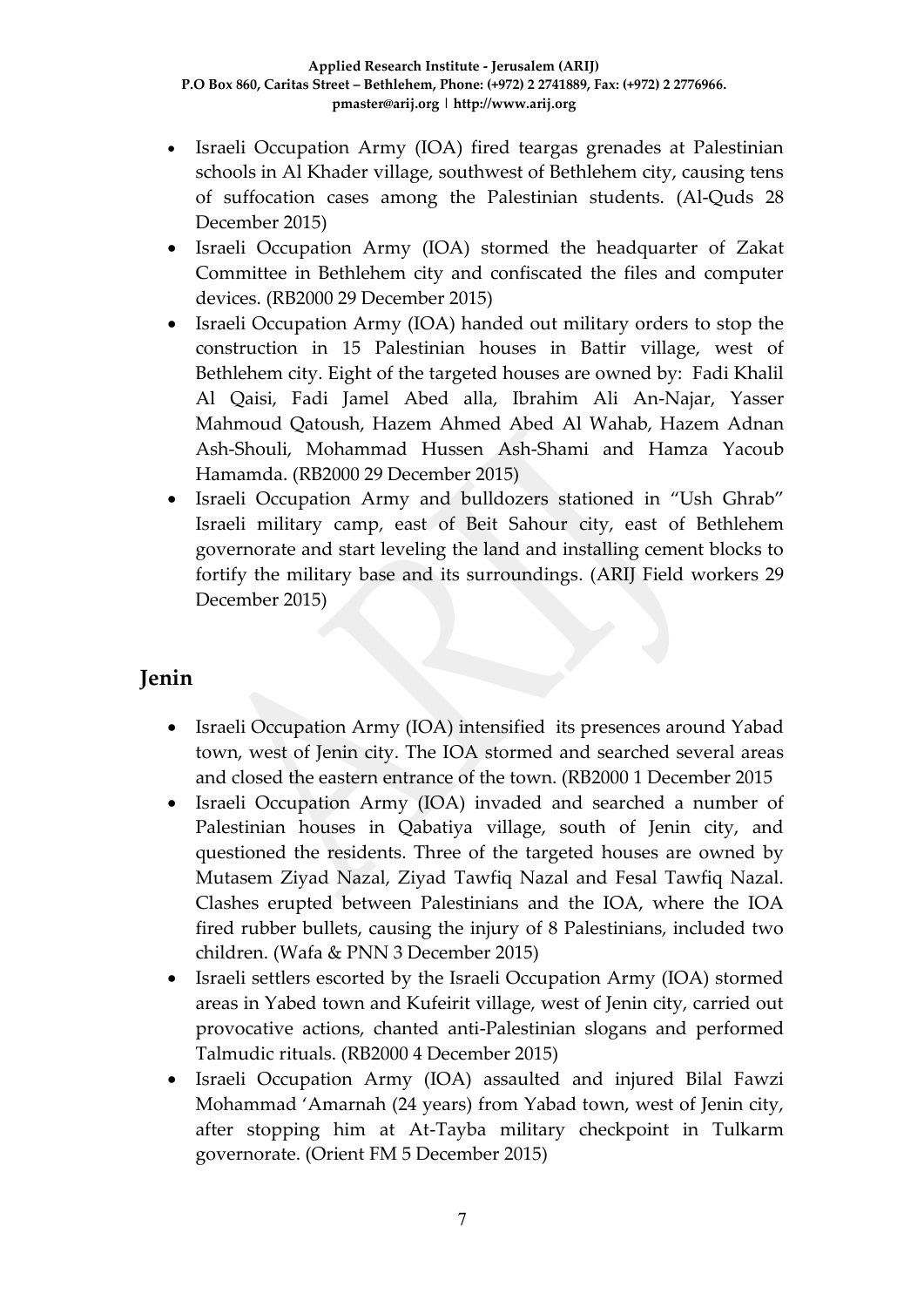- Israeli Occupation Army (IOA) fired teargas grenades at Palestinian schools in Al Khader village, southwest of Bethlehem city, causing tens of suffocation cases among the Palestinian students. (Al-Quds 28 December 2015)
- Israeli Occupation Army (IOA) stormed the headquarter of Zakat Committee in Bethlehem city and confiscated the files and computer devices. (RB2000 29 December 2015)
- Israeli Occupation Army (IOA) handed out military orders to stop the construction in 15 Palestinian houses in Battir village, west of Bethlehem city. Eight of the targeted houses are owned by: Fadi Khalil Al Qaisi, Fadi Jamel Abed alla, Ibrahim Ali An-Najar, Yasser Mahmoud Qatoush, Hazem Ahmed Abed Al Wahab, Hazem Adnan Ash-Shouli, Mohammad Hussen Ash-Shami and Hamza Yacoub Hamamda. (RB2000 29 December 2015)
- Israeli Occupation Army and bulldozers stationed in "Ush Ghrab" Israeli military camp, east of Beit Sahour city, east of Bethlehem governorate and start leveling the land and installing cement blocks to fortify the military base and its surroundings. (ARIJ Field workers 29 December 2015)

## **Jenin**

- Israeli Occupation Army (IOA) intensified its presences around Yabad town, west of Jenin city. The IOA stormed and searched several areas and closed the eastern entrance of the town. (RB2000 1 December 2015
- Israeli Occupation Army (IOA) invaded and searched a number of Palestinian houses in Qabatiya village, south of Jenin city, and questioned the residents. Three of the targeted houses are owned by Mutasem Ziyad Nazal, Ziyad Tawfiq Nazal and Fesal Tawfiq Nazal. Clashes erupted between Palestinians and the IOA, where the IOA fired rubber bullets, causing the injury of 8 Palestinians, included two children. (Wafa & PNN 3 December 2015)
- Israeli settlers escorted by the Israeli Occupation Army (IOA) stormed areas in Yabed town and Kufeirit village, west of Jenin city, carried out provocative actions, chanted anti-Palestinian slogans and performed Talmudic rituals. (RB2000 4 December 2015)
- Israeli Occupation Army (IOA) assaulted and injured Bilal Fawzi Mohammad 'Amarnah (24 years) from Yabad town, west of Jenin city, after stopping him at At-Tayba military checkpoint in Tulkarm governorate. (Orient FM 5 December 2015)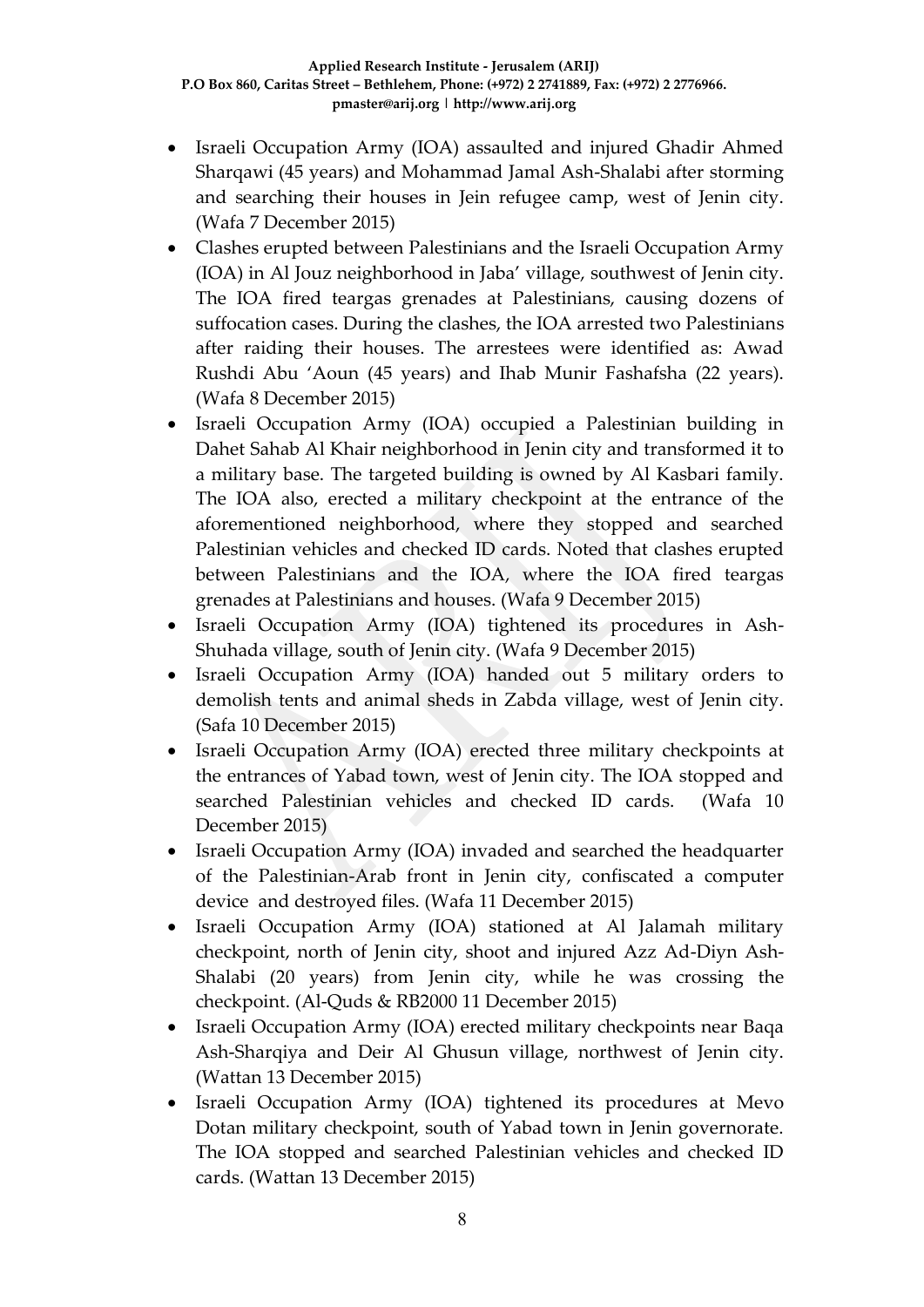- Israeli Occupation Army (IOA) assaulted and injured Ghadir Ahmed Sharqawi (45 years) and Mohammad Jamal Ash-Shalabi after storming and searching their houses in Jein refugee camp, west of Jenin city. (Wafa 7 December 2015)
- Clashes erupted between Palestinians and the Israeli Occupation Army (IOA) in Al Jouz neighborhood in Jaba' village, southwest of Jenin city. The IOA fired teargas grenades at Palestinians, causing dozens of suffocation cases. During the clashes, the IOA arrested two Palestinians after raiding their houses. The arrestees were identified as: Awad Rushdi Abu 'Aoun (45 years) and Ihab Munir Fashafsha (22 years). (Wafa 8 December 2015)
- Israeli Occupation Army (IOA) occupied a Palestinian building in Dahet Sahab Al Khair neighborhood in Jenin city and transformed it to a military base. The targeted building is owned by Al Kasbari family. The IOA also, erected a military checkpoint at the entrance of the aforementioned neighborhood, where they stopped and searched Palestinian vehicles and checked ID cards. Noted that clashes erupted between Palestinians and the IOA, where the IOA fired teargas grenades at Palestinians and houses. (Wafa 9 December 2015)
- Israeli Occupation Army (IOA) tightened its procedures in Ash-Shuhada village, south of Jenin city. (Wafa 9 December 2015)
- Israeli Occupation Army (IOA) handed out 5 military orders to demolish tents and animal sheds in Zabda village, west of Jenin city. (Safa 10 December 2015)
- Israeli Occupation Army (IOA) erected three military checkpoints at the entrances of Yabad town, west of Jenin city. The IOA stopped and searched Palestinian vehicles and checked ID cards. (Wafa 10 December 2015)
- Israeli Occupation Army (IOA) invaded and searched the headquarter of the Palestinian-Arab front in Jenin city, confiscated a computer device and destroyed files. (Wafa 11 December 2015)
- Israeli Occupation Army (IOA) stationed at Al Jalamah military checkpoint, north of Jenin city, shoot and injured Azz Ad-Diyn Ash-Shalabi (20 years) from Jenin city, while he was crossing the checkpoint. (Al-Quds & RB2000 11 December 2015)
- Israeli Occupation Army (IOA) erected military checkpoints near Baqa Ash-Sharqiya and Deir Al Ghusun village, northwest of Jenin city. (Wattan 13 December 2015)
- Israeli Occupation Army (IOA) tightened its procedures at Mevo Dotan military checkpoint, south of Yabad town in Jenin governorate. The IOA stopped and searched Palestinian vehicles and checked ID cards. (Wattan 13 December 2015)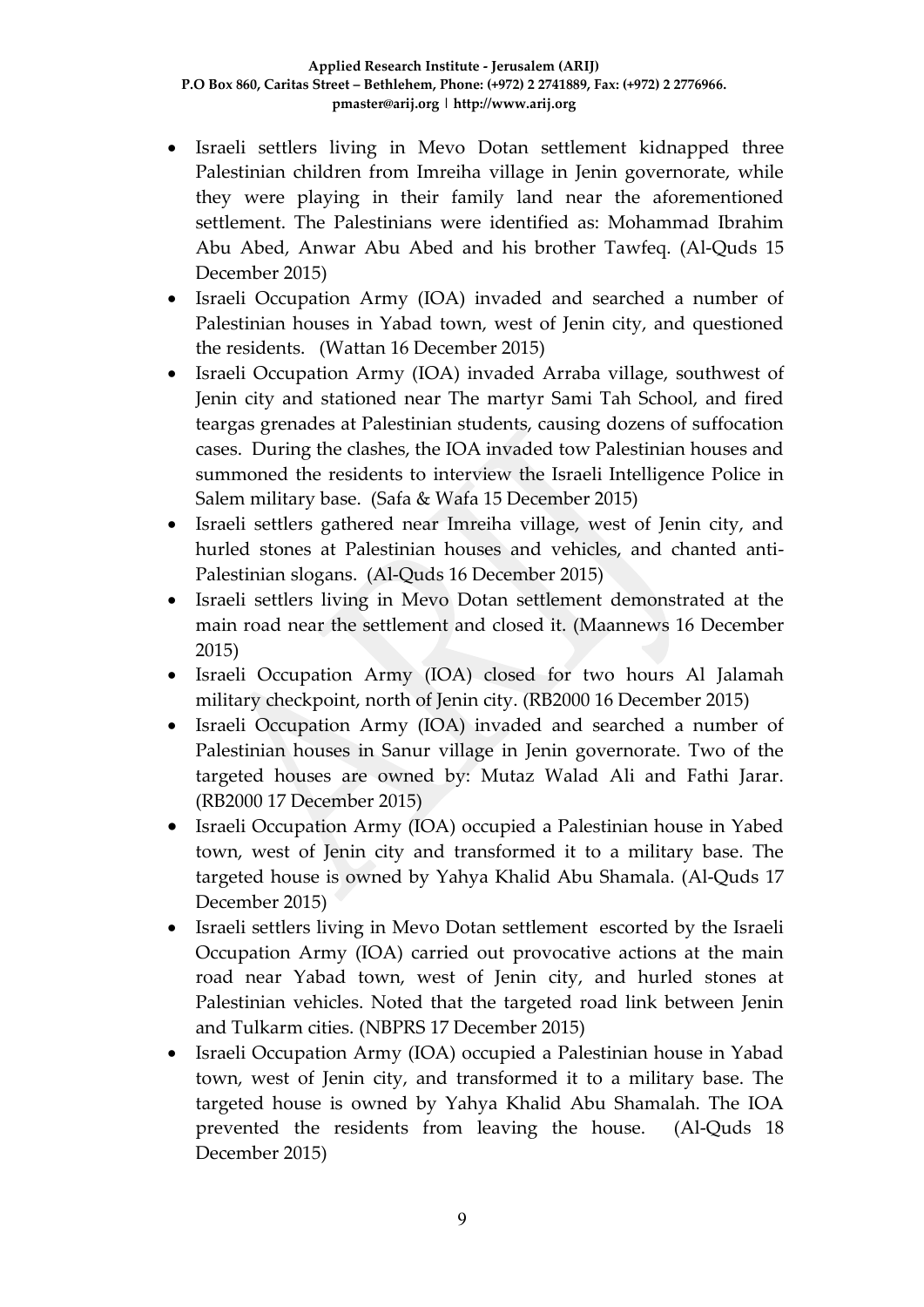- Israeli settlers living in Mevo Dotan settlement kidnapped three Palestinian children from Imreiha village in Jenin governorate, while they were playing in their family land near the aforementioned settlement. The Palestinians were identified as: Mohammad Ibrahim Abu Abed, Anwar Abu Abed and his brother Tawfeq. (Al-Quds 15 December 2015)
- Israeli Occupation Army (IOA) invaded and searched a number of Palestinian houses in Yabad town, west of Jenin city, and questioned the residents. (Wattan 16 December 2015)
- Israeli Occupation Army (IOA) invaded Arraba village, southwest of Jenin city and stationed near The martyr Sami Tah School, and fired teargas grenades at Palestinian students, causing dozens of suffocation cases. During the clashes, the IOA invaded tow Palestinian houses and summoned the residents to interview the Israeli Intelligence Police in Salem military base. (Safa & Wafa 15 December 2015)
- Israeli settlers gathered near Imreiha village, west of Jenin city, and hurled stones at Palestinian houses and vehicles, and chanted anti-Palestinian slogans. (Al-Quds 16 December 2015)
- Israeli settlers living in Mevo Dotan settlement demonstrated at the main road near the settlement and closed it. (Maannews 16 December 2015)
- Israeli Occupation Army (IOA) closed for two hours Al Jalamah military checkpoint, north of Jenin city. (RB2000 16 December 2015)
- Israeli Occupation Army (IOA) invaded and searched a number of Palestinian houses in Sanur village in Jenin governorate. Two of the targeted houses are owned by: Mutaz Walad Ali and Fathi Jarar. (RB2000 17 December 2015)
- Israeli Occupation Army (IOA) occupied a Palestinian house in Yabed town, west of Jenin city and transformed it to a military base. The targeted house is owned by Yahya Khalid Abu Shamala. (Al-Quds 17 December 2015)
- Israeli settlers living in Mevo Dotan settlement escorted by the Israeli Occupation Army (IOA) carried out provocative actions at the main road near Yabad town, west of Jenin city, and hurled stones at Palestinian vehicles. Noted that the targeted road link between Jenin and Tulkarm cities. (NBPRS 17 December 2015)
- Israeli Occupation Army (IOA) occupied a Palestinian house in Yabad town, west of Jenin city, and transformed it to a military base. The targeted house is owned by Yahya Khalid Abu Shamalah. The IOA prevented the residents from leaving the house. (Al-Quds 18 December 2015)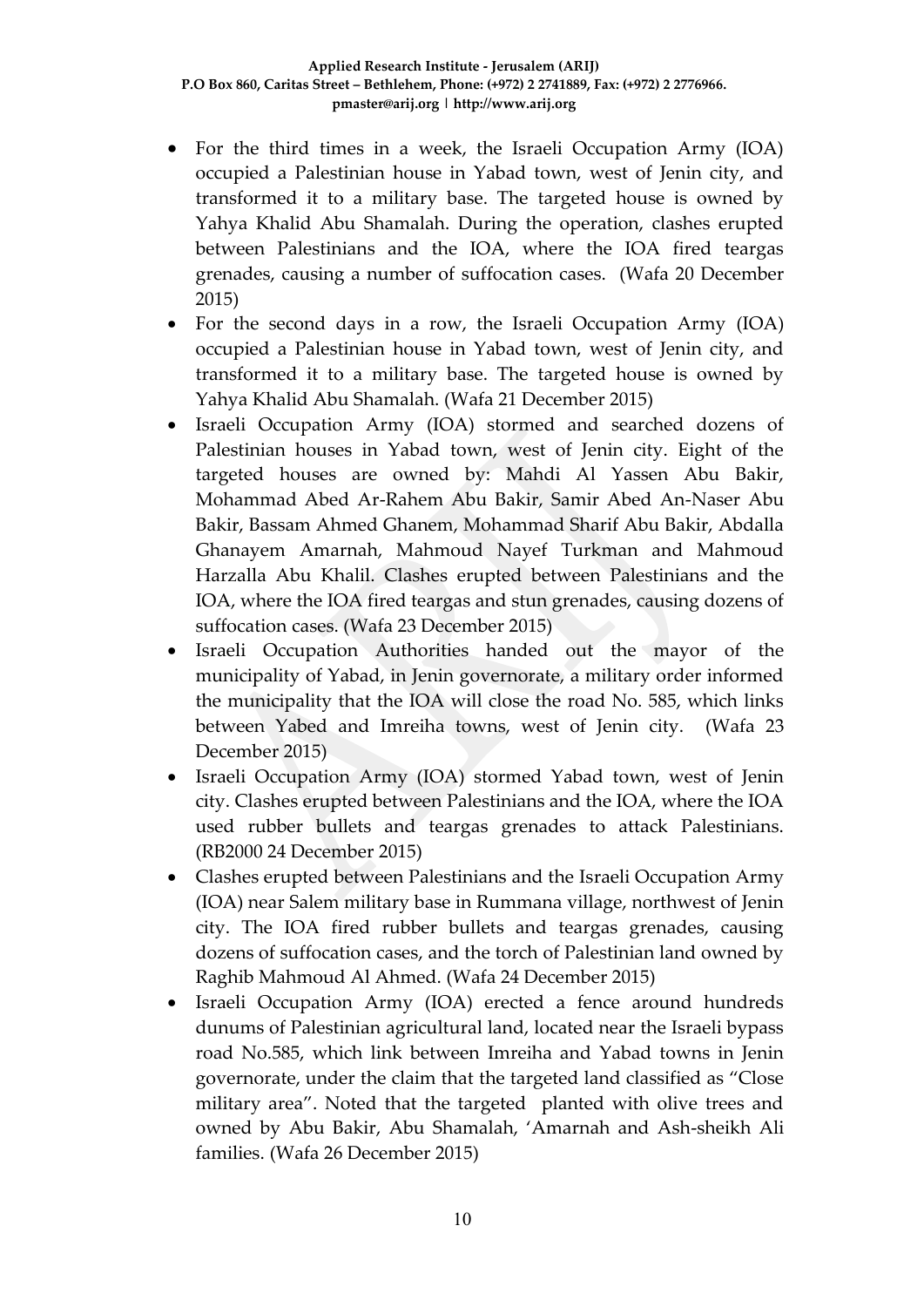- For the third times in a week, the Israeli Occupation Army (IOA) occupied a Palestinian house in Yabad town, west of Jenin city, and transformed it to a military base. The targeted house is owned by Yahya Khalid Abu Shamalah. During the operation, clashes erupted between Palestinians and the IOA, where the IOA fired teargas grenades, causing a number of suffocation cases. (Wafa 20 December 2015)
- For the second days in a row, the Israeli Occupation Army (IOA) occupied a Palestinian house in Yabad town, west of Jenin city, and transformed it to a military base. The targeted house is owned by Yahya Khalid Abu Shamalah. (Wafa 21 December 2015)
- Israeli Occupation Army (IOA) stormed and searched dozens of Palestinian houses in Yabad town, west of Jenin city. Eight of the targeted houses are owned by: Mahdi Al Yassen Abu Bakir, Mohammad Abed Ar-Rahem Abu Bakir, Samir Abed An-Naser Abu Bakir, Bassam Ahmed Ghanem, Mohammad Sharif Abu Bakir, Abdalla Ghanayem Amarnah, Mahmoud Nayef Turkman and Mahmoud Harzalla Abu Khalil. Clashes erupted between Palestinians and the IOA, where the IOA fired teargas and stun grenades, causing dozens of suffocation cases. (Wafa 23 December 2015)
- Israeli Occupation Authorities handed out the mayor of the municipality of Yabad, in Jenin governorate, a military order informed the municipality that the IOA will close the road No. 585, which links between Yabed and Imreiha towns, west of Jenin city. (Wafa 23 December 2015)
- Israeli Occupation Army (IOA) stormed Yabad town, west of Jenin city. Clashes erupted between Palestinians and the IOA, where the IOA used rubber bullets and teargas grenades to attack Palestinians. (RB2000 24 December 2015)
- Clashes erupted between Palestinians and the Israeli Occupation Army (IOA) near Salem military base in Rummana village, northwest of Jenin city. The IOA fired rubber bullets and teargas grenades, causing dozens of suffocation cases, and the torch of Palestinian land owned by Raghib Mahmoud Al Ahmed. (Wafa 24 December 2015)
- Israeli Occupation Army (IOA) erected a fence around hundreds dunums of Palestinian agricultural land, located near the Israeli bypass road No.585, which link between Imreiha and Yabad towns in Jenin governorate, under the claim that the targeted land classified as "Close military area". Noted that the targeted planted with olive trees and owned by Abu Bakir, Abu Shamalah, 'Amarnah and Ash-sheikh Ali families. (Wafa 26 December 2015)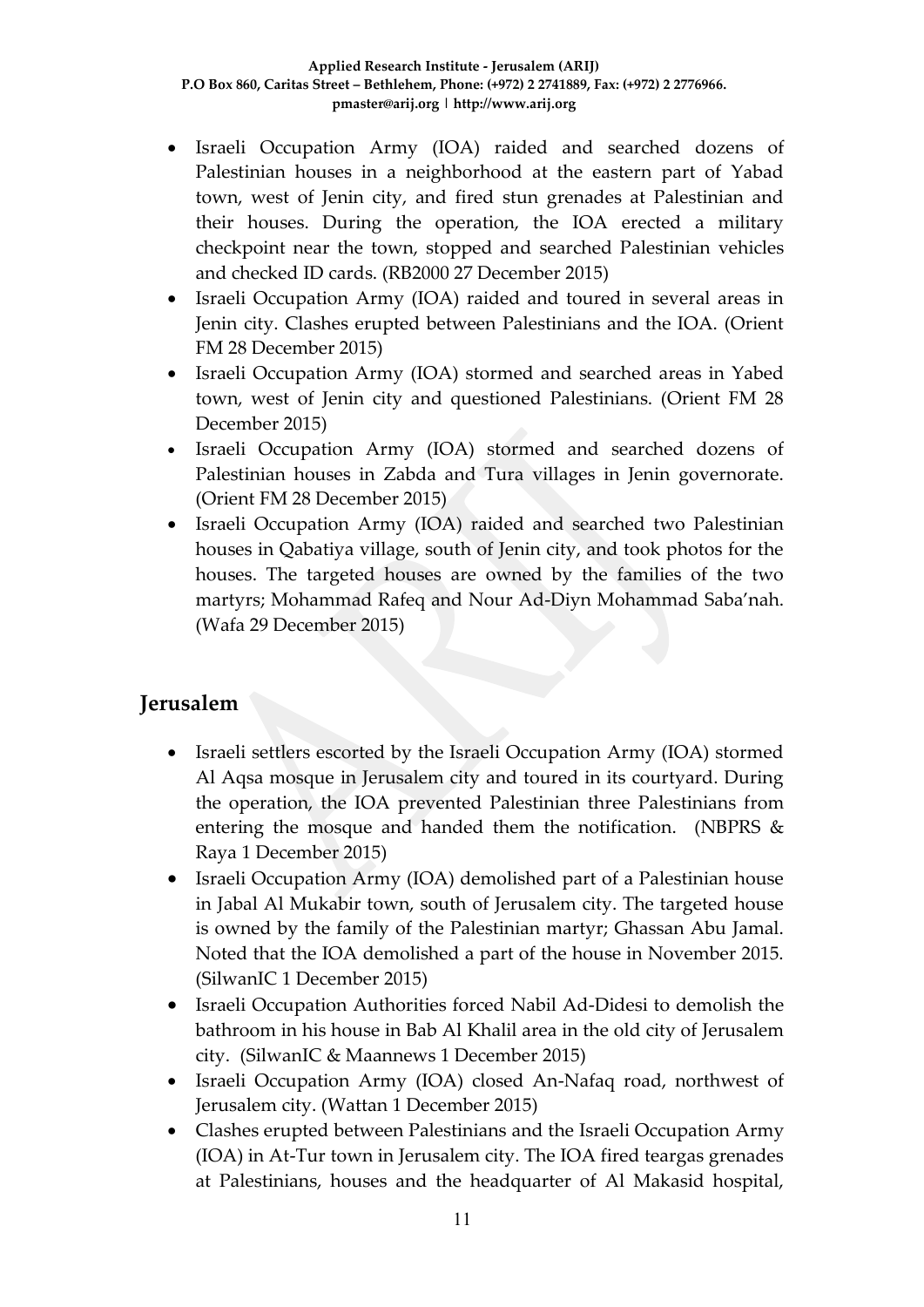- Israeli Occupation Army (IOA) raided and searched dozens of Palestinian houses in a neighborhood at the eastern part of Yabad town, west of Jenin city, and fired stun grenades at Palestinian and their houses. During the operation, the IOA erected a military checkpoint near the town, stopped and searched Palestinian vehicles and checked ID cards. (RB2000 27 December 2015)
- Israeli Occupation Army (IOA) raided and toured in several areas in Jenin city. Clashes erupted between Palestinians and the IOA. (Orient FM 28 December 2015)
- Israeli Occupation Army (IOA) stormed and searched areas in Yabed town, west of Jenin city and questioned Palestinians. (Orient FM 28 December 2015)
- Israeli Occupation Army (IOA) stormed and searched dozens of Palestinian houses in Zabda and Tura villages in Jenin governorate. (Orient FM 28 December 2015)
- Israeli Occupation Army (IOA) raided and searched two Palestinian houses in Qabatiya village, south of Jenin city, and took photos for the houses. The targeted houses are owned by the families of the two martyrs; Mohammad Rafeq and Nour Ad-Diyn Mohammad Saba'nah. (Wafa 29 December 2015)

# **Jerusalem**

- Israeli settlers escorted by the Israeli Occupation Army (IOA) stormed Al Aqsa mosque in Jerusalem city and toured in its courtyard. During the operation, the IOA prevented Palestinian three Palestinians from entering the mosque and handed them the notification. (NBPRS & Raya 1 December 2015)
- Israeli Occupation Army (IOA) demolished part of a Palestinian house in Jabal Al Mukabir town, south of Jerusalem city. The targeted house is owned by the family of the Palestinian martyr; Ghassan Abu Jamal. Noted that the IOA demolished a part of the house in November 2015. (SilwanIC 1 December 2015)
- Israeli Occupation Authorities forced Nabil Ad-Didesi to demolish the bathroom in his house in Bab Al Khalil area in the old city of Jerusalem city. (SilwanIC & Maannews 1 December 2015)
- Israeli Occupation Army (IOA) closed An-Nafaq road, northwest of Jerusalem city. (Wattan 1 December 2015)
- Clashes erupted between Palestinians and the Israeli Occupation Army (IOA) in At-Tur town in Jerusalem city. The IOA fired teargas grenades at Palestinians, houses and the headquarter of Al Makasid hospital,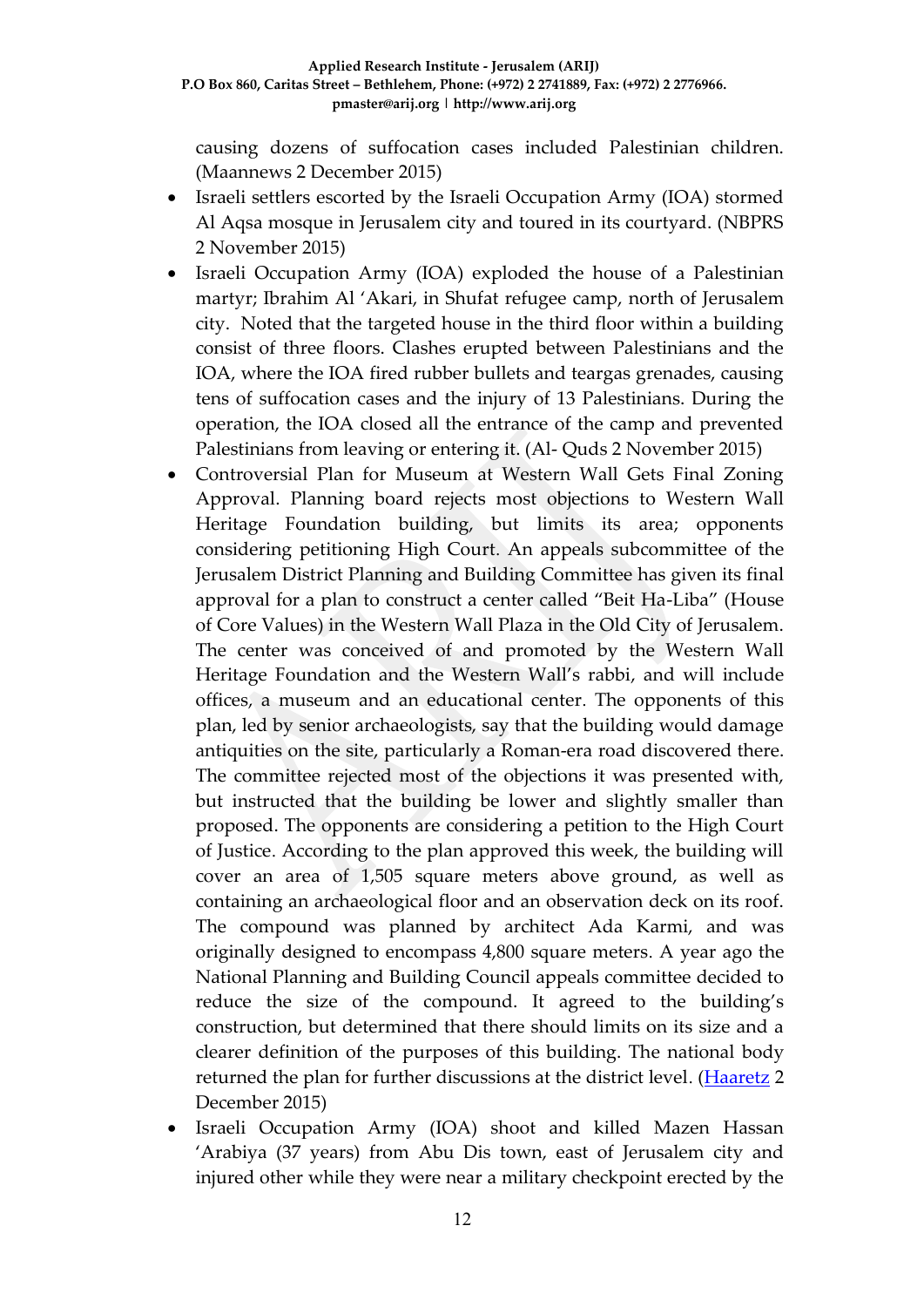causing dozens of suffocation cases included Palestinian children. (Maannews 2 December 2015)

- Israeli settlers escorted by the Israeli Occupation Army (IOA) stormed Al Aqsa mosque in Jerusalem city and toured in its courtyard. (NBPRS 2 November 2015)
- Israeli Occupation Army (IOA) exploded the house of a Palestinian martyr; Ibrahim Al 'Akari, in Shufat refugee camp, north of Jerusalem city. Noted that the targeted house in the third floor within a building consist of three floors. Clashes erupted between Palestinians and the IOA, where the IOA fired rubber bullets and teargas grenades, causing tens of suffocation cases and the injury of 13 Palestinians. During the operation, the IOA closed all the entrance of the camp and prevented Palestinians from leaving or entering it. (Al- Quds 2 November 2015)
- Controversial Plan for Museum at Western Wall Gets Final Zoning Approval. Planning board rejects most objections to Western Wall Heritage Foundation building, but limits its area; opponents considering petitioning High Court. An appeals subcommittee of the Jerusalem District Planning and Building Committee has given its final approval for a plan to construct a center called "Beit Ha-Liba" (House of Core Values) in the Western Wall Plaza in the Old City of Jerusalem. The center was conceived of and promoted by the Western Wall Heritage Foundation and the Western Wall's rabbi, and will include offices, a museum and an educational center. The opponents of this plan, led by senior archaeologists, say that the building would damage antiquities on the site, particularly a Roman-era road discovered there. The committee rejected most of the objections it was presented with, but instructed that the building be lower and slightly smaller than proposed. The opponents are considering a petition to the High Court of Justice. According to the plan approved this week, the building will cover an area of 1,505 square meters above ground, as well as containing an archaeological floor and an observation deck on its roof. The compound was planned by architect Ada Karmi, and was originally designed to encompass 4,800 square meters. A year ago the National Planning and Building Council appeals committee decided to reduce the size of the compound. It agreed to the building's construction, but determined that there should limits on its size and a clearer definition of the purposes of this building. The national body returned the plan for further discussions at the district level. [\(Haaretz](http://www.haaretz.com/israel-news/.premium-1.689645) 2 December 2015)
- Israeli Occupation Army (IOA) shoot and killed Mazen Hassan 'Arabiya (37 years) from Abu Dis town, east of Jerusalem city and injured other while they were near a military checkpoint erected by the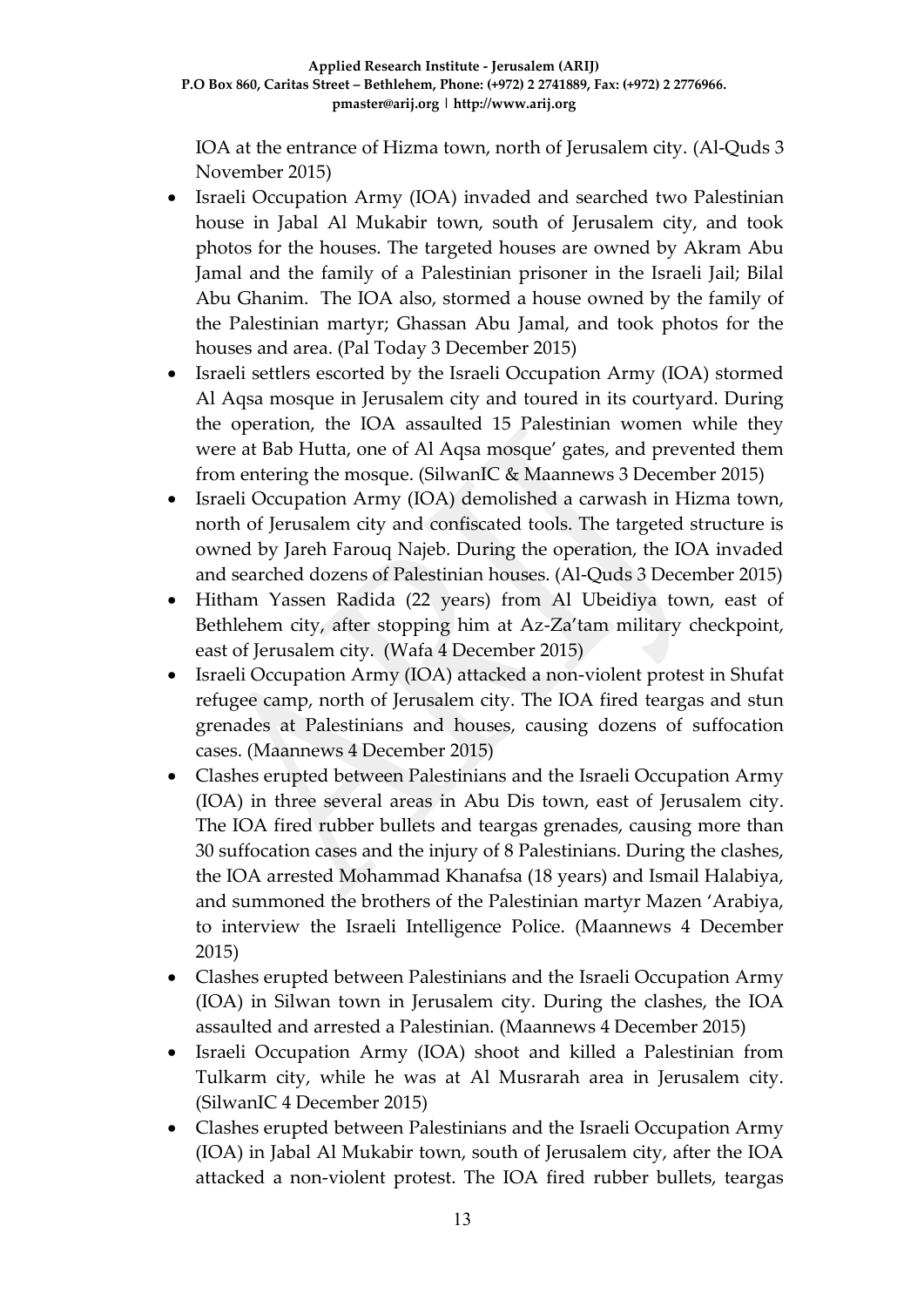IOA at the entrance of Hizma town, north of Jerusalem city. (Al-Quds 3 November 2015)

- Israeli Occupation Army (IOA) invaded and searched two Palestinian house in Jabal Al Mukabir town, south of Jerusalem city, and took photos for the houses. The targeted houses are owned by Akram Abu Jamal and the family of a Palestinian prisoner in the Israeli Jail; Bilal Abu Ghanim. The IOA also, stormed a house owned by the family of the Palestinian martyr; Ghassan Abu Jamal, and took photos for the houses and area. (Pal Today 3 December 2015)
- Israeli settlers escorted by the Israeli Occupation Army (IOA) stormed Al Aqsa mosque in Jerusalem city and toured in its courtyard. During the operation, the IOA assaulted 15 Palestinian women while they were at Bab Hutta, one of Al Aqsa mosque' gates, and prevented them from entering the mosque. (SilwanIC & Maannews 3 December 2015)
- Israeli Occupation Army (IOA) demolished a carwash in Hizma town, north of Jerusalem city and confiscated tools. The targeted structure is owned by Jareh Farouq Najeb. During the operation, the IOA invaded and searched dozens of Palestinian houses. (Al-Quds 3 December 2015)
- Hitham Yassen Radida (22 years) from Al Ubeidiya town, east of Bethlehem city, after stopping him at Az-Za'tam military checkpoint, east of Jerusalem city. (Wafa 4 December 2015)
- Israeli Occupation Army (IOA) attacked a non-violent protest in Shufat refugee camp, north of Jerusalem city. The IOA fired teargas and stun grenades at Palestinians and houses, causing dozens of suffocation cases. (Maannews 4 December 2015)
- Clashes erupted between Palestinians and the Israeli Occupation Army (IOA) in three several areas in Abu Dis town, east of Jerusalem city. The IOA fired rubber bullets and teargas grenades, causing more than 30 suffocation cases and the injury of 8 Palestinians. During the clashes, the IOA arrested Mohammad Khanafsa (18 years) and Ismail Halabiya, and summoned the brothers of the Palestinian martyr Mazen 'Arabiya, to interview the Israeli Intelligence Police. (Maannews 4 December 2015)
- Clashes erupted between Palestinians and the Israeli Occupation Army (IOA) in Silwan town in Jerusalem city. During the clashes, the IOA assaulted and arrested a Palestinian. (Maannews 4 December 2015)
- Israeli Occupation Army (IOA) shoot and killed a Palestinian from Tulkarm city, while he was at Al Musrarah area in Jerusalem city. (SilwanIC 4 December 2015)
- Clashes erupted between Palestinians and the Israeli Occupation Army (IOA) in Jabal Al Mukabir town, south of Jerusalem city, after the IOA attacked a non-violent protest. The IOA fired rubber bullets, teargas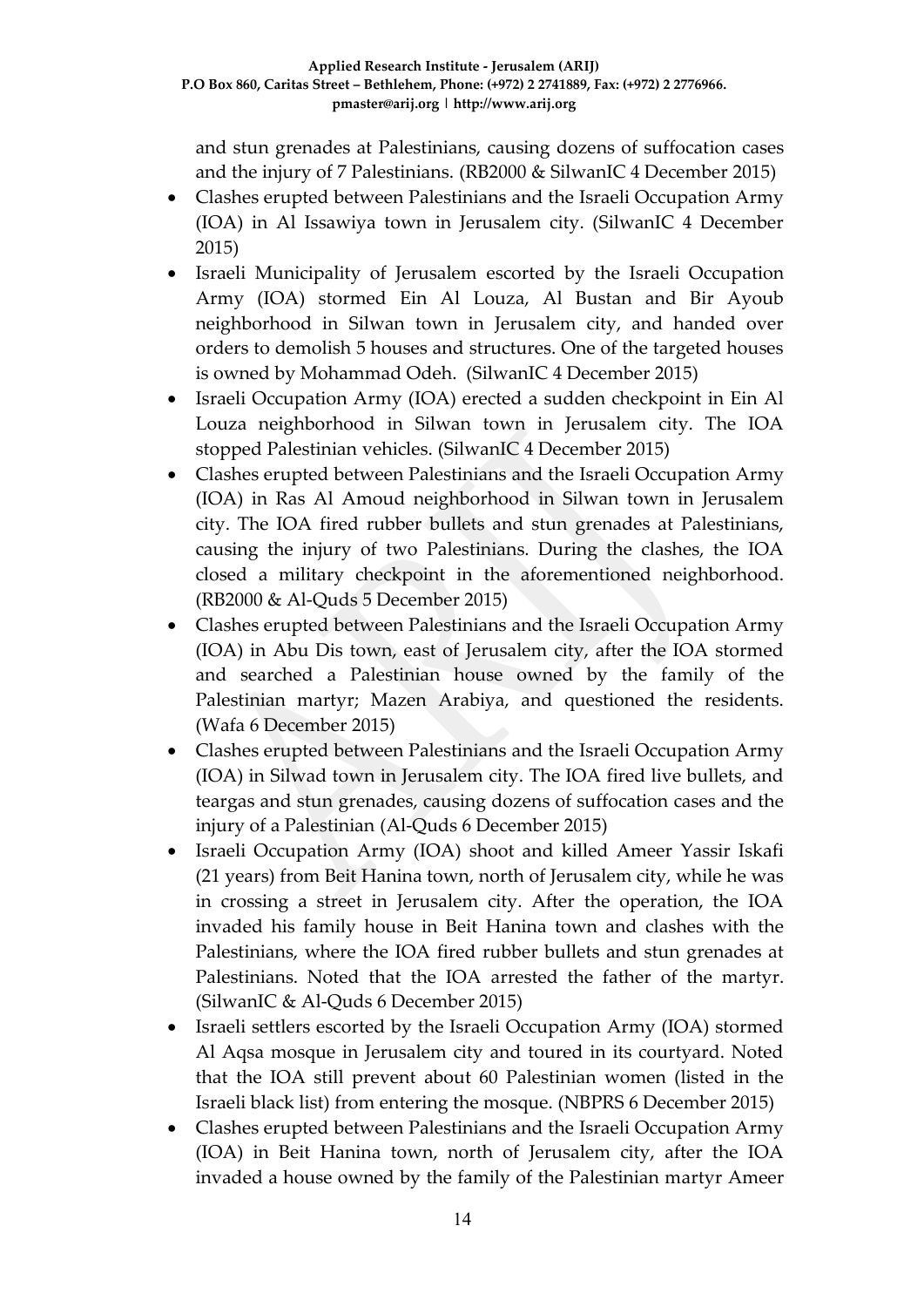and stun grenades at Palestinians, causing dozens of suffocation cases and the injury of 7 Palestinians. (RB2000 & SilwanIC 4 December 2015)

- Clashes erupted between Palestinians and the Israeli Occupation Army (IOA) in Al Issawiya town in Jerusalem city. (SilwanIC 4 December 2015)
- Israeli Municipality of Jerusalem escorted by the Israeli Occupation Army (IOA) stormed Ein Al Louza, Al Bustan and Bir Ayoub neighborhood in Silwan town in Jerusalem city, and handed over orders to demolish 5 houses and structures. One of the targeted houses is owned by Mohammad Odeh. (SilwanIC 4 December 2015)
- Israeli Occupation Army (IOA) erected a sudden checkpoint in Ein Al Louza neighborhood in Silwan town in Jerusalem city. The IOA stopped Palestinian vehicles. (SilwanIC 4 December 2015)
- Clashes erupted between Palestinians and the Israeli Occupation Army (IOA) in Ras Al Amoud neighborhood in Silwan town in Jerusalem city. The IOA fired rubber bullets and stun grenades at Palestinians, causing the injury of two Palestinians. During the clashes, the IOA closed a military checkpoint in the aforementioned neighborhood. (RB2000 & Al-Quds 5 December 2015)
- Clashes erupted between Palestinians and the Israeli Occupation Army (IOA) in Abu Dis town, east of Jerusalem city, after the IOA stormed and searched a Palestinian house owned by the family of the Palestinian martyr; Mazen Arabiya, and questioned the residents. (Wafa 6 December 2015)
- Clashes erupted between Palestinians and the Israeli Occupation Army (IOA) in Silwad town in Jerusalem city. The IOA fired live bullets, and teargas and stun grenades, causing dozens of suffocation cases and the injury of a Palestinian (Al-Quds 6 December 2015)
- Israeli Occupation Army (IOA) shoot and killed Ameer Yassir Iskafi (21 years) from Beit Hanina town, north of Jerusalem city, while he was in crossing a street in Jerusalem city. After the operation, the IOA invaded his family house in Beit Hanina town and clashes with the Palestinians, where the IOA fired rubber bullets and stun grenades at Palestinians. Noted that the IOA arrested the father of the martyr. (SilwanIC & Al-Quds 6 December 2015)
- Israeli settlers escorted by the Israeli Occupation Army (IOA) stormed Al Aqsa mosque in Jerusalem city and toured in its courtyard. Noted that the IOA still prevent about 60 Palestinian women (listed in the Israeli black list) from entering the mosque. (NBPRS 6 December 2015)
- Clashes erupted between Palestinians and the Israeli Occupation Army (IOA) in Beit Hanina town, north of Jerusalem city, after the IOA invaded a house owned by the family of the Palestinian martyr Ameer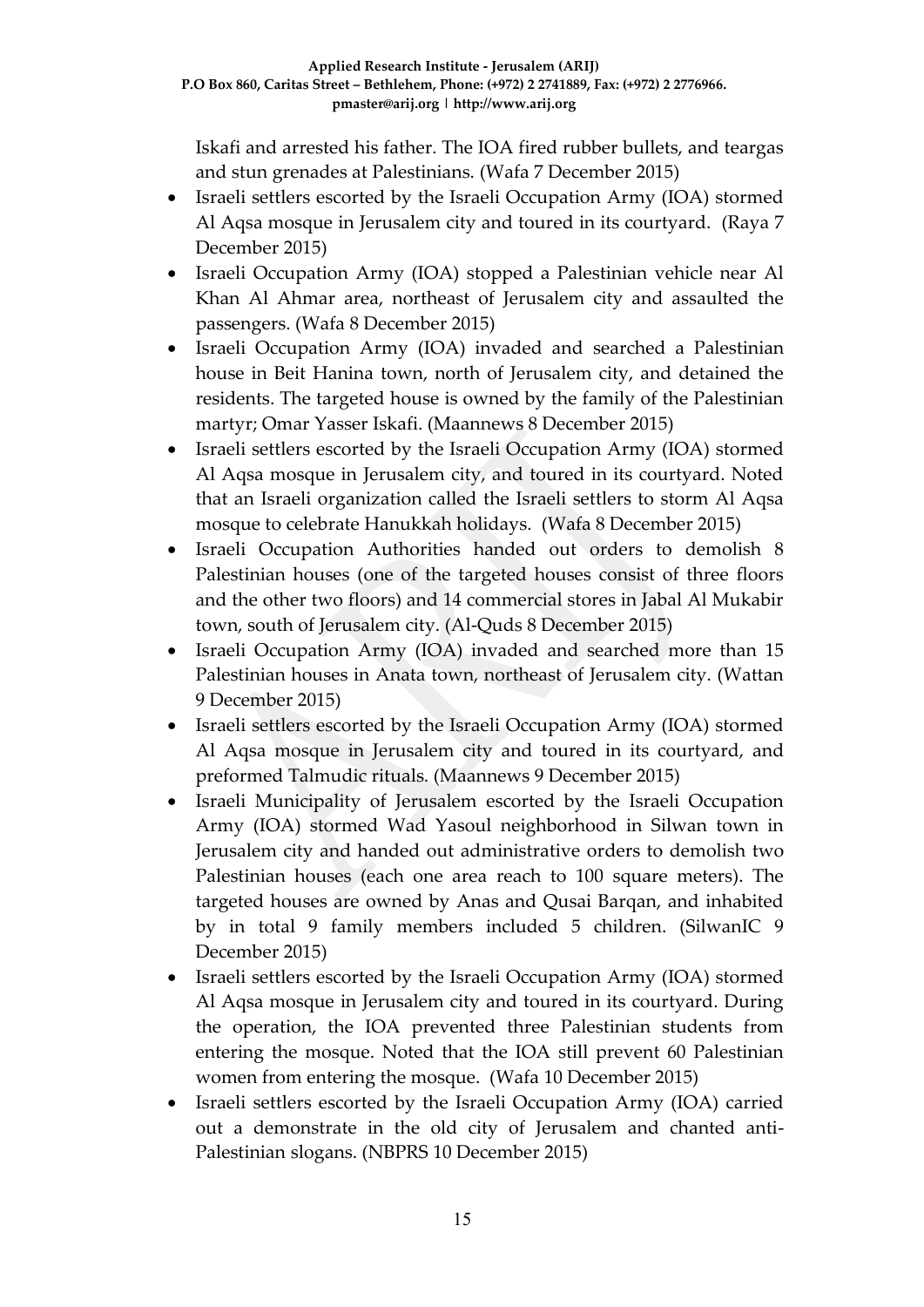Iskafi and arrested his father. The IOA fired rubber bullets, and teargas and stun grenades at Palestinians. (Wafa 7 December 2015)

- Israeli settlers escorted by the Israeli Occupation Army (IOA) stormed Al Aqsa mosque in Jerusalem city and toured in its courtyard. (Raya 7 December 2015)
- Israeli Occupation Army (IOA) stopped a Palestinian vehicle near Al Khan Al Ahmar area, northeast of Jerusalem city and assaulted the passengers. (Wafa 8 December 2015)
- Israeli Occupation Army (IOA) invaded and searched a Palestinian house in Beit Hanina town, north of Jerusalem city, and detained the residents. The targeted house is owned by the family of the Palestinian martyr; Omar Yasser Iskafi. (Maannews 8 December 2015)
- Israeli settlers escorted by the Israeli Occupation Army (IOA) stormed Al Aqsa mosque in Jerusalem city, and toured in its courtyard. Noted that an Israeli organization called the Israeli settlers to storm Al Aqsa mosque to celebrate Hanukkah holidays. (Wafa 8 December 2015)
- Israeli Occupation Authorities handed out orders to demolish 8 Palestinian houses (one of the targeted houses consist of three floors and the other two floors) and 14 commercial stores in Jabal Al Mukabir town, south of Jerusalem city. (Al-Quds 8 December 2015)
- Israeli Occupation Army (IOA) invaded and searched more than 15 Palestinian houses in Anata town, northeast of Jerusalem city. (Wattan 9 December 2015)
- Israeli settlers escorted by the Israeli Occupation Army (IOA) stormed Al Aqsa mosque in Jerusalem city and toured in its courtyard, and preformed Talmudic rituals. (Maannews 9 December 2015)
- Israeli Municipality of Jerusalem escorted by the Israeli Occupation Army (IOA) stormed Wad Yasoul neighborhood in Silwan town in Jerusalem city and handed out administrative orders to demolish two Palestinian houses (each one area reach to 100 square meters). The targeted houses are owned by Anas and Qusai Barqan, and inhabited by in total 9 family members included 5 children. (SilwanIC 9 December 2015)
- Israeli settlers escorted by the Israeli Occupation Army (IOA) stormed Al Aqsa mosque in Jerusalem city and toured in its courtyard. During the operation, the IOA prevented three Palestinian students from entering the mosque. Noted that the IOA still prevent 60 Palestinian women from entering the mosque. (Wafa 10 December 2015)
- Israeli settlers escorted by the Israeli Occupation Army (IOA) carried out a demonstrate in the old city of Jerusalem and chanted anti-Palestinian slogans. (NBPRS 10 December 2015)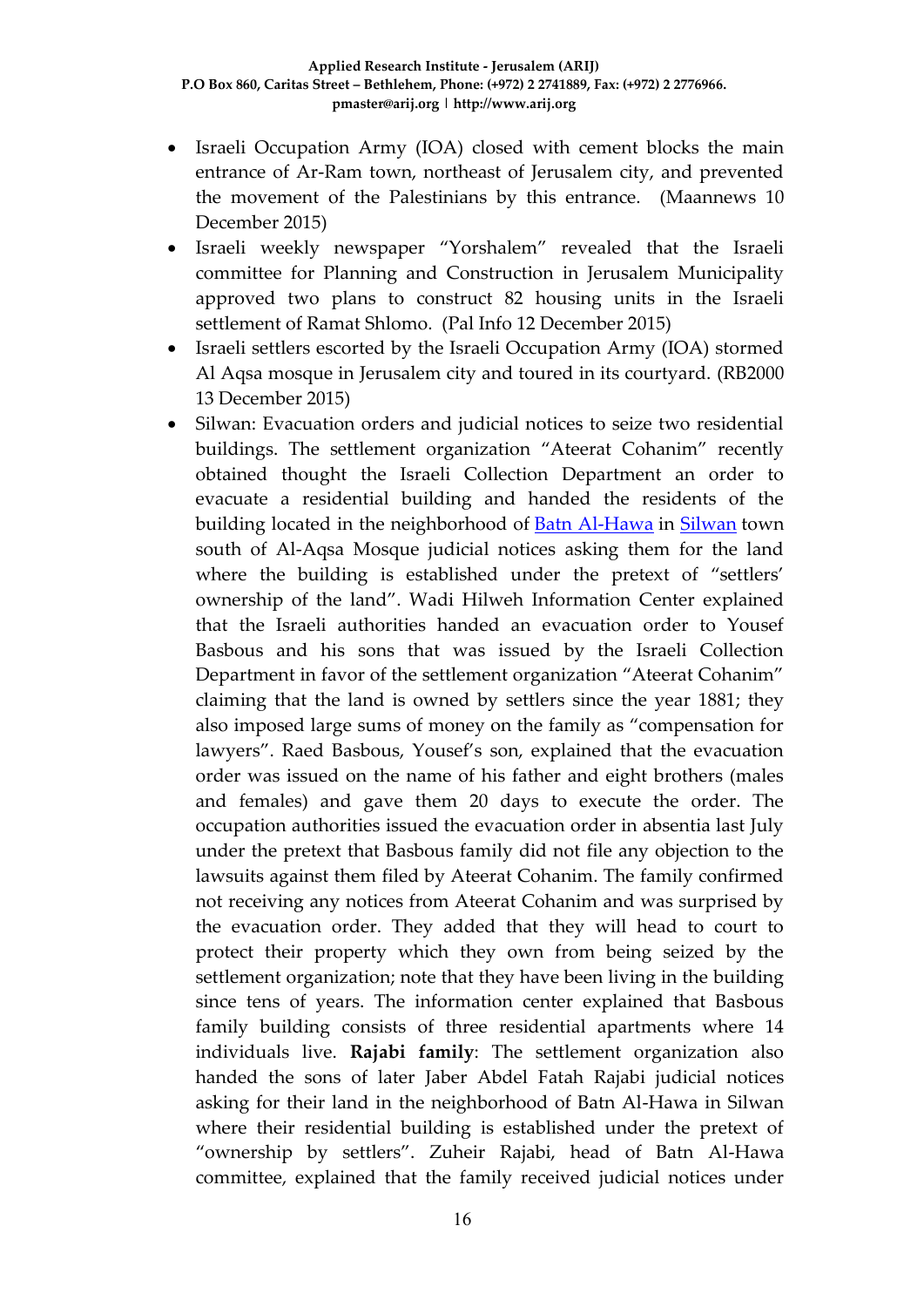- Israeli Occupation Army (IOA) closed with cement blocks the main entrance of Ar-Ram town, northeast of Jerusalem city, and prevented the movement of the Palestinians by this entrance. (Maannews 10 December 2015)
- Israeli weekly newspaper "Yorshalem" revealed that the Israeli committee for Planning and Construction in Jerusalem Municipality approved two plans to construct 82 housing units in the Israeli settlement of Ramat Shlomo. (Pal Info 12 December 2015)
- Israeli settlers escorted by the Israeli Occupation Army (IOA) stormed Al Aqsa mosque in Jerusalem city and toured in its courtyard. (RB2000 13 December 2015)
- Silwan: Evacuation orders and judicial notices to seize two residential buildings. The settlement organization "Ateerat Cohanim" recently obtained thought the Israeli Collection Department an order to evacuate a residential building and handed the residents of the building located in the neighborhood of [Batn Al-Hawa](http://silwanic.net/?tag=batn-al-hawa) in [Silwan](http://silwanic.net/?tag=silwan) town south of Al-Aqsa Mosque judicial notices asking them for the land where the building is established under the pretext of "settlers' ownership of the land". Wadi Hilweh Information Center explained that the Israeli authorities handed an evacuation order to Yousef Basbous and his sons that was issued by the Israeli Collection Department in favor of the settlement organization "Ateerat Cohanim" claiming that the land is owned by settlers since the year 1881; they also imposed large sums of money on the family as "compensation for lawyers". Raed Basbous, Yousef's son, explained that the evacuation order was issued on the name of his father and eight brothers (males and females) and gave them 20 days to execute the order. The occupation authorities issued the evacuation order in absentia last July under the pretext that Basbous family did not file any objection to the lawsuits against them filed by Ateerat Cohanim. The family confirmed not receiving any notices from Ateerat Cohanim and was surprised by the evacuation order. They added that they will head to court to protect their property which they own from being seized by the settlement organization; note that they have been living in the building since tens of years. The information center explained that Basbous family building consists of three residential apartments where 14 individuals live. **Rajabi family**: The settlement organization also handed the sons of later Jaber Abdel Fatah Rajabi judicial notices asking for their land in the neighborhood of Batn Al-Hawa in Silwan where their residential building is established under the pretext of "ownership by settlers". Zuheir Rajabi, head of Batn Al-Hawa committee, explained that the family received judicial notices under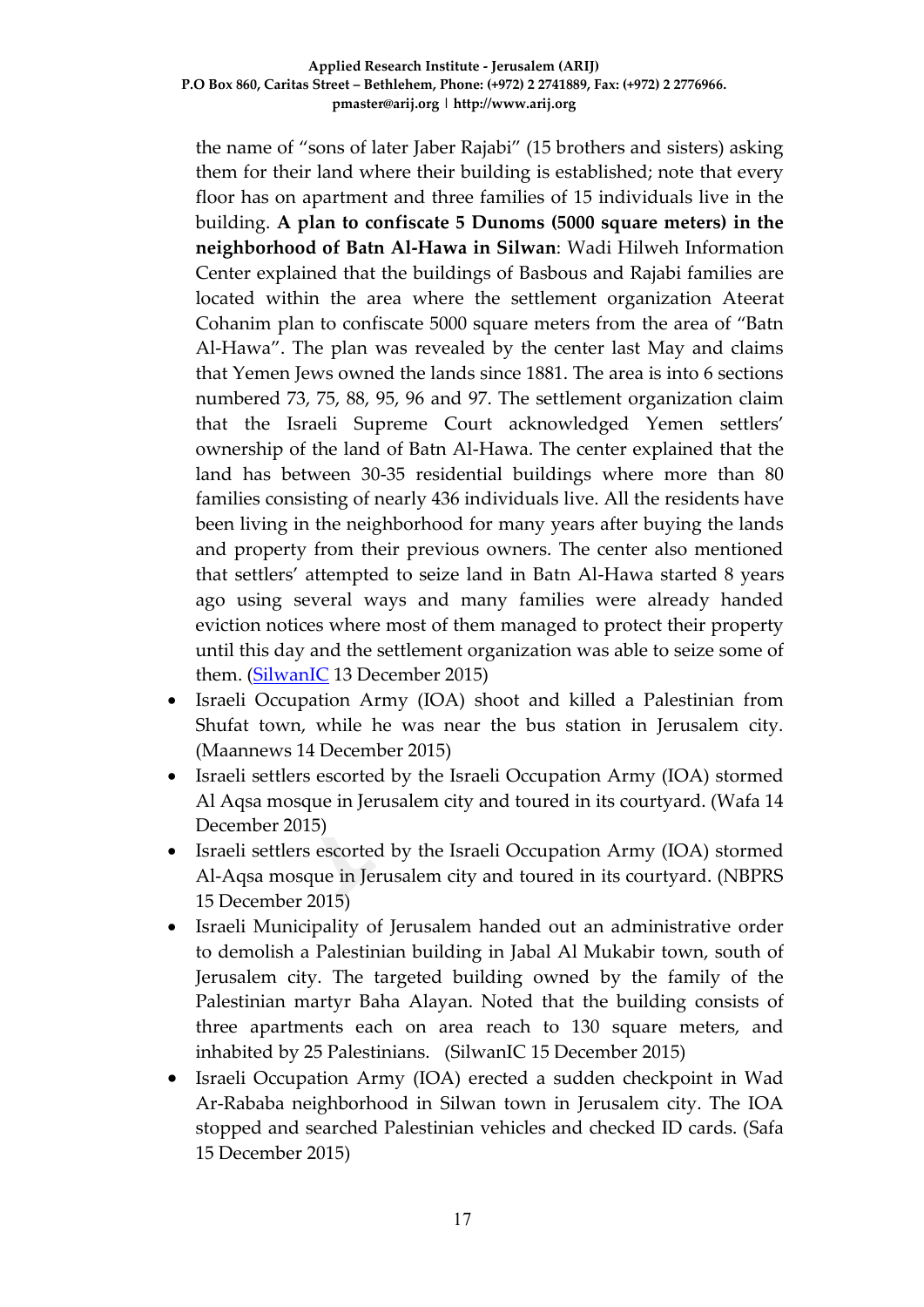the name of "sons of later Jaber Rajabi" (15 brothers and sisters) asking them for their land where their building is established; note that every floor has on apartment and three families of 15 individuals live in the building. **A plan to confiscate 5 Dunoms (5000 square meters) in the neighborhood of Batn Al-Hawa in Silwan**: Wadi Hilweh Information Center explained that the buildings of Basbous and Rajabi families are located within the area where the settlement organization Ateerat Cohanim plan to confiscate 5000 square meters from the area of "Batn Al-Hawa". The plan was revealed by the center last May and claims that Yemen Jews owned the lands since 1881. The area is into 6 sections numbered 73, 75, 88, 95, 96 and 97. The settlement organization claim that the Israeli Supreme Court acknowledged Yemen settlers' ownership of the land of Batn Al-Hawa. The center explained that the land has between 30-35 residential buildings where more than 80 families consisting of nearly 436 individuals live. All the residents have been living in the neighborhood for many years after buying the lands and property from their previous owners. The center also mentioned that settlers' attempted to seize land in Batn Al-Hawa started 8 years ago using several ways and many families were already handed eviction notices where most of them managed to protect their property until this day and the settlement organization was able to seize some of them. [\(SilwanIC](http://silwanic.net/?p=65862) 13 December 2015)

- Israeli Occupation Army (IOA) shoot and killed a Palestinian from Shufat town, while he was near the bus station in Jerusalem city. (Maannews 14 December 2015)
- Israeli settlers escorted by the Israeli Occupation Army (IOA) stormed Al Aqsa mosque in Jerusalem city and toured in its courtyard. (Wafa 14 December 2015)
- Israeli settlers escorted by the Israeli Occupation Army (IOA) stormed Al-Aqsa mosque in Jerusalem city and toured in its courtyard. (NBPRS 15 December 2015)
- Israeli Municipality of Jerusalem handed out an administrative order to demolish a Palestinian building in Jabal Al Mukabir town, south of Jerusalem city. The targeted building owned by the family of the Palestinian martyr Baha Alayan. Noted that the building consists of three apartments each on area reach to 130 square meters, and inhabited by 25 Palestinians. (SilwanIC 15 December 2015)
- Israeli Occupation Army (IOA) erected a sudden checkpoint in Wad Ar-Rababa neighborhood in Silwan town in Jerusalem city. The IOA stopped and searched Palestinian vehicles and checked ID cards. (Safa 15 December 2015)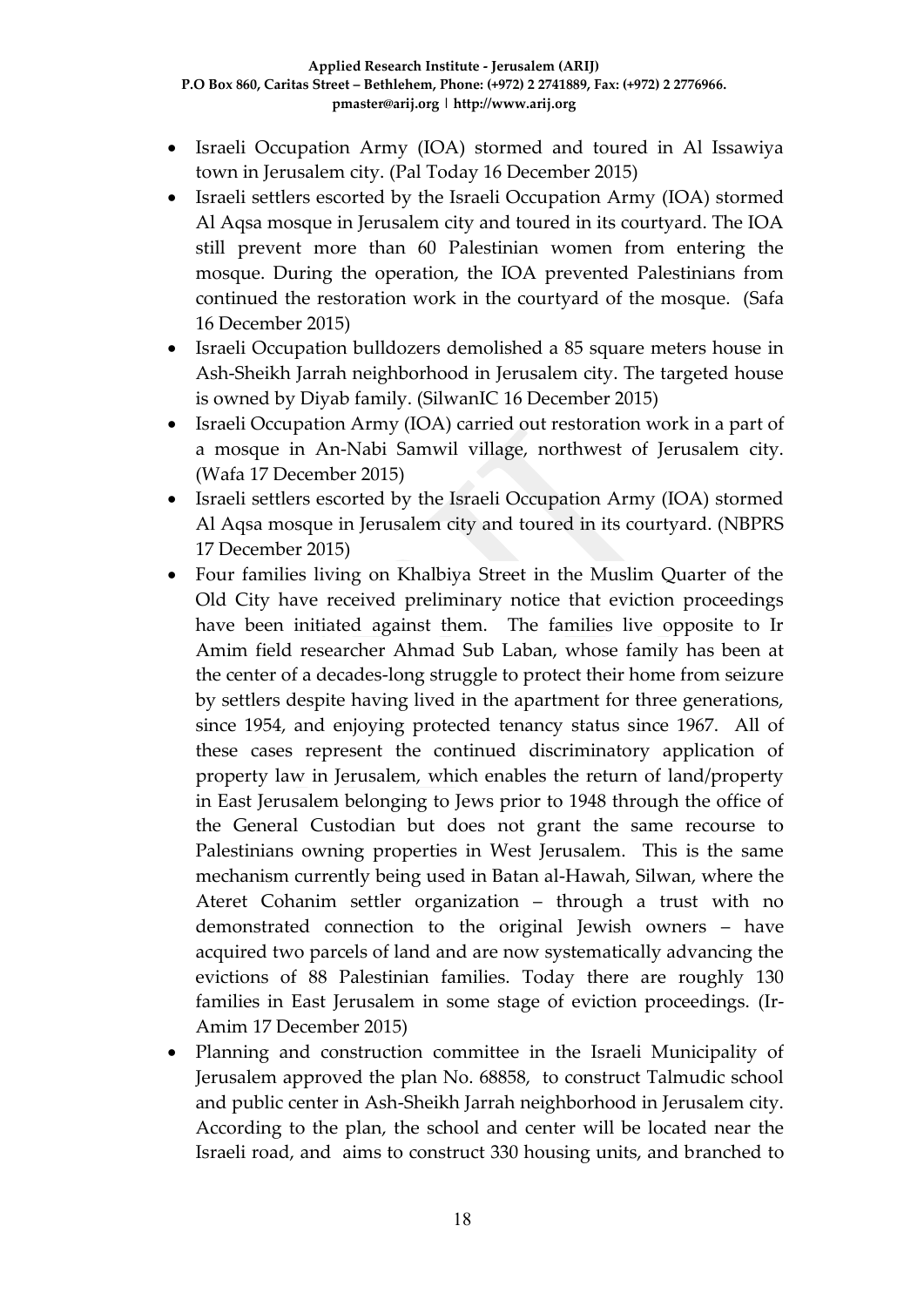- Israeli Occupation Army (IOA) stormed and toured in Al Issawiya town in Jerusalem city. (Pal Today 16 December 2015)
- Israeli settlers escorted by the Israeli Occupation Army (IOA) stormed Al Aqsa mosque in Jerusalem city and toured in its courtyard. The IOA still prevent more than 60 Palestinian women from entering the mosque. During the operation, the IOA prevented Palestinians from continued the restoration work in the courtyard of the mosque. (Safa 16 December 2015)
- Israeli Occupation bulldozers demolished a 85 square meters house in Ash-Sheikh Jarrah neighborhood in Jerusalem city. The targeted house is owned by Diyab family. (SilwanIC 16 December 2015)
- Israeli Occupation Army (IOA) carried out restoration work in a part of a mosque in An-Nabi Samwil village, northwest of Jerusalem city. (Wafa 17 December 2015)
- Israeli settlers escorted by the Israeli Occupation Army (IOA) stormed Al Aqsa mosque in Jerusalem city and toured in its courtyard. (NBPRS 17 December 2015)
- Four families living on Khalbiya Street in the Muslim Quarter of the Old City have received preliminary notice that eviction proceedings have been initiated against them. The families live opposite to Ir Amim field researcher Ahmad Sub Laban, whose family has been at the center of a decades-long struggle to protect their home from seizure by settlers despite having lived in the apartment for three generations, since 1954, and enjoying protected tenancy status since 1967. All of these cases represent the continued discriminatory application of property law in Jerusalem, which enables the return of land/property in East Jerusalem belonging to Jews prior to 1948 through the office of the General Custodian but does not grant the same recourse to Palestinians owning properties in West Jerusalem. This is the same mechanism currently being used in Batan al-Hawah, Silwan, where the Ateret Cohanim settler organization – through a trust with no demonstrated connection to the original Jewish owners – have acquired two parcels of land and are now systematically advancing the evictions of 88 Palestinian families. Today there are roughly 130 families in East Jerusalem in some stage of eviction proceedings. (Ir-Amim 17 December 2015)
- Planning and construction committee in the Israeli Municipality of Jerusalem approved the plan No. 68858, to construct Talmudic school and public center in Ash-Sheikh Jarrah neighborhood in Jerusalem city. According to the plan, the school and center will be located near the Israeli road, and aims to construct 330 housing units, and branched to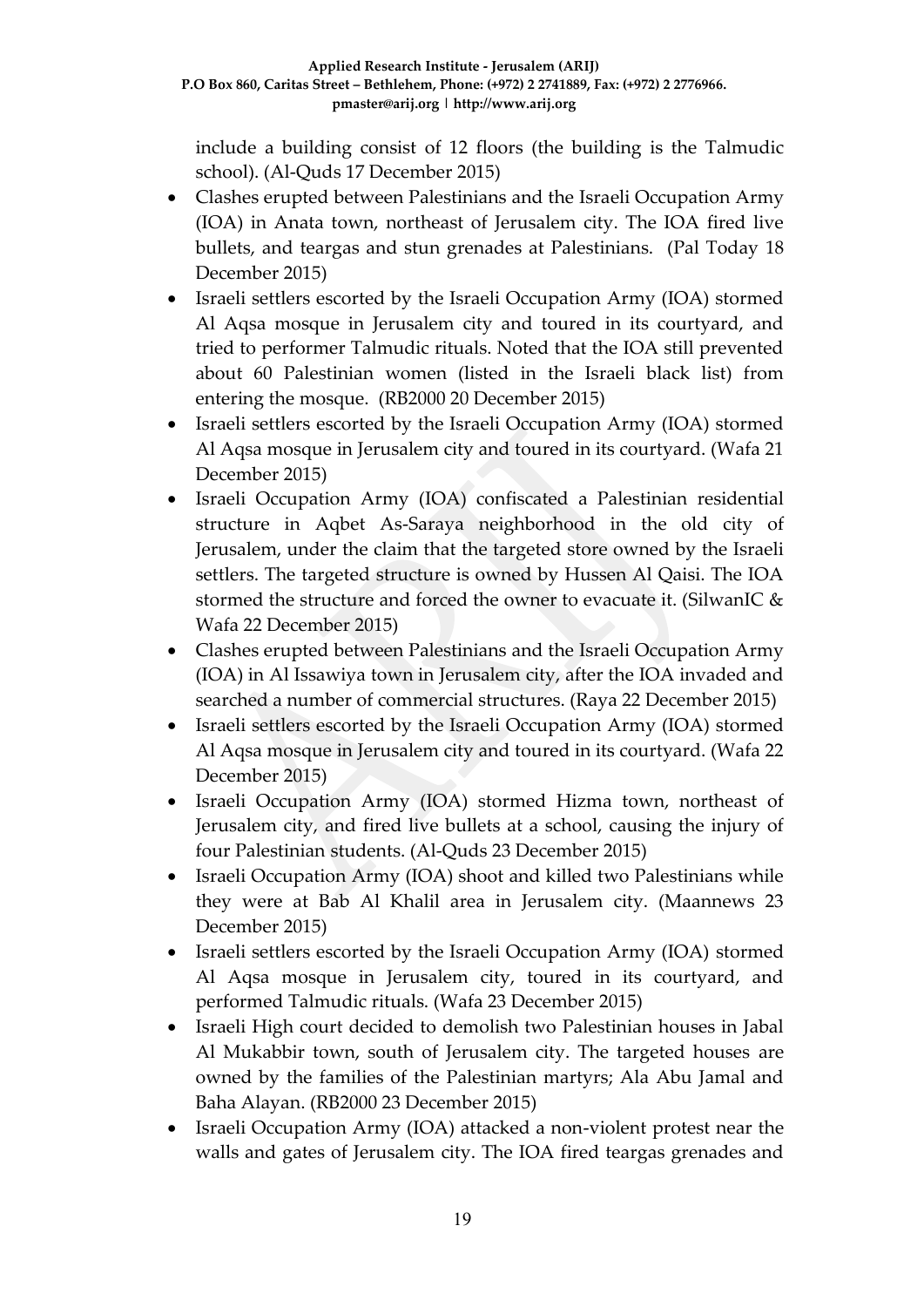include a building consist of 12 floors (the building is the Talmudic school). (Al-Quds 17 December 2015)

- Clashes erupted between Palestinians and the Israeli Occupation Army (IOA) in Anata town, northeast of Jerusalem city. The IOA fired live bullets, and teargas and stun grenades at Palestinians. (Pal Today 18 December 2015)
- Israeli settlers escorted by the Israeli Occupation Army (IOA) stormed Al Aqsa mosque in Jerusalem city and toured in its courtyard, and tried to performer Talmudic rituals. Noted that the IOA still prevented about 60 Palestinian women (listed in the Israeli black list) from entering the mosque. (RB2000 20 December 2015)
- Israeli settlers escorted by the Israeli Occupation Army (IOA) stormed Al Aqsa mosque in Jerusalem city and toured in its courtyard. (Wafa 21 December 2015)
- Israeli Occupation Army (IOA) confiscated a Palestinian residential structure in Aqbet As-Saraya neighborhood in the old city of Jerusalem, under the claim that the targeted store owned by the Israeli settlers. The targeted structure is owned by Hussen Al Qaisi. The IOA stormed the structure and forced the owner to evacuate it. (SilwanIC & Wafa 22 December 2015)
- Clashes erupted between Palestinians and the Israeli Occupation Army (IOA) in Al Issawiya town in Jerusalem city, after the IOA invaded and searched a number of commercial structures. (Raya 22 December 2015)
- Israeli settlers escorted by the Israeli Occupation Army (IOA) stormed Al Aqsa mosque in Jerusalem city and toured in its courtyard. (Wafa 22 December 2015)
- Israeli Occupation Army (IOA) stormed Hizma town, northeast of Jerusalem city, and fired live bullets at a school, causing the injury of four Palestinian students. (Al-Quds 23 December 2015)
- Israeli Occupation Army (IOA) shoot and killed two Palestinians while they were at Bab Al Khalil area in Jerusalem city. (Maannews 23 December 2015)
- Israeli settlers escorted by the Israeli Occupation Army (IOA) stormed Al Aqsa mosque in Jerusalem city, toured in its courtyard, and performed Talmudic rituals. (Wafa 23 December 2015)
- Israeli High court decided to demolish two Palestinian houses in Jabal Al Mukabbir town, south of Jerusalem city. The targeted houses are owned by the families of the Palestinian martyrs; Ala Abu Jamal and Baha Alayan. (RB2000 23 December 2015)
- Israeli Occupation Army (IOA) attacked a non-violent protest near the walls and gates of Jerusalem city. The IOA fired teargas grenades and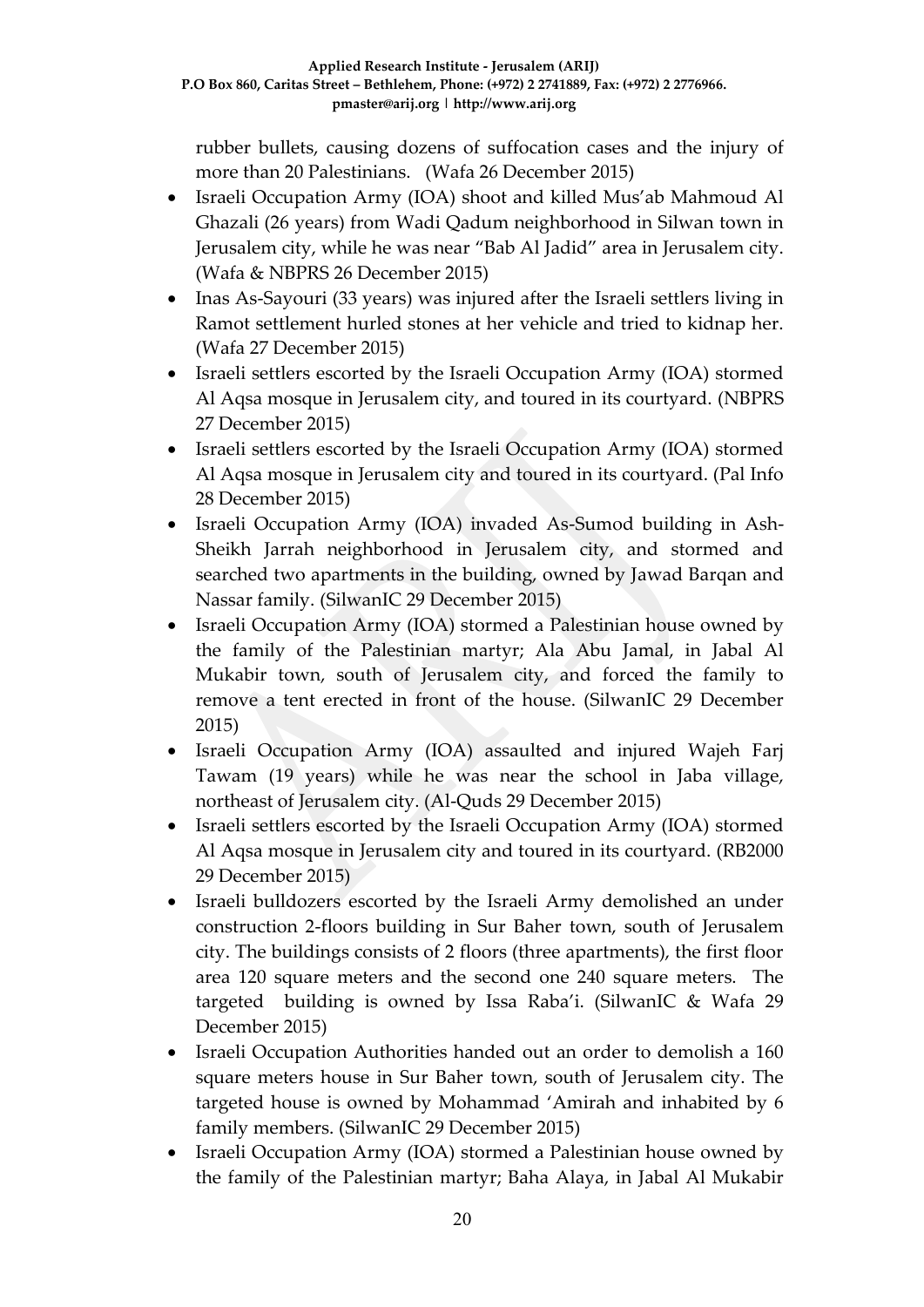rubber bullets, causing dozens of suffocation cases and the injury of more than 20 Palestinians. (Wafa 26 December 2015)

- Israeli Occupation Army (IOA) shoot and killed Mus'ab Mahmoud Al Ghazali (26 years) from Wadi Qadum neighborhood in Silwan town in Jerusalem city, while he was near "Bab Al Jadid" area in Jerusalem city. (Wafa & NBPRS 26 December 2015)
- Inas As-Sayouri (33 years) was injured after the Israeli settlers living in Ramot settlement hurled stones at her vehicle and tried to kidnap her. (Wafa 27 December 2015)
- Israeli settlers escorted by the Israeli Occupation Army (IOA) stormed Al Aqsa mosque in Jerusalem city, and toured in its courtyard. (NBPRS 27 December 2015)
- Israeli settlers escorted by the Israeli Occupation Army (IOA) stormed Al Aqsa mosque in Jerusalem city and toured in its courtyard. (Pal Info 28 December 2015)
- Israeli Occupation Army (IOA) invaded As-Sumod building in Ash-Sheikh Jarrah neighborhood in Jerusalem city, and stormed and searched two apartments in the building, owned by Jawad Barqan and Nassar family. (SilwanIC 29 December 2015)
- Israeli Occupation Army (IOA) stormed a Palestinian house owned by the family of the Palestinian martyr; Ala Abu Jamal, in Jabal Al Mukabir town, south of Jerusalem city, and forced the family to remove a tent erected in front of the house. (SilwanIC 29 December 2015)
- Israeli Occupation Army (IOA) assaulted and injured Wajeh Farj Tawam (19 years) while he was near the school in Jaba village, northeast of Jerusalem city. (Al-Quds 29 December 2015)
- Israeli settlers escorted by the Israeli Occupation Army (IOA) stormed Al Aqsa mosque in Jerusalem city and toured in its courtyard. (RB2000 29 December 2015)
- Israeli bulldozers escorted by the Israeli Army demolished an under construction 2-floors building in Sur Baher town, south of Jerusalem city. The buildings consists of 2 floors (three apartments), the first floor area 120 square meters and the second one 240 square meters. The targeted building is owned by Issa Raba'i. (SilwanIC & Wafa 29 December 2015)
- Israeli Occupation Authorities handed out an order to demolish a 160 square meters house in Sur Baher town, south of Jerusalem city. The targeted house is owned by Mohammad 'Amirah and inhabited by 6 family members. (SilwanIC 29 December 2015)
- Israeli Occupation Army (IOA) stormed a Palestinian house owned by the family of the Palestinian martyr; Baha Alaya, in Jabal Al Mukabir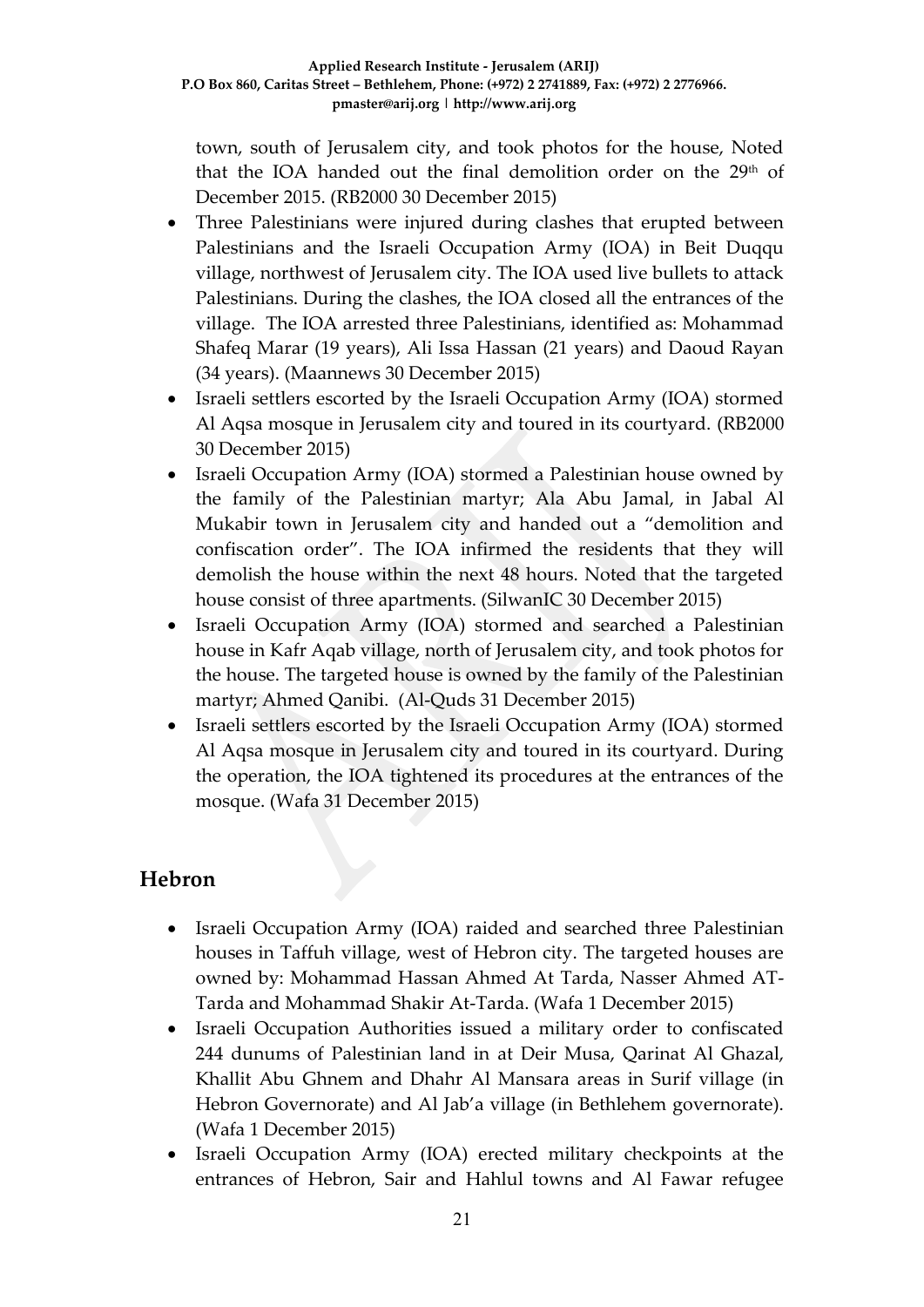town, south of Jerusalem city, and took photos for the house, Noted that the IOA handed out the final demolition order on the 29<sup>th</sup> of December 2015. (RB2000 30 December 2015)

- Three Palestinians were injured during clashes that erupted between Palestinians and the Israeli Occupation Army (IOA) in Beit Duqqu village, northwest of Jerusalem city. The IOA used live bullets to attack Palestinians. During the clashes, the IOA closed all the entrances of the village. The IOA arrested three Palestinians, identified as: Mohammad Shafeq Marar (19 years), Ali Issa Hassan (21 years) and Daoud Rayan (34 years). (Maannews 30 December 2015)
- Israeli settlers escorted by the Israeli Occupation Army (IOA) stormed Al Aqsa mosque in Jerusalem city and toured in its courtyard. (RB2000 30 December 2015)
- Israeli Occupation Army (IOA) stormed a Palestinian house owned by the family of the Palestinian martyr; Ala Abu Jamal, in Jabal Al Mukabir town in Jerusalem city and handed out a "demolition and confiscation order". The IOA infirmed the residents that they will demolish the house within the next 48 hours. Noted that the targeted house consist of three apartments. (SilwanIC 30 December 2015)
- Israeli Occupation Army (IOA) stormed and searched a Palestinian house in Kafr Aqab village, north of Jerusalem city, and took photos for the house. The targeted house is owned by the family of the Palestinian martyr; Ahmed Qanibi. (Al-Quds 31 December 2015)
- Israeli settlers escorted by the Israeli Occupation Army (IOA) stormed Al Aqsa mosque in Jerusalem city and toured in its courtyard. During the operation, the IOA tightened its procedures at the entrances of the mosque. (Wafa 31 December 2015)

## **Hebron**

- Israeli Occupation Army (IOA) raided and searched three Palestinian houses in Taffuh village, west of Hebron city. The targeted houses are owned by: Mohammad Hassan Ahmed At Tarda, Nasser Ahmed AT-Tarda and Mohammad Shakir At-Tarda. (Wafa 1 December 2015)
- Israeli Occupation Authorities issued a military order to confiscated 244 dunums of Palestinian land in at Deir Musa, Qarinat Al Ghazal, Khallit Abu Ghnem and Dhahr Al Mansara areas in Surif village (in Hebron Governorate) and Al Jab'a village (in Bethlehem governorate). (Wafa 1 December 2015)
- Israeli Occupation Army (IOA) erected military checkpoints at the entrances of Hebron, Sair and Hahlul towns and Al Fawar refugee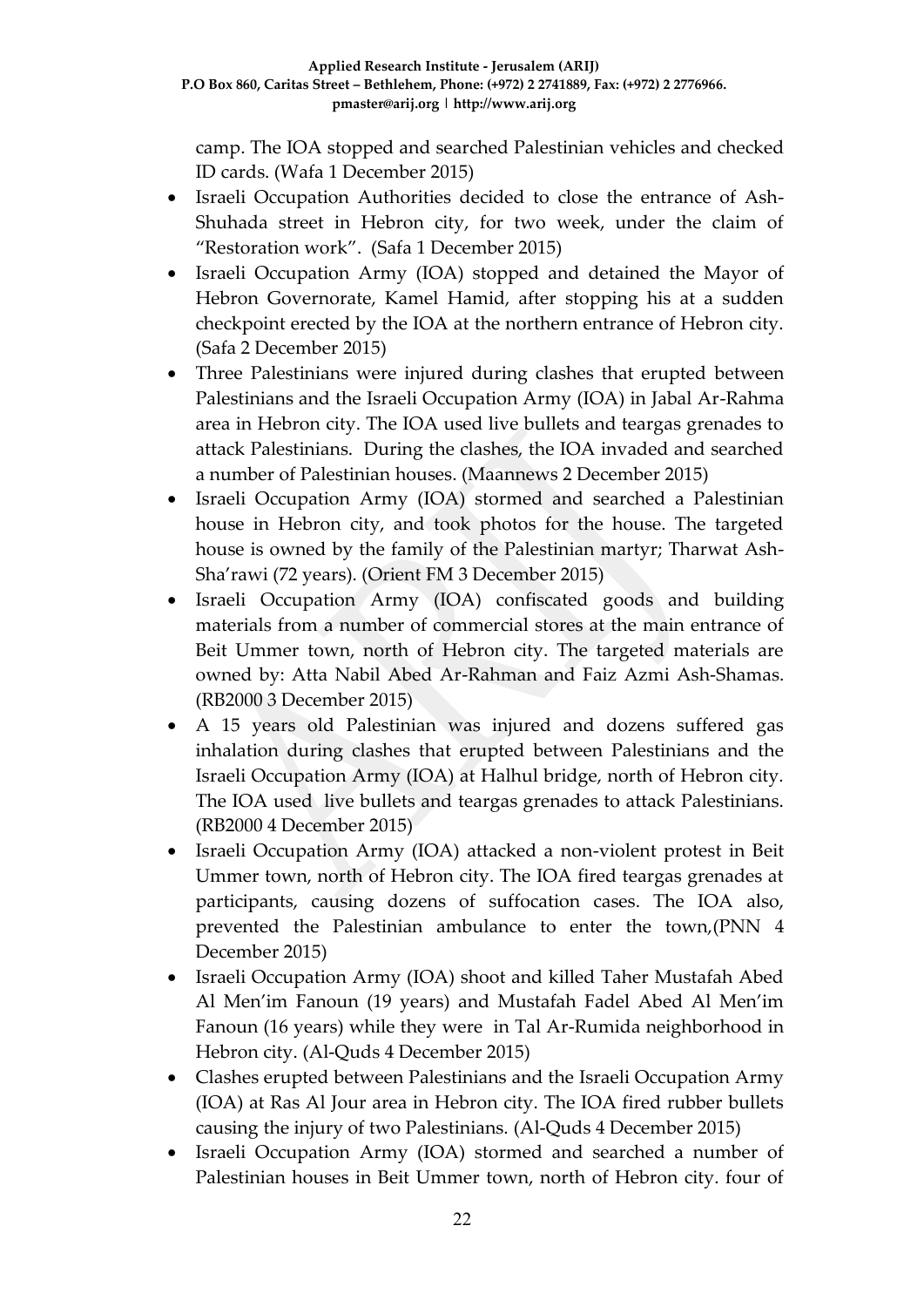camp. The IOA stopped and searched Palestinian vehicles and checked ID cards. (Wafa 1 December 2015)

- Israeli Occupation Authorities decided to close the entrance of Ash-Shuhada street in Hebron city, for two week, under the claim of "Restoration work". (Safa 1 December 2015)
- Israeli Occupation Army (IOA) stopped and detained the Mayor of Hebron Governorate, Kamel Hamid, after stopping his at a sudden checkpoint erected by the IOA at the northern entrance of Hebron city. (Safa 2 December 2015)
- Three Palestinians were injured during clashes that erupted between Palestinians and the Israeli Occupation Army (IOA) in Jabal Ar-Rahma area in Hebron city. The IOA used live bullets and teargas grenades to attack Palestinians. During the clashes, the IOA invaded and searched a number of Palestinian houses. (Maannews 2 December 2015)
- Israeli Occupation Army (IOA) stormed and searched a Palestinian house in Hebron city, and took photos for the house. The targeted house is owned by the family of the Palestinian martyr; Tharwat Ash-Sha'rawi (72 years). (Orient FM 3 December 2015)
- Israeli Occupation Army (IOA) confiscated goods and building materials from a number of commercial stores at the main entrance of Beit Ummer town, north of Hebron city. The targeted materials are owned by: Atta Nabil Abed Ar-Rahman and Faiz Azmi Ash-Shamas. (RB2000 3 December 2015)
- A 15 years old Palestinian was injured and dozens suffered gas inhalation during clashes that erupted between Palestinians and the Israeli Occupation Army (IOA) at Halhul bridge, north of Hebron city. The IOA used live bullets and teargas grenades to attack Palestinians. (RB2000 4 December 2015)
- Israeli Occupation Army (IOA) attacked a non-violent protest in Beit Ummer town, north of Hebron city. The IOA fired teargas grenades at participants, causing dozens of suffocation cases. The IOA also, prevented the Palestinian ambulance to enter the town,(PNN 4 December 2015)
- Israeli Occupation Army (IOA) shoot and killed Taher Mustafah Abed Al Men'im Fanoun (19 years) and Mustafah Fadel Abed Al Men'im Fanoun (16 years) while they were in Tal Ar-Rumida neighborhood in Hebron city. (Al-Quds 4 December 2015)
- Clashes erupted between Palestinians and the Israeli Occupation Army (IOA) at Ras Al Jour area in Hebron city. The IOA fired rubber bullets causing the injury of two Palestinians. (Al-Quds 4 December 2015)
- Israeli Occupation Army (IOA) stormed and searched a number of Palestinian houses in Beit Ummer town, north of Hebron city. four of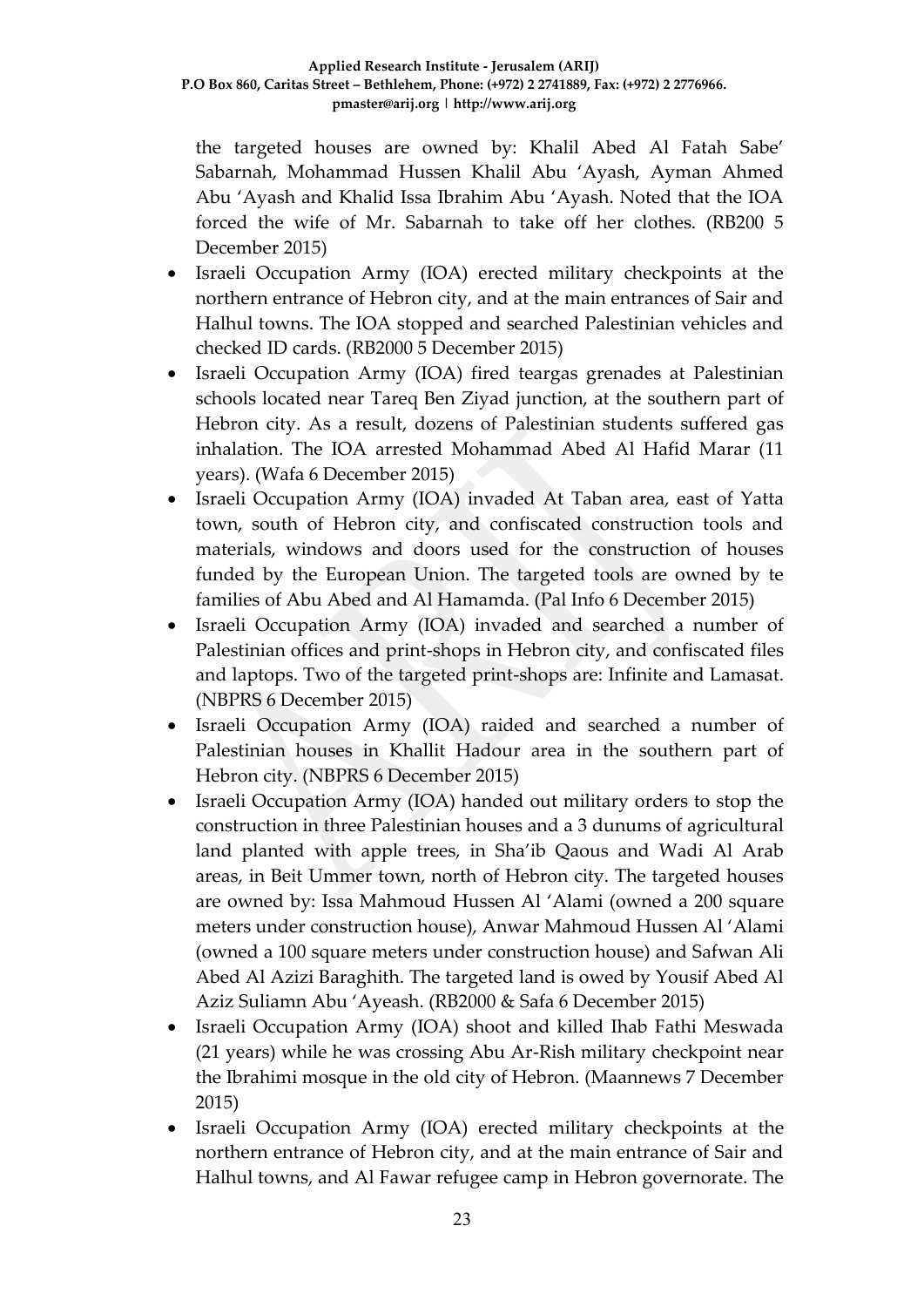the targeted houses are owned by: Khalil Abed Al Fatah Sabe' Sabarnah, Mohammad Hussen Khalil Abu 'Ayash, Ayman Ahmed Abu 'Ayash and Khalid Issa Ibrahim Abu 'Ayash. Noted that the IOA forced the wife of Mr. Sabarnah to take off her clothes. (RB200 5 December 2015)

- Israeli Occupation Army (IOA) erected military checkpoints at the northern entrance of Hebron city, and at the main entrances of Sair and Halhul towns. The IOA stopped and searched Palestinian vehicles and checked ID cards. (RB2000 5 December 2015)
- Israeli Occupation Army (IOA) fired teargas grenades at Palestinian schools located near Tareq Ben Ziyad junction, at the southern part of Hebron city. As a result, dozens of Palestinian students suffered gas inhalation. The IOA arrested Mohammad Abed Al Hafid Marar (11 years). (Wafa 6 December 2015)
- Israeli Occupation Army (IOA) invaded At Taban area, east of Yatta town, south of Hebron city, and confiscated construction tools and materials, windows and doors used for the construction of houses funded by the European Union. The targeted tools are owned by te families of Abu Abed and Al Hamamda. (Pal Info 6 December 2015)
- Israeli Occupation Army (IOA) invaded and searched a number of Palestinian offices and print-shops in Hebron city, and confiscated files and laptops. Two of the targeted print-shops are: Infinite and Lamasat. (NBPRS 6 December 2015)
- Israeli Occupation Army (IOA) raided and searched a number of Palestinian houses in Khallit Hadour area in the southern part of Hebron city. (NBPRS 6 December 2015)
- Israeli Occupation Army (IOA) handed out military orders to stop the construction in three Palestinian houses and a 3 dunums of agricultural land planted with apple trees, in Sha'ib Qaous and Wadi Al Arab areas, in Beit Ummer town, north of Hebron city. The targeted houses are owned by: Issa Mahmoud Hussen Al 'Alami (owned a 200 square meters under construction house), Anwar Mahmoud Hussen Al 'Alami (owned a 100 square meters under construction house) and Safwan Ali Abed Al Azizi Baraghith. The targeted land is owed by Yousif Abed Al Aziz Suliamn Abu 'Ayeash. (RB2000 & Safa 6 December 2015)
- Israeli Occupation Army (IOA) shoot and killed Ihab Fathi Meswada (21 years) while he was crossing Abu Ar-Rish military checkpoint near the Ibrahimi mosque in the old city of Hebron. (Maannews 7 December 2015)
- Israeli Occupation Army (IOA) erected military checkpoints at the northern entrance of Hebron city, and at the main entrance of Sair and Halhul towns, and Al Fawar refugee camp in Hebron governorate. The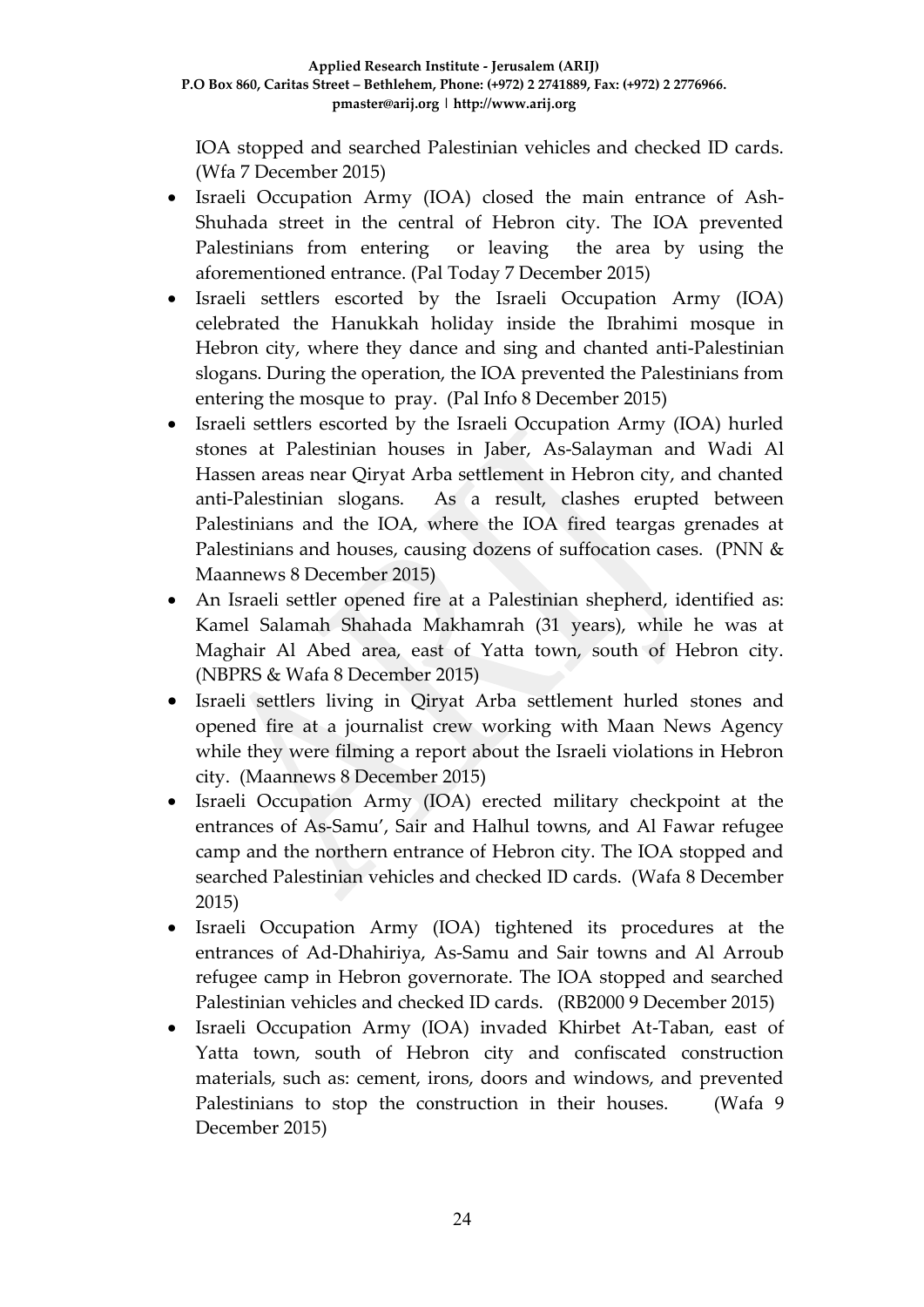IOA stopped and searched Palestinian vehicles and checked ID cards. (Wfa 7 December 2015)

- Israeli Occupation Army (IOA) closed the main entrance of Ash-Shuhada street in the central of Hebron city. The IOA prevented Palestinians from entering or leaving the area by using the aforementioned entrance. (Pal Today 7 December 2015)
- Israeli settlers escorted by the Israeli Occupation Army (IOA) celebrated the Hanukkah holiday inside the Ibrahimi mosque in Hebron city, where they dance and sing and chanted anti-Palestinian slogans. During the operation, the IOA prevented the Palestinians from entering the mosque to pray. (Pal Info 8 December 2015)
- Israeli settlers escorted by the Israeli Occupation Army (IOA) hurled stones at Palestinian houses in Jaber, As-Salayman and Wadi Al Hassen areas near Qiryat Arba settlement in Hebron city, and chanted anti-Palestinian slogans. As a result, clashes erupted between Palestinians and the IOA, where the IOA fired teargas grenades at Palestinians and houses, causing dozens of suffocation cases. (PNN & Maannews 8 December 2015)
- An Israeli settler opened fire at a Palestinian shepherd, identified as: Kamel Salamah Shahada Makhamrah (31 years), while he was at Maghair Al Abed area, east of Yatta town, south of Hebron city. (NBPRS & Wafa 8 December 2015)
- Israeli settlers living in Qiryat Arba settlement hurled stones and opened fire at a journalist crew working with Maan News Agency while they were filming a report about the Israeli violations in Hebron city. (Maannews 8 December 2015)
- Israeli Occupation Army (IOA) erected military checkpoint at the entrances of As-Samu', Sair and Halhul towns, and Al Fawar refugee camp and the northern entrance of Hebron city. The IOA stopped and searched Palestinian vehicles and checked ID cards. (Wafa 8 December 2015)
- Israeli Occupation Army (IOA) tightened its procedures at the entrances of Ad-Dhahiriya, As-Samu and Sair towns and Al Arroub refugee camp in Hebron governorate. The IOA stopped and searched Palestinian vehicles and checked ID cards. (RB2000 9 December 2015)
- Israeli Occupation Army (IOA) invaded Khirbet At-Taban, east of Yatta town, south of Hebron city and confiscated construction materials, such as: cement, irons, doors and windows, and prevented Palestinians to stop the construction in their houses. (Wafa 9 December 2015)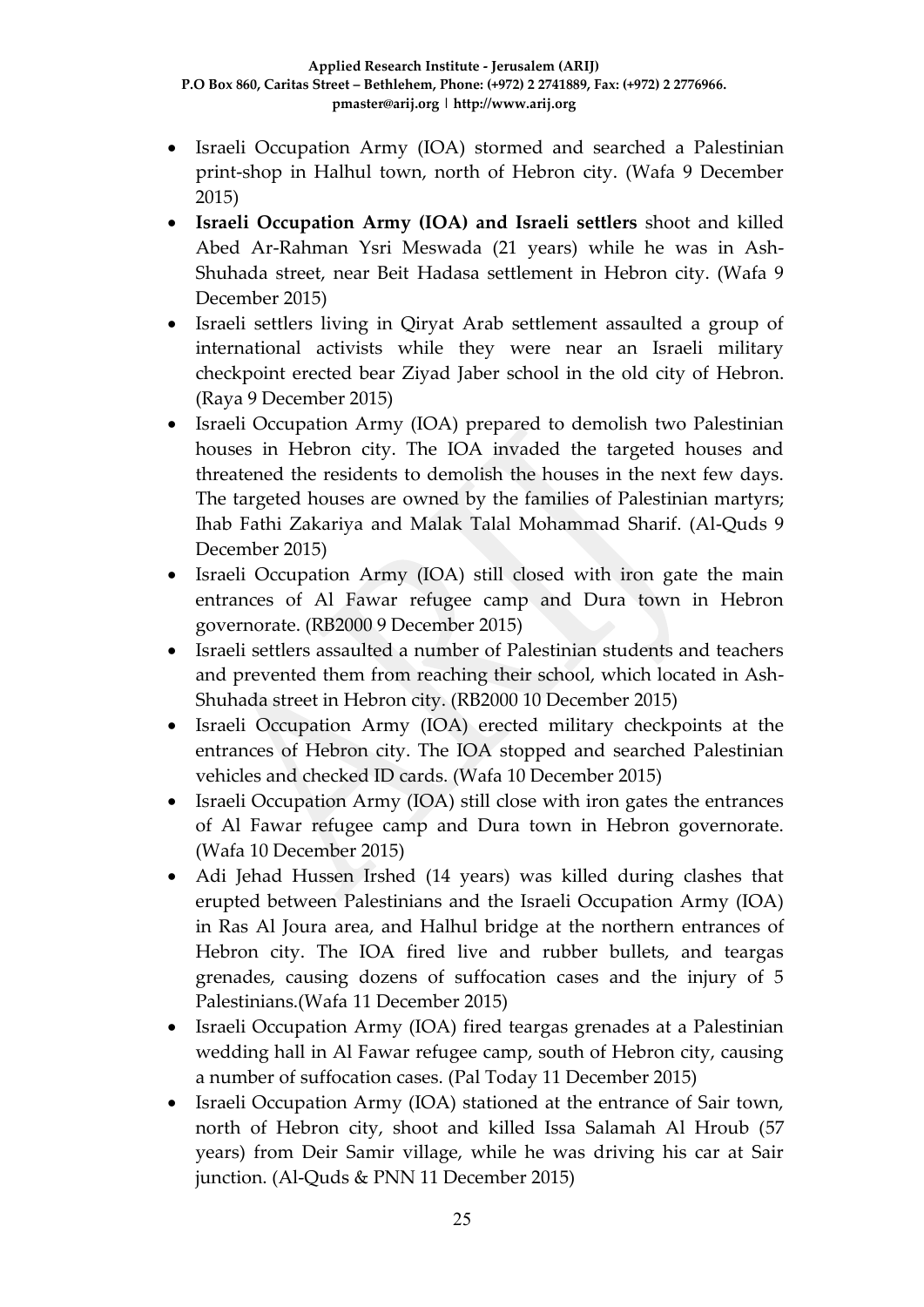- Israeli Occupation Army (IOA) stormed and searched a Palestinian print-shop in Halhul town, north of Hebron city. (Wafa 9 December 2015)
- **Israeli Occupation Army (IOA) and Israeli settlers** shoot and killed Abed Ar-Rahman Ysri Meswada (21 years) while he was in Ash-Shuhada street, near Beit Hadasa settlement in Hebron city. (Wafa 9 December 2015)
- Israeli settlers living in Qiryat Arab settlement assaulted a group of international activists while they were near an Israeli military checkpoint erected bear Ziyad Jaber school in the old city of Hebron. (Raya 9 December 2015)
- Israeli Occupation Army (IOA) prepared to demolish two Palestinian houses in Hebron city. The IOA invaded the targeted houses and threatened the residents to demolish the houses in the next few days. The targeted houses are owned by the families of Palestinian martyrs; Ihab Fathi Zakariya and Malak Talal Mohammad Sharif. (Al-Quds 9 December 2015)
- Israeli Occupation Army (IOA) still closed with iron gate the main entrances of Al Fawar refugee camp and Dura town in Hebron governorate. (RB2000 9 December 2015)
- Israeli settlers assaulted a number of Palestinian students and teachers and prevented them from reaching their school, which located in Ash-Shuhada street in Hebron city. (RB2000 10 December 2015)
- Israeli Occupation Army (IOA) erected military checkpoints at the entrances of Hebron city. The IOA stopped and searched Palestinian vehicles and checked ID cards. (Wafa 10 December 2015)
- Israeli Occupation Army (IOA) still close with iron gates the entrances of Al Fawar refugee camp and Dura town in Hebron governorate. (Wafa 10 December 2015)
- Adi Jehad Hussen Irshed (14 years) was killed during clashes that erupted between Palestinians and the Israeli Occupation Army (IOA) in Ras Al Joura area, and Halhul bridge at the northern entrances of Hebron city. The IOA fired live and rubber bullets, and teargas grenades, causing dozens of suffocation cases and the injury of 5 Palestinians.(Wafa 11 December 2015)
- Israeli Occupation Army (IOA) fired teargas grenades at a Palestinian wedding hall in Al Fawar refugee camp, south of Hebron city, causing a number of suffocation cases. (Pal Today 11 December 2015)
- Israeli Occupation Army (IOA) stationed at the entrance of Sair town, north of Hebron city, shoot and killed Issa Salamah Al Hroub (57 years) from Deir Samir village, while he was driving his car at Sair junction. (Al-Quds & PNN 11 December 2015)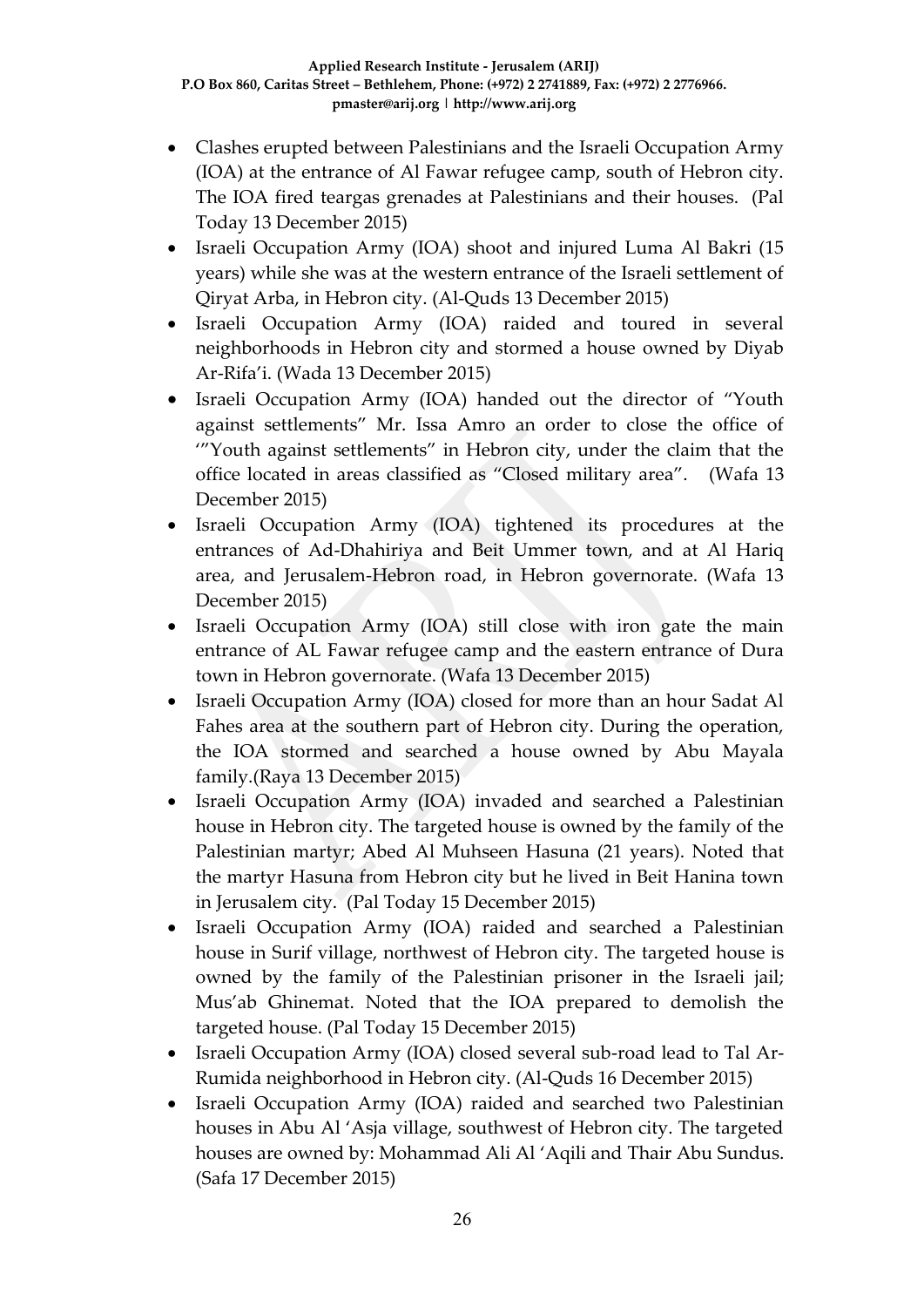- Clashes erupted between Palestinians and the Israeli Occupation Army (IOA) at the entrance of Al Fawar refugee camp, south of Hebron city. The IOA fired teargas grenades at Palestinians and their houses. (Pal Today 13 December 2015)
- Israeli Occupation Army (IOA) shoot and injured Luma Al Bakri (15 years) while she was at the western entrance of the Israeli settlement of Qiryat Arba, in Hebron city. (Al-Quds 13 December 2015)
- Israeli Occupation Army (IOA) raided and toured in several neighborhoods in Hebron city and stormed a house owned by Diyab Ar-Rifa'i. (Wada 13 December 2015)
- Israeli Occupation Army (IOA) handed out the director of "Youth against settlements" Mr. Issa Amro an order to close the office of '"Youth against settlements" in Hebron city, under the claim that the office located in areas classified as "Closed military area". (Wafa 13 December 2015)
- Israeli Occupation Army (IOA) tightened its procedures at the entrances of Ad-Dhahiriya and Beit Ummer town, and at Al Hariq area, and Jerusalem-Hebron road, in Hebron governorate. (Wafa 13 December 2015)
- Israeli Occupation Army (IOA) still close with iron gate the main entrance of AL Fawar refugee camp and the eastern entrance of Dura town in Hebron governorate. (Wafa 13 December 2015)
- Israeli Occupation Army (IOA) closed for more than an hour Sadat Al Fahes area at the southern part of Hebron city. During the operation, the IOA stormed and searched a house owned by Abu Mayala family.(Raya 13 December 2015)
- Israeli Occupation Army (IOA) invaded and searched a Palestinian house in Hebron city. The targeted house is owned by the family of the Palestinian martyr; Abed Al Muhseen Hasuna (21 years). Noted that the martyr Hasuna from Hebron city but he lived in Beit Hanina town in Jerusalem city. (Pal Today 15 December 2015)
- Israeli Occupation Army (IOA) raided and searched a Palestinian house in Surif village, northwest of Hebron city. The targeted house is owned by the family of the Palestinian prisoner in the Israeli jail; Mus'ab Ghinemat. Noted that the IOA prepared to demolish the targeted house. (Pal Today 15 December 2015)
- Israeli Occupation Army (IOA) closed several sub-road lead to Tal Ar-Rumida neighborhood in Hebron city. (Al-Quds 16 December 2015)
- Israeli Occupation Army (IOA) raided and searched two Palestinian houses in Abu Al 'Asja village, southwest of Hebron city. The targeted houses are owned by: Mohammad Ali Al 'Aqili and Thair Abu Sundus. (Safa 17 December 2015)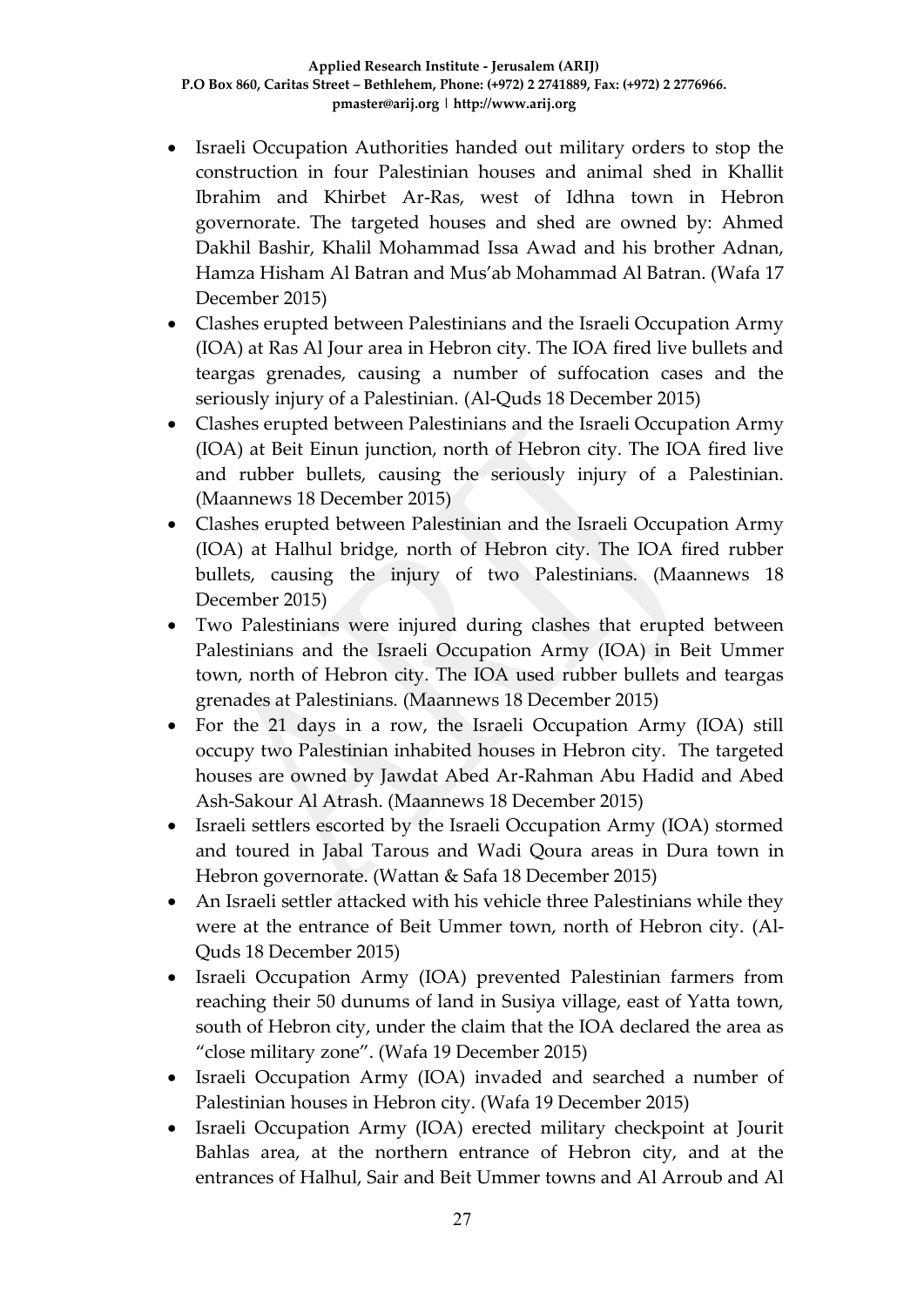- Israeli Occupation Authorities handed out military orders to stop the construction in four Palestinian houses and animal shed in Khallit Ibrahim and Khirbet Ar-Ras, west of Idhna town in Hebron governorate. The targeted houses and shed are owned by: Ahmed Dakhil Bashir, Khalil Mohammad Issa Awad and his brother Adnan, Hamza Hisham Al Batran and Mus'ab Mohammad Al Batran. (Wafa 17 December 2015)
- Clashes erupted between Palestinians and the Israeli Occupation Army (IOA) at Ras Al Jour area in Hebron city. The IOA fired live bullets and teargas grenades, causing a number of suffocation cases and the seriously injury of a Palestinian. (Al-Quds 18 December 2015)
- Clashes erupted between Palestinians and the Israeli Occupation Army (IOA) at Beit Einun junction, north of Hebron city. The IOA fired live and rubber bullets, causing the seriously injury of a Palestinian. (Maannews 18 December 2015)
- Clashes erupted between Palestinian and the Israeli Occupation Army (IOA) at Halhul bridge, north of Hebron city. The IOA fired rubber bullets, causing the injury of two Palestinians. (Maannews 18 December 2015)
- Two Palestinians were injured during clashes that erupted between Palestinians and the Israeli Occupation Army (IOA) in Beit Ummer town, north of Hebron city. The IOA used rubber bullets and teargas grenades at Palestinians. (Maannews 18 December 2015)
- For the 21 days in a row, the Israeli Occupation Army (IOA) still occupy two Palestinian inhabited houses in Hebron city. The targeted houses are owned by Jawdat Abed Ar-Rahman Abu Hadid and Abed Ash-Sakour Al Atrash. (Maannews 18 December 2015)
- Israeli settlers escorted by the Israeli Occupation Army (IOA) stormed and toured in Jabal Tarous and Wadi Qoura areas in Dura town in Hebron governorate. (Wattan & Safa 18 December 2015)
- An Israeli settler attacked with his vehicle three Palestinians while they were at the entrance of Beit Ummer town, north of Hebron city. (Al-Quds 18 December 2015)
- Israeli Occupation Army (IOA) prevented Palestinian farmers from reaching their 50 dunums of land in Susiya village, east of Yatta town, south of Hebron city, under the claim that the IOA declared the area as "close military zone". (Wafa 19 December 2015)
- Israeli Occupation Army (IOA) invaded and searched a number of Palestinian houses in Hebron city. (Wafa 19 December 2015)
- Israeli Occupation Army (IOA) erected military checkpoint at Jourit Bahlas area, at the northern entrance of Hebron city, and at the entrances of Halhul, Sair and Beit Ummer towns and Al Arroub and Al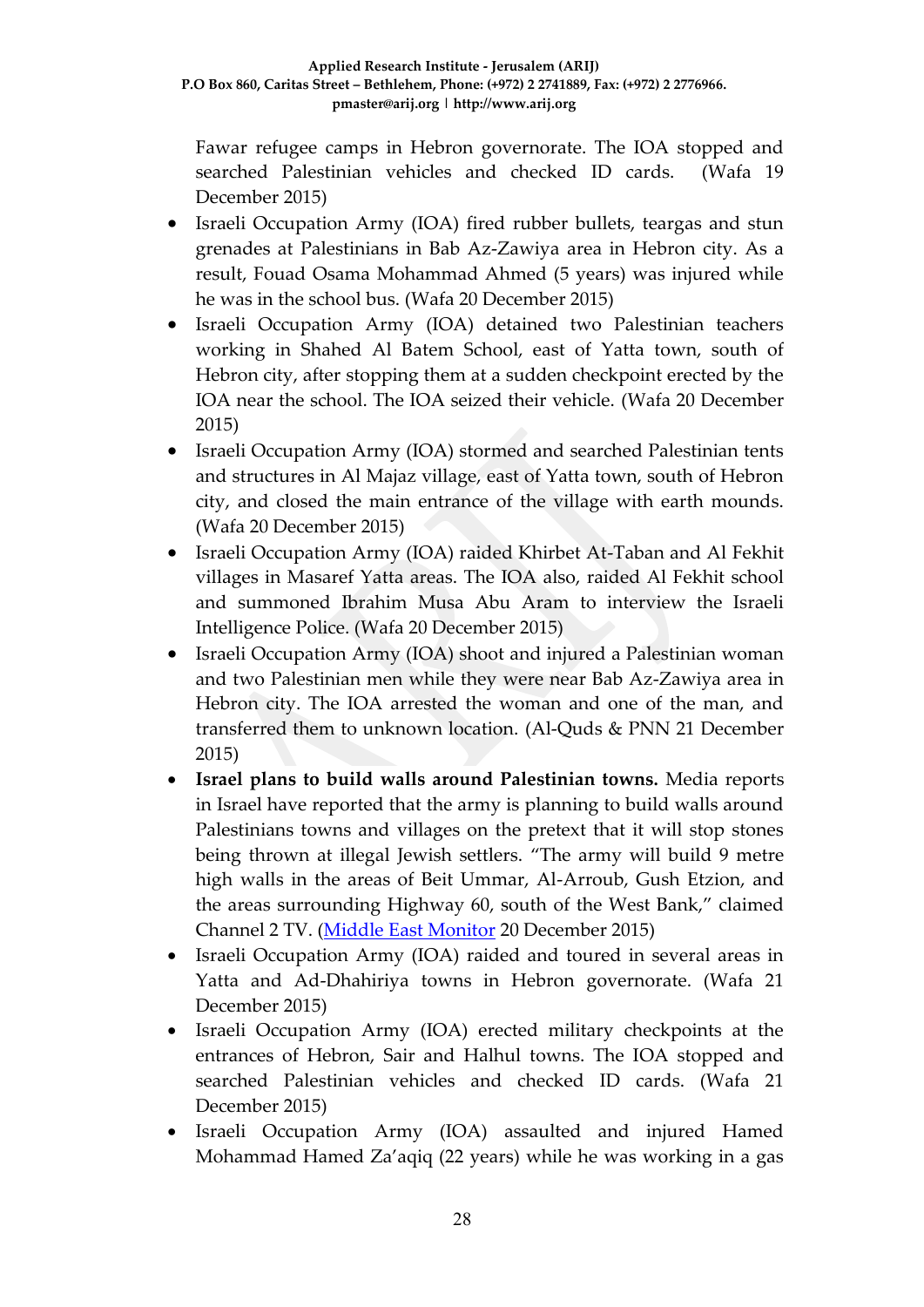Fawar refugee camps in Hebron governorate. The IOA stopped and searched Palestinian vehicles and checked ID cards. (Wafa 19 December 2015)

- Israeli Occupation Army (IOA) fired rubber bullets, teargas and stun grenades at Palestinians in Bab Az-Zawiya area in Hebron city. As a result, Fouad Osama Mohammad Ahmed (5 years) was injured while he was in the school bus. (Wafa 20 December 2015)
- Israeli Occupation Army (IOA) detained two Palestinian teachers working in Shahed Al Batem School, east of Yatta town, south of Hebron city, after stopping them at a sudden checkpoint erected by the IOA near the school. The IOA seized their vehicle. (Wafa 20 December 2015)
- Israeli Occupation Army (IOA) stormed and searched Palestinian tents and structures in Al Majaz village, east of Yatta town, south of Hebron city, and closed the main entrance of the village with earth mounds. (Wafa 20 December 2015)
- Israeli Occupation Army (IOA) raided Khirbet At-Taban and Al Fekhit villages in Masaref Yatta areas. The IOA also, raided Al Fekhit school and summoned Ibrahim Musa Abu Aram to interview the Israeli Intelligence Police. (Wafa 20 December 2015)
- Israeli Occupation Army (IOA) shoot and injured a Palestinian woman and two Palestinian men while they were near Bab Az-Zawiya area in Hebron city. The IOA arrested the woman and one of the man, and transferred them to unknown location. (Al-Quds & PNN 21 December 2015)
- **Israel plans to build walls around Palestinian towns.** Media reports in Israel have reported that the army is planning to build walls around Palestinians towns and villages on the pretext that it will stop stones being thrown at illegal Jewish settlers. "The army will build 9 metre high walls in the areas of Beit Ummar, Al-Arroub, Gush Etzion, and the areas surrounding Highway 60, south of the West Bank," claimed Channel 2 TV. [\(Middle East Monitor](https://www.middleeastmonitor.com/news/middle-east/22911-israel-plans-to-build-walls-around-palestinian-towns) 20 December 2015)
- Israeli Occupation Army (IOA) raided and toured in several areas in Yatta and Ad-Dhahiriya towns in Hebron governorate. (Wafa 21 December 2015)
- Israeli Occupation Army (IOA) erected military checkpoints at the entrances of Hebron, Sair and Halhul towns. The IOA stopped and searched Palestinian vehicles and checked ID cards. (Wafa 21 December 2015)
- Israeli Occupation Army (IOA) assaulted and injured Hamed Mohammad Hamed Za'aqiq (22 years) while he was working in a gas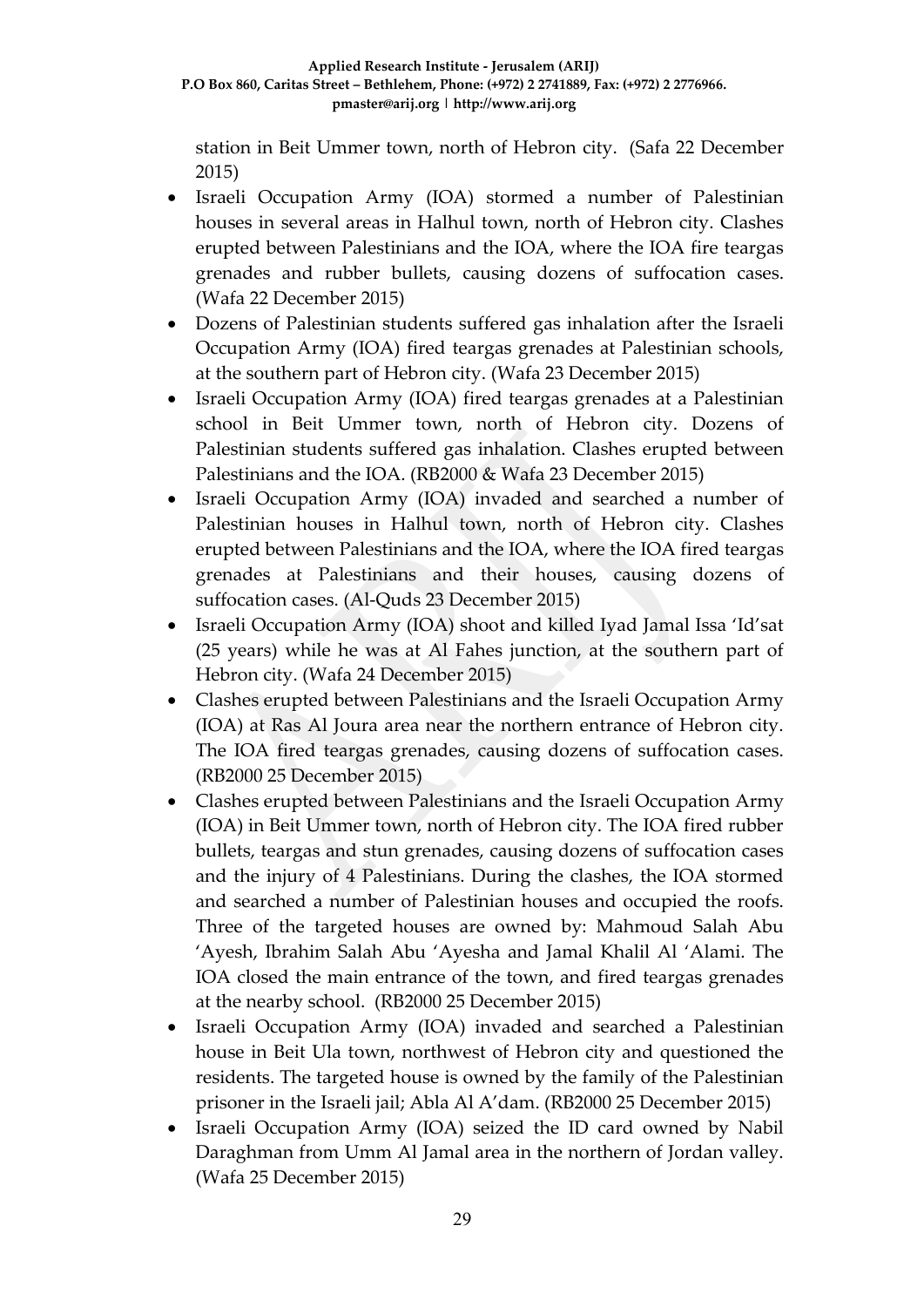station in Beit Ummer town, north of Hebron city. (Safa 22 December 2015)

- Israeli Occupation Army (IOA) stormed a number of Palestinian houses in several areas in Halhul town, north of Hebron city. Clashes erupted between Palestinians and the IOA, where the IOA fire teargas grenades and rubber bullets, causing dozens of suffocation cases. (Wafa 22 December 2015)
- Dozens of Palestinian students suffered gas inhalation after the Israeli Occupation Army (IOA) fired teargas grenades at Palestinian schools, at the southern part of Hebron city. (Wafa 23 December 2015)
- Israeli Occupation Army (IOA) fired teargas grenades at a Palestinian school in Beit Ummer town, north of Hebron city. Dozens of Palestinian students suffered gas inhalation. Clashes erupted between Palestinians and the IOA. (RB2000 & Wafa 23 December 2015)
- Israeli Occupation Army (IOA) invaded and searched a number of Palestinian houses in Halhul town, north of Hebron city. Clashes erupted between Palestinians and the IOA, where the IOA fired teargas grenades at Palestinians and their houses, causing dozens of suffocation cases. (Al-Quds 23 December 2015)
- Israeli Occupation Army (IOA) shoot and killed Iyad Jamal Issa 'Id'sat (25 years) while he was at Al Fahes junction, at the southern part of Hebron city. (Wafa 24 December 2015)
- Clashes erupted between Palestinians and the Israeli Occupation Army (IOA) at Ras Al Joura area near the northern entrance of Hebron city. The IOA fired teargas grenades, causing dozens of suffocation cases. (RB2000 25 December 2015)
- Clashes erupted between Palestinians and the Israeli Occupation Army (IOA) in Beit Ummer town, north of Hebron city. The IOA fired rubber bullets, teargas and stun grenades, causing dozens of suffocation cases and the injury of 4 Palestinians. During the clashes, the IOA stormed and searched a number of Palestinian houses and occupied the roofs. Three of the targeted houses are owned by: Mahmoud Salah Abu 'Ayesh, Ibrahim Salah Abu 'Ayesha and Jamal Khalil Al 'Alami. The IOA closed the main entrance of the town, and fired teargas grenades at the nearby school. (RB2000 25 December 2015)
- Israeli Occupation Army (IOA) invaded and searched a Palestinian house in Beit Ula town, northwest of Hebron city and questioned the residents. The targeted house is owned by the family of the Palestinian prisoner in the Israeli jail; Abla Al A'dam. (RB2000 25 December 2015)
- Israeli Occupation Army (IOA) seized the ID card owned by Nabil Daraghman from Umm Al Jamal area in the northern of Jordan valley. (Wafa 25 December 2015)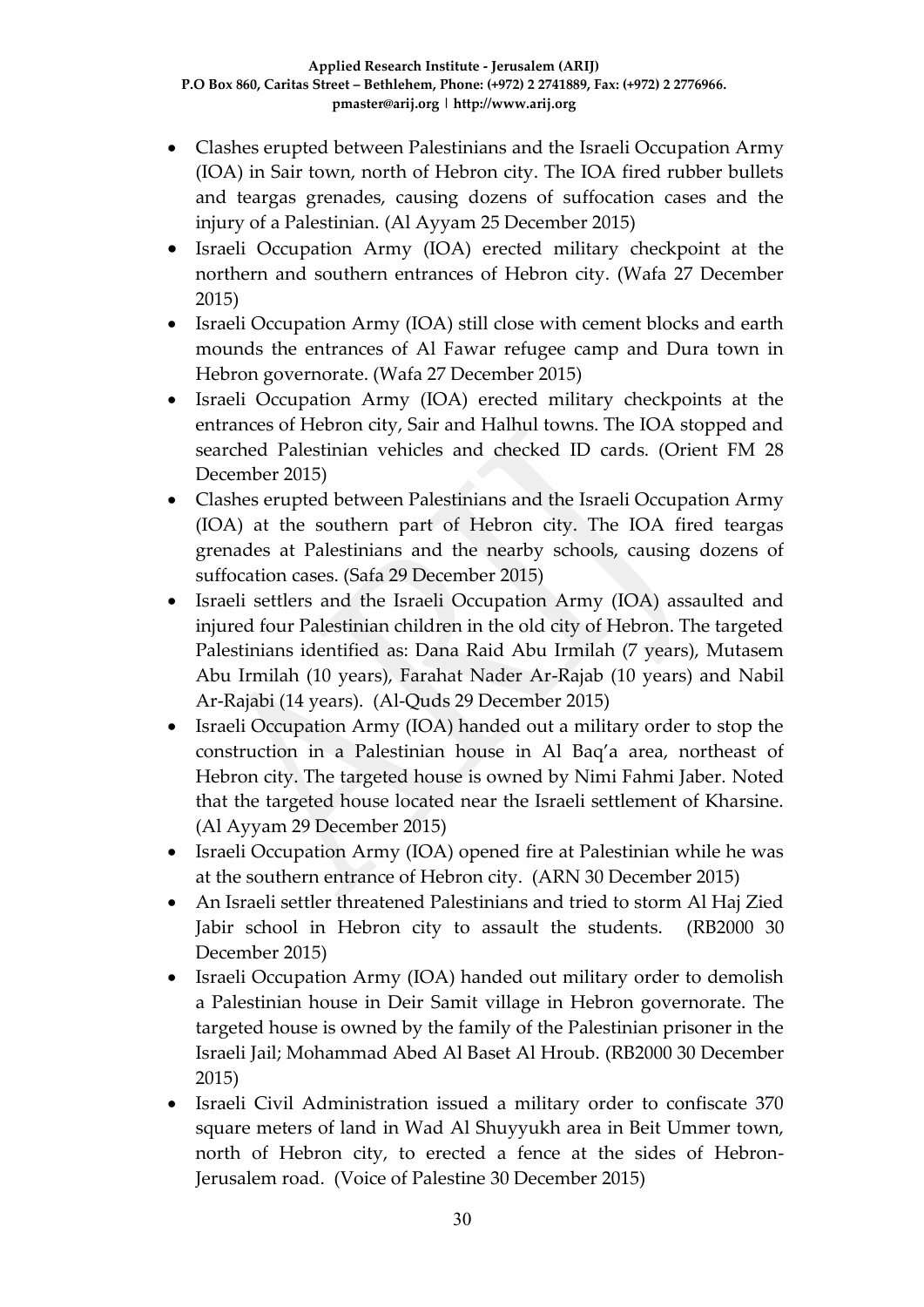- Clashes erupted between Palestinians and the Israeli Occupation Army (IOA) in Sair town, north of Hebron city. The IOA fired rubber bullets and teargas grenades, causing dozens of suffocation cases and the injury of a Palestinian. (Al Ayyam 25 December 2015)
- Israeli Occupation Army (IOA) erected military checkpoint at the northern and southern entrances of Hebron city. (Wafa 27 December 2015)
- Israeli Occupation Army (IOA) still close with cement blocks and earth mounds the entrances of Al Fawar refugee camp and Dura town in Hebron governorate. (Wafa 27 December 2015)
- Israeli Occupation Army (IOA) erected military checkpoints at the entrances of Hebron city, Sair and Halhul towns. The IOA stopped and searched Palestinian vehicles and checked ID cards. (Orient FM 28 December 2015)
- Clashes erupted between Palestinians and the Israeli Occupation Army (IOA) at the southern part of Hebron city. The IOA fired teargas grenades at Palestinians and the nearby schools, causing dozens of suffocation cases. (Safa 29 December 2015)
- Israeli settlers and the Israeli Occupation Army (IOA) assaulted and injured four Palestinian children in the old city of Hebron. The targeted Palestinians identified as: Dana Raid Abu Irmilah (7 years), Mutasem Abu Irmilah (10 years), Farahat Nader Ar-Rajab (10 years) and Nabil Ar-Rajabi (14 years). (Al-Quds 29 December 2015)
- Israeli Occupation Army (IOA) handed out a military order to stop the construction in a Palestinian house in Al Baq'a area, northeast of Hebron city. The targeted house is owned by Nimi Fahmi Jaber. Noted that the targeted house located near the Israeli settlement of Kharsine. (Al Ayyam 29 December 2015)
- Israeli Occupation Army (IOA) opened fire at Palestinian while he was at the southern entrance of Hebron city. (ARN 30 December 2015)
- An Israeli settler threatened Palestinians and tried to storm Al Haj Zied Jabir school in Hebron city to assault the students. (RB2000 30 December 2015)
- Israeli Occupation Army (IOA) handed out military order to demolish a Palestinian house in Deir Samit village in Hebron governorate. The targeted house is owned by the family of the Palestinian prisoner in the Israeli Jail; Mohammad Abed Al Baset Al Hroub. (RB2000 30 December 2015)
- Israeli Civil Administration issued a military order to confiscate 370 square meters of land in Wad Al Shuyyukh area in Beit Ummer town, north of Hebron city, to erected a fence at the sides of Hebron-Jerusalem road. (Voice of Palestine 30 December 2015)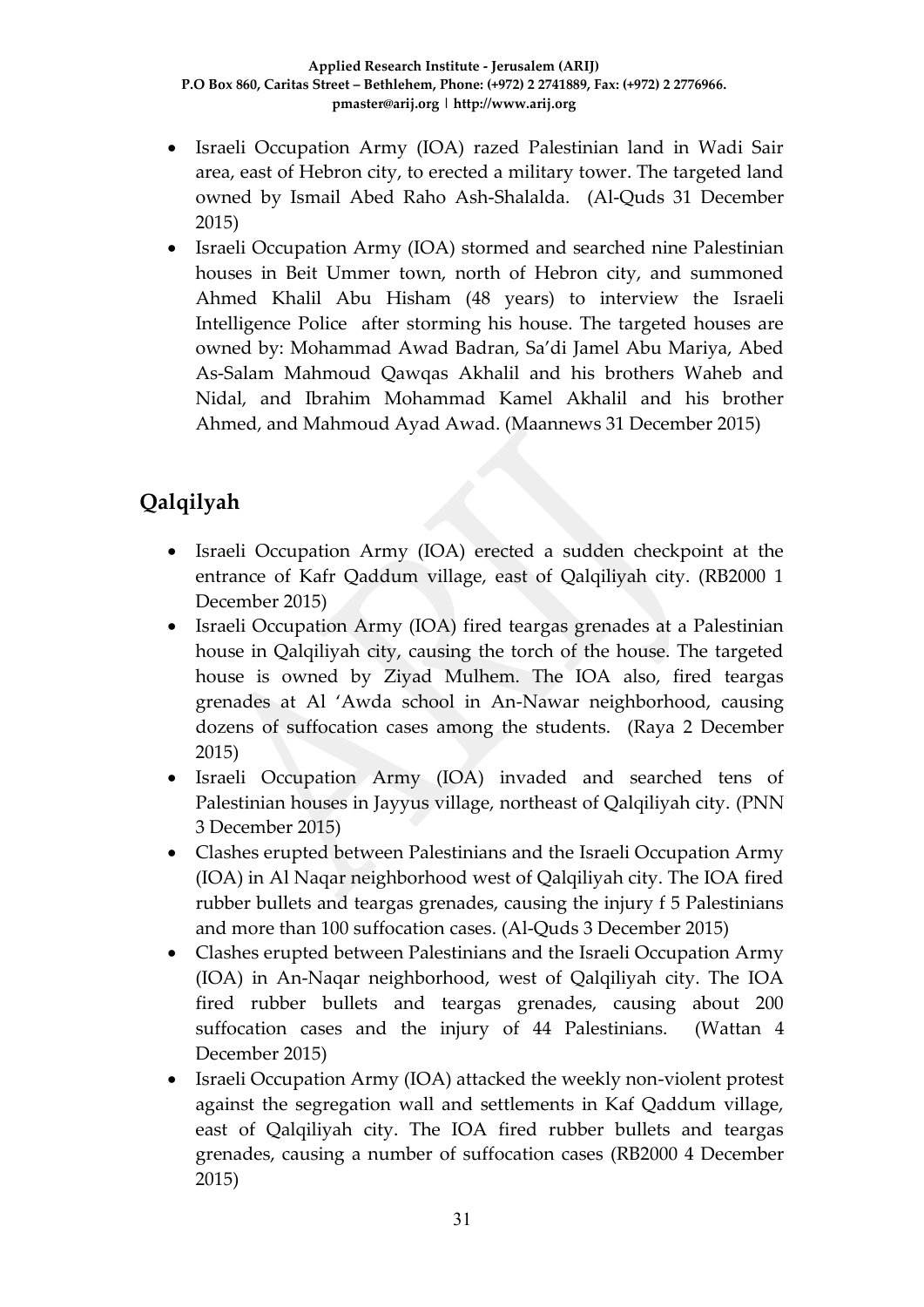- Israeli Occupation Army (IOA) razed Palestinian land in Wadi Sair area, east of Hebron city, to erected a military tower. The targeted land owned by Ismail Abed Raho Ash-Shalalda. (Al-Quds 31 December 2015)
- Israeli Occupation Army (IOA) stormed and searched nine Palestinian houses in Beit Ummer town, north of Hebron city, and summoned Ahmed Khalil Abu Hisham (48 years) to interview the Israeli Intelligence Police after storming his house. The targeted houses are owned by: Mohammad Awad Badran, Sa'di Jamel Abu Mariya, Abed As-Salam Mahmoud Qawqas Akhalil and his brothers Waheb and Nidal, and Ibrahim Mohammad Kamel Akhalil and his brother Ahmed, and Mahmoud Ayad Awad. (Maannews 31 December 2015)

# **Qalqilyah**

- Israeli Occupation Army (IOA) erected a sudden checkpoint at the entrance of Kafr Qaddum village, east of Qalqiliyah city. (RB2000 1 December 2015)
- Israeli Occupation Army (IOA) fired teargas grenades at a Palestinian house in Qalqiliyah city, causing the torch of the house. The targeted house is owned by Ziyad Mulhem. The IOA also, fired teargas grenades at Al 'Awda school in An-Nawar neighborhood, causing dozens of suffocation cases among the students. (Raya 2 December 2015)
- Israeli Occupation Army (IOA) invaded and searched tens of Palestinian houses in Jayyus village, northeast of Qalqiliyah city. (PNN 3 December 2015)
- Clashes erupted between Palestinians and the Israeli Occupation Army (IOA) in Al Naqar neighborhood west of Qalqiliyah city. The IOA fired rubber bullets and teargas grenades, causing the injury f 5 Palestinians and more than 100 suffocation cases. (Al-Quds 3 December 2015)
- Clashes erupted between Palestinians and the Israeli Occupation Army (IOA) in An-Naqar neighborhood, west of Qalqiliyah city. The IOA fired rubber bullets and teargas grenades, causing about 200 suffocation cases and the injury of 44 Palestinians. (Wattan 4 December 2015)
- Israeli Occupation Army (IOA) attacked the weekly non-violent protest against the segregation wall and settlements in Kaf Qaddum village, east of Qalqiliyah city. The IOA fired rubber bullets and teargas grenades, causing a number of suffocation cases (RB2000 4 December 2015)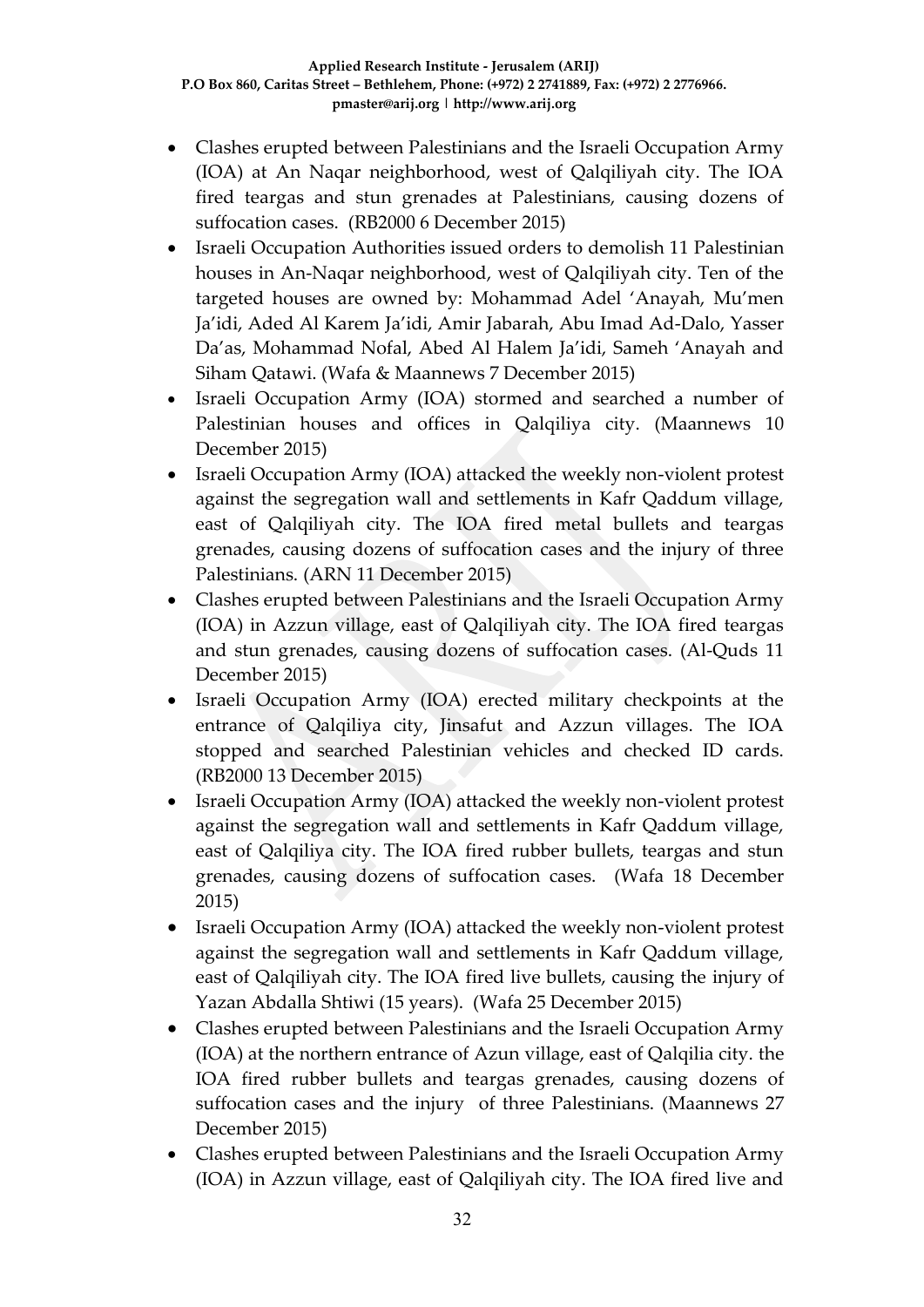- Clashes erupted between Palestinians and the Israeli Occupation Army (IOA) at An Naqar neighborhood, west of Qalqiliyah city. The IOA fired teargas and stun grenades at Palestinians, causing dozens of suffocation cases. (RB2000 6 December 2015)
- Israeli Occupation Authorities issued orders to demolish 11 Palestinian houses in An-Naqar neighborhood, west of Qalqiliyah city. Ten of the targeted houses are owned by: Mohammad Adel 'Anayah, Mu'men Ja'idi, Aded Al Karem Ja'idi, Amir Jabarah, Abu Imad Ad-Dalo, Yasser Da'as, Mohammad Nofal, Abed Al Halem Ja'idi, Sameh 'Anayah and Siham Qatawi. (Wafa & Maannews 7 December 2015)
- Israeli Occupation Army (IOA) stormed and searched a number of Palestinian houses and offices in Qalqiliya city. (Maannews 10 December 2015)
- Israeli Occupation Army (IOA) attacked the weekly non-violent protest against the segregation wall and settlements in Kafr Qaddum village, east of Qalqiliyah city. The IOA fired metal bullets and teargas grenades, causing dozens of suffocation cases and the injury of three Palestinians. (ARN 11 December 2015)
- Clashes erupted between Palestinians and the Israeli Occupation Army (IOA) in Azzun village, east of Qalqiliyah city. The IOA fired teargas and stun grenades, causing dozens of suffocation cases. (Al-Quds 11 December 2015)
- Israeli Occupation Army (IOA) erected military checkpoints at the entrance of Qalqiliya city, Jinsafut and Azzun villages. The IOA stopped and searched Palestinian vehicles and checked ID cards. (RB2000 13 December 2015)
- Israeli Occupation Army (IOA) attacked the weekly non-violent protest against the segregation wall and settlements in Kafr Qaddum village, east of Qalqiliya city. The IOA fired rubber bullets, teargas and stun grenades, causing dozens of suffocation cases. (Wafa 18 December 2015)
- Israeli Occupation Army (IOA) attacked the weekly non-violent protest against the segregation wall and settlements in Kafr Qaddum village, east of Qalqiliyah city. The IOA fired live bullets, causing the injury of Yazan Abdalla Shtiwi (15 years). (Wafa 25 December 2015)
- Clashes erupted between Palestinians and the Israeli Occupation Army (IOA) at the northern entrance of Azun village, east of Qalqilia city. the IOA fired rubber bullets and teargas grenades, causing dozens of suffocation cases and the injury of three Palestinians. (Maannews 27 December 2015)
- Clashes erupted between Palestinians and the Israeli Occupation Army (IOA) in Azzun village, east of Qalqiliyah city. The IOA fired live and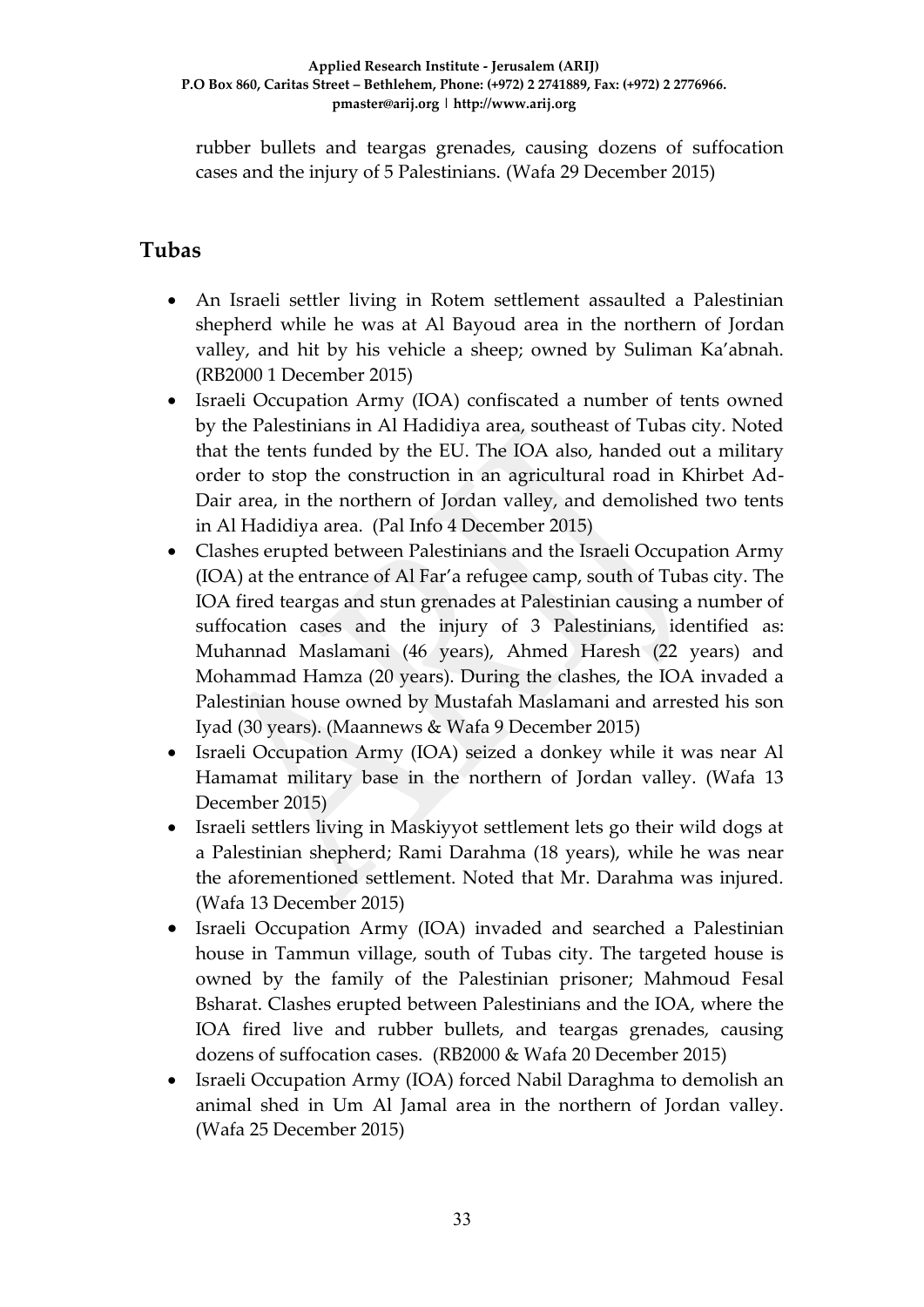rubber bullets and teargas grenades, causing dozens of suffocation cases and the injury of 5 Palestinians. (Wafa 29 December 2015)

# **Tubas**

- An Israeli settler living in Rotem settlement assaulted a Palestinian shepherd while he was at Al Bayoud area in the northern of Jordan valley, and hit by his vehicle a sheep; owned by Suliman Ka'abnah. (RB2000 1 December 2015)
- Israeli Occupation Army (IOA) confiscated a number of tents owned by the Palestinians in Al Hadidiya area, southeast of Tubas city. Noted that the tents funded by the EU. The IOA also, handed out a military order to stop the construction in an agricultural road in Khirbet Ad-Dair area, in the northern of Jordan valley, and demolished two tents in Al Hadidiya area. (Pal Info 4 December 2015)
- Clashes erupted between Palestinians and the Israeli Occupation Army (IOA) at the entrance of Al Far'a refugee camp, south of Tubas city. The IOA fired teargas and stun grenades at Palestinian causing a number of suffocation cases and the injury of 3 Palestinians, identified as: Muhannad Maslamani (46 years), Ahmed Haresh (22 years) and Mohammad Hamza (20 years). During the clashes, the IOA invaded a Palestinian house owned by Mustafah Maslamani and arrested his son Iyad (30 years). (Maannews & Wafa 9 December 2015)
- Israeli Occupation Army (IOA) seized a donkey while it was near Al Hamamat military base in the northern of Jordan valley. (Wafa 13 December 2015)
- Israeli settlers living in Maskiyyot settlement lets go their wild dogs at a Palestinian shepherd; Rami Darahma (18 years), while he was near the aforementioned settlement. Noted that Mr. Darahma was injured. (Wafa 13 December 2015)
- Israeli Occupation Army (IOA) invaded and searched a Palestinian house in Tammun village, south of Tubas city. The targeted house is owned by the family of the Palestinian prisoner; Mahmoud Fesal Bsharat. Clashes erupted between Palestinians and the IOA, where the IOA fired live and rubber bullets, and teargas grenades, causing dozens of suffocation cases. (RB2000 & Wafa 20 December 2015)
- Israeli Occupation Army (IOA) forced Nabil Daraghma to demolish an animal shed in Um Al Jamal area in the northern of Jordan valley. (Wafa 25 December 2015)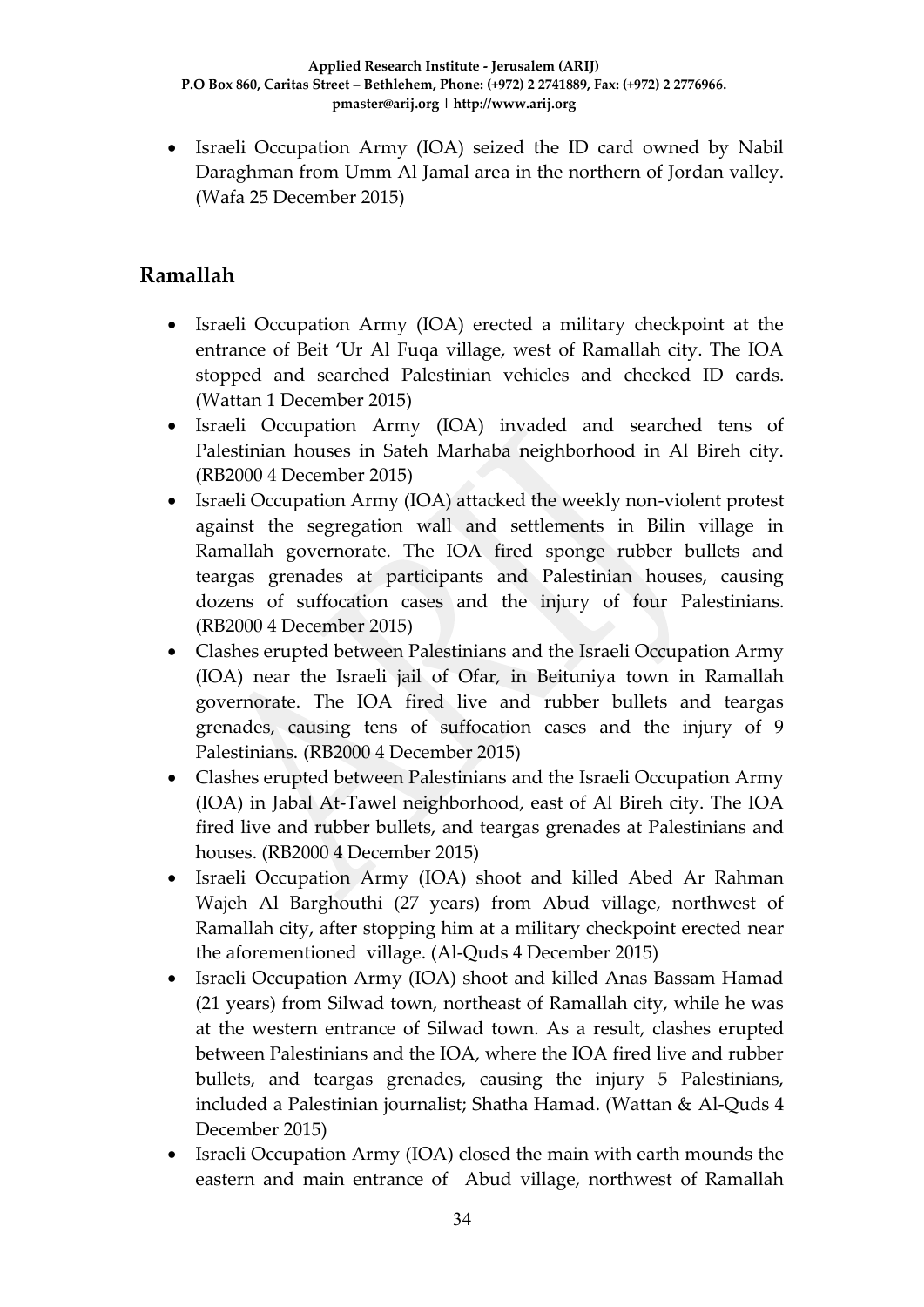• Israeli Occupation Army (IOA) seized the ID card owned by Nabil Daraghman from Umm Al Jamal area in the northern of Jordan valley. (Wafa 25 December 2015)

# **Ramallah**

- Israeli Occupation Army (IOA) erected a military checkpoint at the entrance of Beit 'Ur Al Fuqa village, west of Ramallah city. The IOA stopped and searched Palestinian vehicles and checked ID cards. (Wattan 1 December 2015)
- Israeli Occupation Army (IOA) invaded and searched tens of Palestinian houses in Sateh Marhaba neighborhood in Al Bireh city. (RB2000 4 December 2015)
- Israeli Occupation Army (IOA) attacked the weekly non-violent protest against the segregation wall and settlements in Bilin village in Ramallah governorate. The IOA fired sponge rubber bullets and teargas grenades at participants and Palestinian houses, causing dozens of suffocation cases and the injury of four Palestinians. (RB2000 4 December 2015)
- Clashes erupted between Palestinians and the Israeli Occupation Army (IOA) near the Israeli jail of Ofar, in Beituniya town in Ramallah governorate. The IOA fired live and rubber bullets and teargas grenades, causing tens of suffocation cases and the injury of 9 Palestinians. (RB2000 4 December 2015)
- Clashes erupted between Palestinians and the Israeli Occupation Army (IOA) in Jabal At-Tawel neighborhood, east of Al Bireh city. The IOA fired live and rubber bullets, and teargas grenades at Palestinians and houses. (RB2000 4 December 2015)
- Israeli Occupation Army (IOA) shoot and killed Abed Ar Rahman Wajeh Al Barghouthi (27 years) from Abud village, northwest of Ramallah city, after stopping him at a military checkpoint erected near the aforementioned village. (Al-Quds 4 December 2015)
- Israeli Occupation Army (IOA) shoot and killed Anas Bassam Hamad (21 years) from Silwad town, northeast of Ramallah city, while he was at the western entrance of Silwad town. As a result, clashes erupted between Palestinians and the IOA, where the IOA fired live and rubber bullets, and teargas grenades, causing the injury 5 Palestinians, included a Palestinian journalist; Shatha Hamad. (Wattan & Al-Quds 4 December 2015)
- Israeli Occupation Army (IOA) closed the main with earth mounds the eastern and main entrance of Abud village, northwest of Ramallah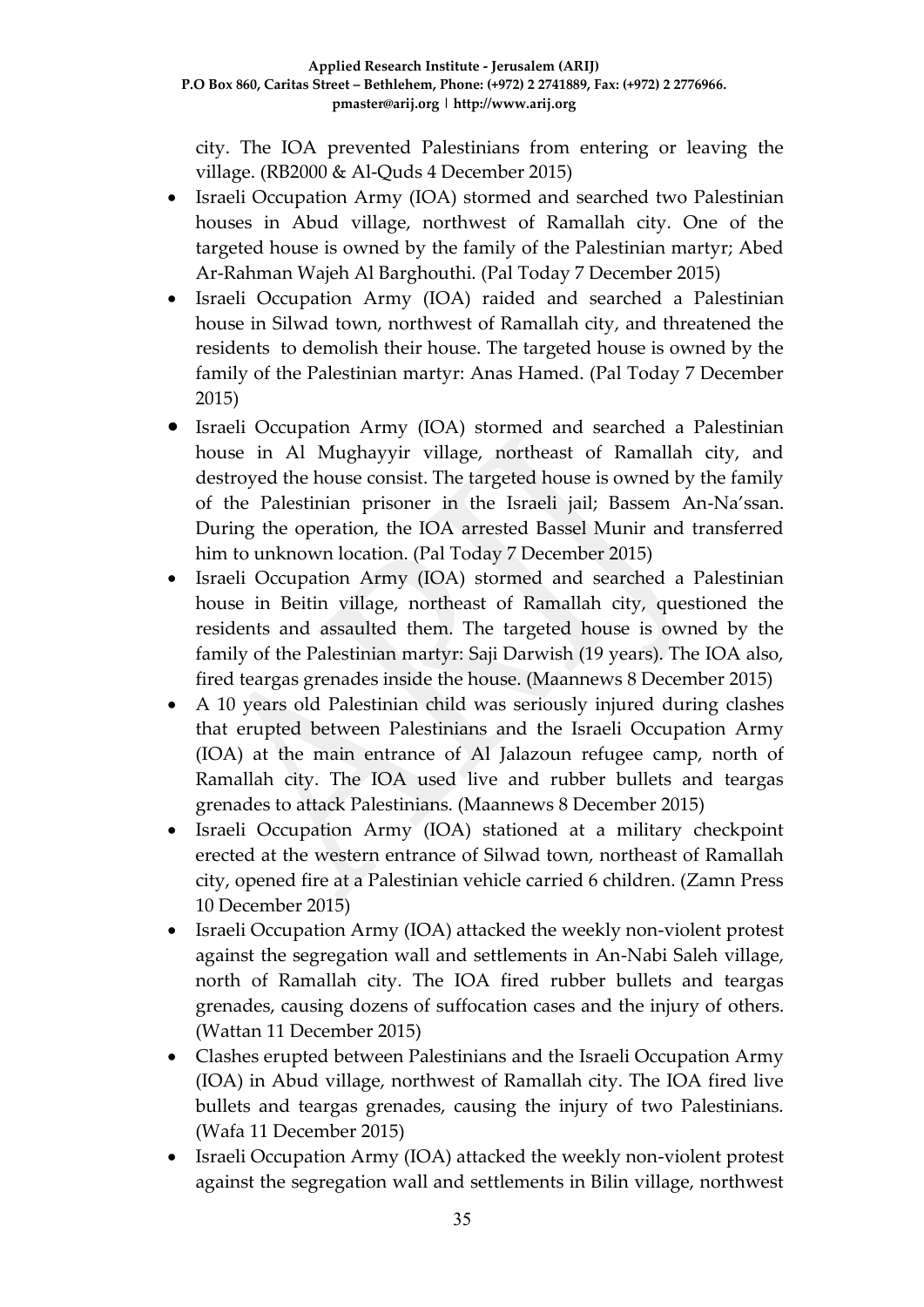city. The IOA prevented Palestinians from entering or leaving the village. (RB2000 & Al-Quds 4 December 2015)

- Israeli Occupation Army (IOA) stormed and searched two Palestinian houses in Abud village, northwest of Ramallah city. One of the targeted house is owned by the family of the Palestinian martyr; Abed Ar-Rahman Wajeh Al Barghouthi. (Pal Today 7 December 2015)
- Israeli Occupation Army (IOA) raided and searched a Palestinian house in Silwad town, northwest of Ramallah city, and threatened the residents to demolish their house. The targeted house is owned by the family of the Palestinian martyr: Anas Hamed. (Pal Today 7 December 2015)
- Israeli Occupation Army (IOA) stormed and searched a Palestinian house in Al Mughayyir village, northeast of Ramallah city, and destroyed the house consist. The targeted house is owned by the family of the Palestinian prisoner in the Israeli jail; Bassem An-Na'ssan. During the operation, the IOA arrested Bassel Munir and transferred him to unknown location. (Pal Today 7 December 2015)
- Israeli Occupation Army (IOA) stormed and searched a Palestinian house in Beitin village, northeast of Ramallah city, questioned the residents and assaulted them. The targeted house is owned by the family of the Palestinian martyr: Saji Darwish (19 years). The IOA also, fired teargas grenades inside the house. (Maannews 8 December 2015)
- A 10 years old Palestinian child was seriously injured during clashes that erupted between Palestinians and the Israeli Occupation Army (IOA) at the main entrance of Al Jalazoun refugee camp, north of Ramallah city. The IOA used live and rubber bullets and teargas grenades to attack Palestinians. (Maannews 8 December 2015)
- Israeli Occupation Army (IOA) stationed at a military checkpoint erected at the western entrance of Silwad town, northeast of Ramallah city, opened fire at a Palestinian vehicle carried 6 children. (Zamn Press 10 December 2015)
- Israeli Occupation Army (IOA) attacked the weekly non-violent protest against the segregation wall and settlements in An-Nabi Saleh village, north of Ramallah city. The IOA fired rubber bullets and teargas grenades, causing dozens of suffocation cases and the injury of others. (Wattan 11 December 2015)
- Clashes erupted between Palestinians and the Israeli Occupation Army (IOA) in Abud village, northwest of Ramallah city. The IOA fired live bullets and teargas grenades, causing the injury of two Palestinians. (Wafa 11 December 2015)
- Israeli Occupation Army (IOA) attacked the weekly non-violent protest against the segregation wall and settlements in Bilin village, northwest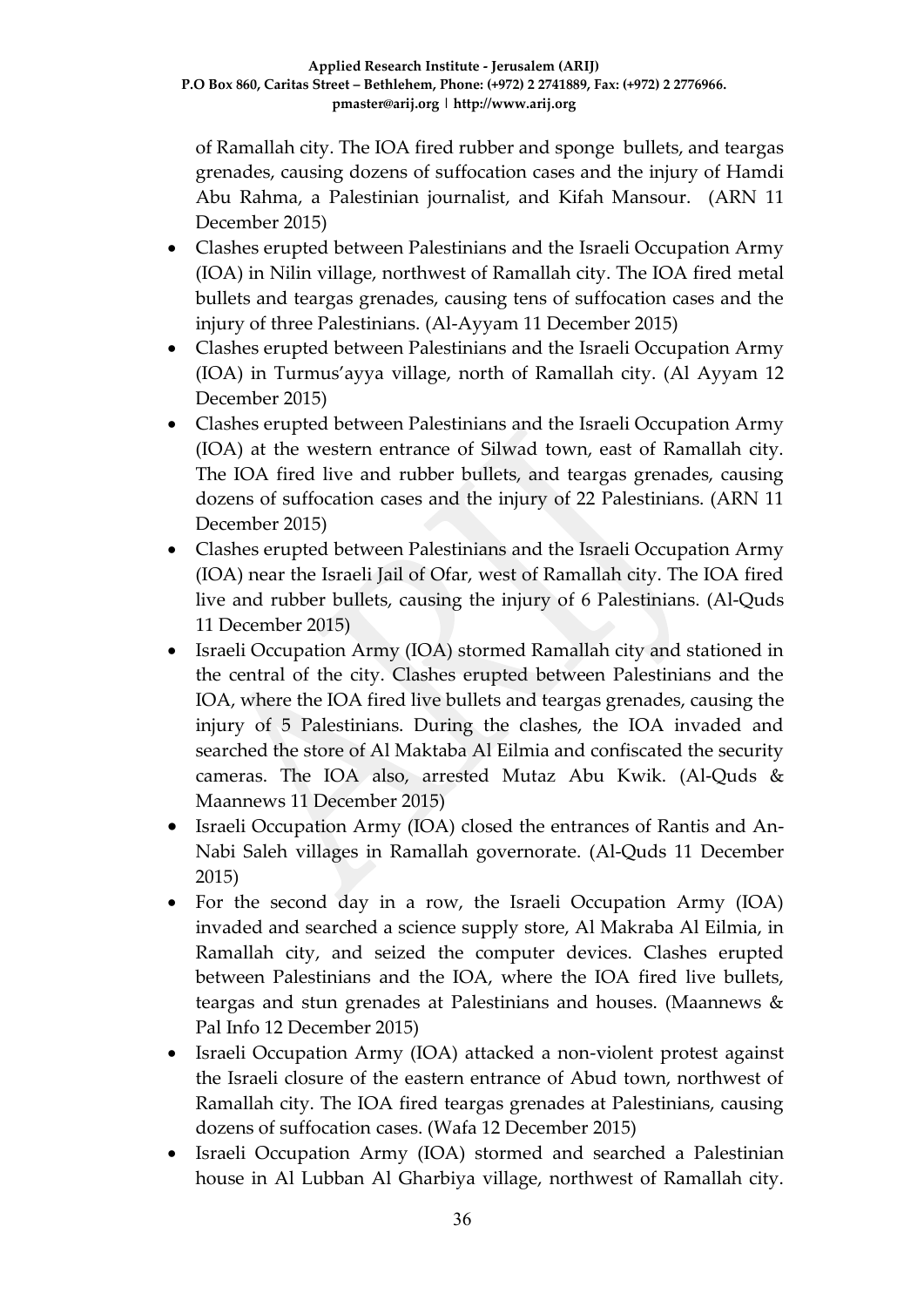of Ramallah city. The IOA fired rubber and sponge bullets, and teargas grenades, causing dozens of suffocation cases and the injury of Hamdi Abu Rahma, a Palestinian journalist, and Kifah Mansour. (ARN 11 December 2015)

- Clashes erupted between Palestinians and the Israeli Occupation Army (IOA) in Nilin village, northwest of Ramallah city. The IOA fired metal bullets and teargas grenades, causing tens of suffocation cases and the injury of three Palestinians. (Al-Ayyam 11 December 2015)
- Clashes erupted between Palestinians and the Israeli Occupation Army (IOA) in Turmus'ayya village, north of Ramallah city. (Al Ayyam 12 December 2015)
- Clashes erupted between Palestinians and the Israeli Occupation Army (IOA) at the western entrance of Silwad town, east of Ramallah city. The IOA fired live and rubber bullets, and teargas grenades, causing dozens of suffocation cases and the injury of 22 Palestinians. (ARN 11 December 2015)
- Clashes erupted between Palestinians and the Israeli Occupation Army (IOA) near the Israeli Jail of Ofar, west of Ramallah city. The IOA fired live and rubber bullets, causing the injury of 6 Palestinians. (Al-Quds 11 December 2015)
- Israeli Occupation Army (IOA) stormed Ramallah city and stationed in the central of the city. Clashes erupted between Palestinians and the IOA, where the IOA fired live bullets and teargas grenades, causing the injury of 5 Palestinians. During the clashes, the IOA invaded and searched the store of Al Maktaba Al Eilmia and confiscated the security cameras. The IOA also, arrested Mutaz Abu Kwik. (Al-Quds & Maannews 11 December 2015)
- Israeli Occupation Army (IOA) closed the entrances of Rantis and An-Nabi Saleh villages in Ramallah governorate. (Al-Quds 11 December 2015)
- For the second day in a row, the Israeli Occupation Army (IOA) invaded and searched a science supply store, Al Makraba Al Eilmia, in Ramallah city, and seized the computer devices. Clashes erupted between Palestinians and the IOA, where the IOA fired live bullets, teargas and stun grenades at Palestinians and houses. (Maannews & Pal Info 12 December 2015)
- Israeli Occupation Army (IOA) attacked a non-violent protest against the Israeli closure of the eastern entrance of Abud town, northwest of Ramallah city. The IOA fired teargas grenades at Palestinians, causing dozens of suffocation cases. (Wafa 12 December 2015)
- Israeli Occupation Army (IOA) stormed and searched a Palestinian house in Al Lubban Al Gharbiya village, northwest of Ramallah city.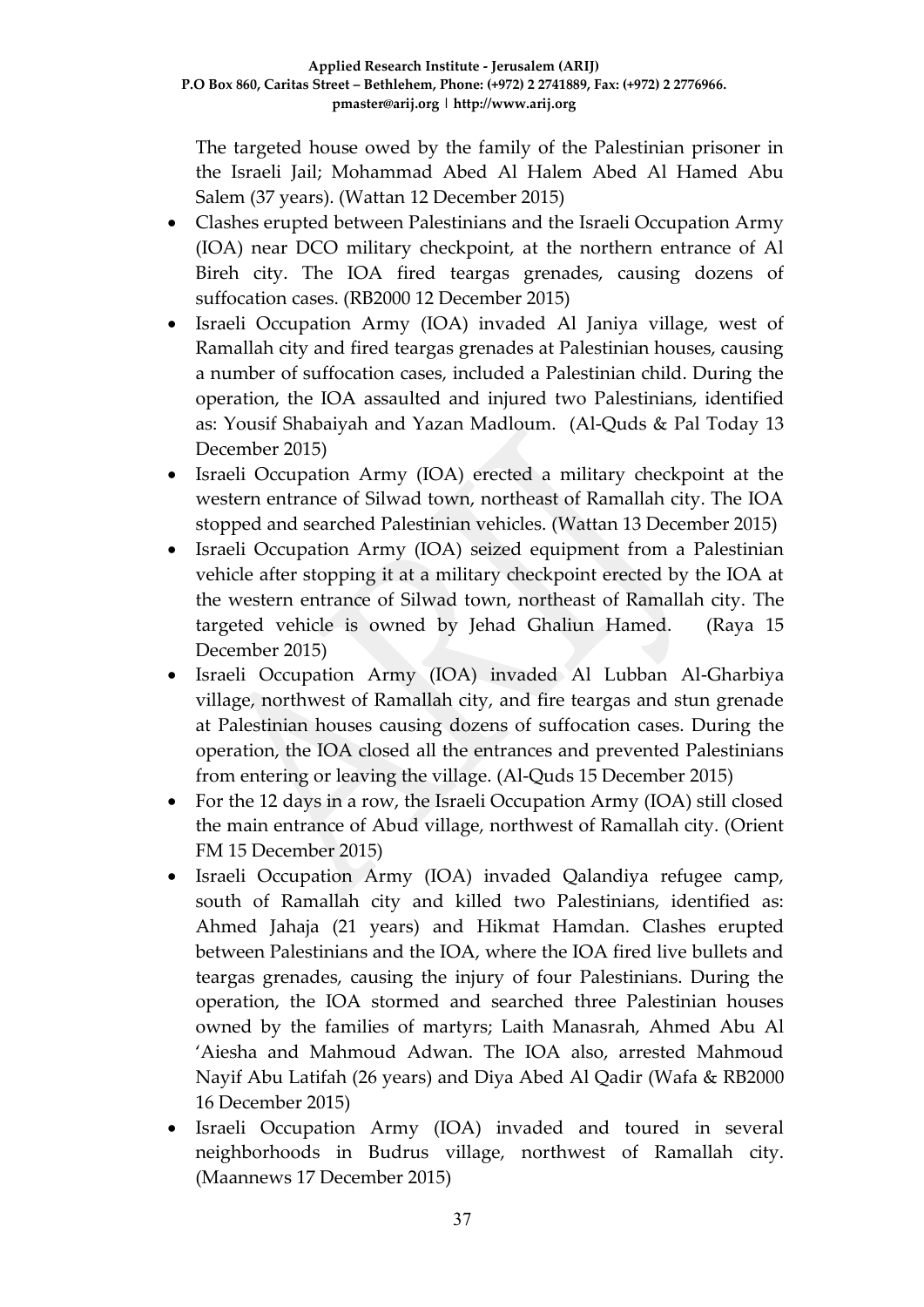The targeted house owed by the family of the Palestinian prisoner in the Israeli Jail; Mohammad Abed Al Halem Abed Al Hamed Abu Salem (37 years). (Wattan 12 December 2015)

- Clashes erupted between Palestinians and the Israeli Occupation Army (IOA) near DCO military checkpoint, at the northern entrance of Al Bireh city. The IOA fired teargas grenades, causing dozens of suffocation cases. (RB2000 12 December 2015)
- Israeli Occupation Army (IOA) invaded Al Janiya village, west of Ramallah city and fired teargas grenades at Palestinian houses, causing a number of suffocation cases, included a Palestinian child. During the operation, the IOA assaulted and injured two Palestinians, identified as: Yousif Shabaiyah and Yazan Madloum. (Al-Quds & Pal Today 13 December 2015)
- Israeli Occupation Army (IOA) erected a military checkpoint at the western entrance of Silwad town, northeast of Ramallah city. The IOA stopped and searched Palestinian vehicles. (Wattan 13 December 2015)
- Israeli Occupation Army (IOA) seized equipment from a Palestinian vehicle after stopping it at a military checkpoint erected by the IOA at the western entrance of Silwad town, northeast of Ramallah city. The targeted vehicle is owned by Jehad Ghaliun Hamed. (Raya 15 December 2015)
- Israeli Occupation Army (IOA) invaded Al Lubban Al-Gharbiya village, northwest of Ramallah city, and fire teargas and stun grenade at Palestinian houses causing dozens of suffocation cases. During the operation, the IOA closed all the entrances and prevented Palestinians from entering or leaving the village. (Al-Quds 15 December 2015)
- For the 12 days in a row, the Israeli Occupation Army (IOA) still closed the main entrance of Abud village, northwest of Ramallah city. (Orient FM 15 December 2015)
- Israeli Occupation Army (IOA) invaded Qalandiya refugee camp, south of Ramallah city and killed two Palestinians, identified as: Ahmed Jahaja (21 years) and Hikmat Hamdan. Clashes erupted between Palestinians and the IOA, where the IOA fired live bullets and teargas grenades, causing the injury of four Palestinians. During the operation, the IOA stormed and searched three Palestinian houses owned by the families of martyrs; Laith Manasrah, Ahmed Abu Al 'Aiesha and Mahmoud Adwan. The IOA also, arrested Mahmoud Nayif Abu Latifah (26 years) and Diya Abed Al Qadir (Wafa & RB2000 16 December 2015)
- Israeli Occupation Army (IOA) invaded and toured in several neighborhoods in Budrus village, northwest of Ramallah city. (Maannews 17 December 2015)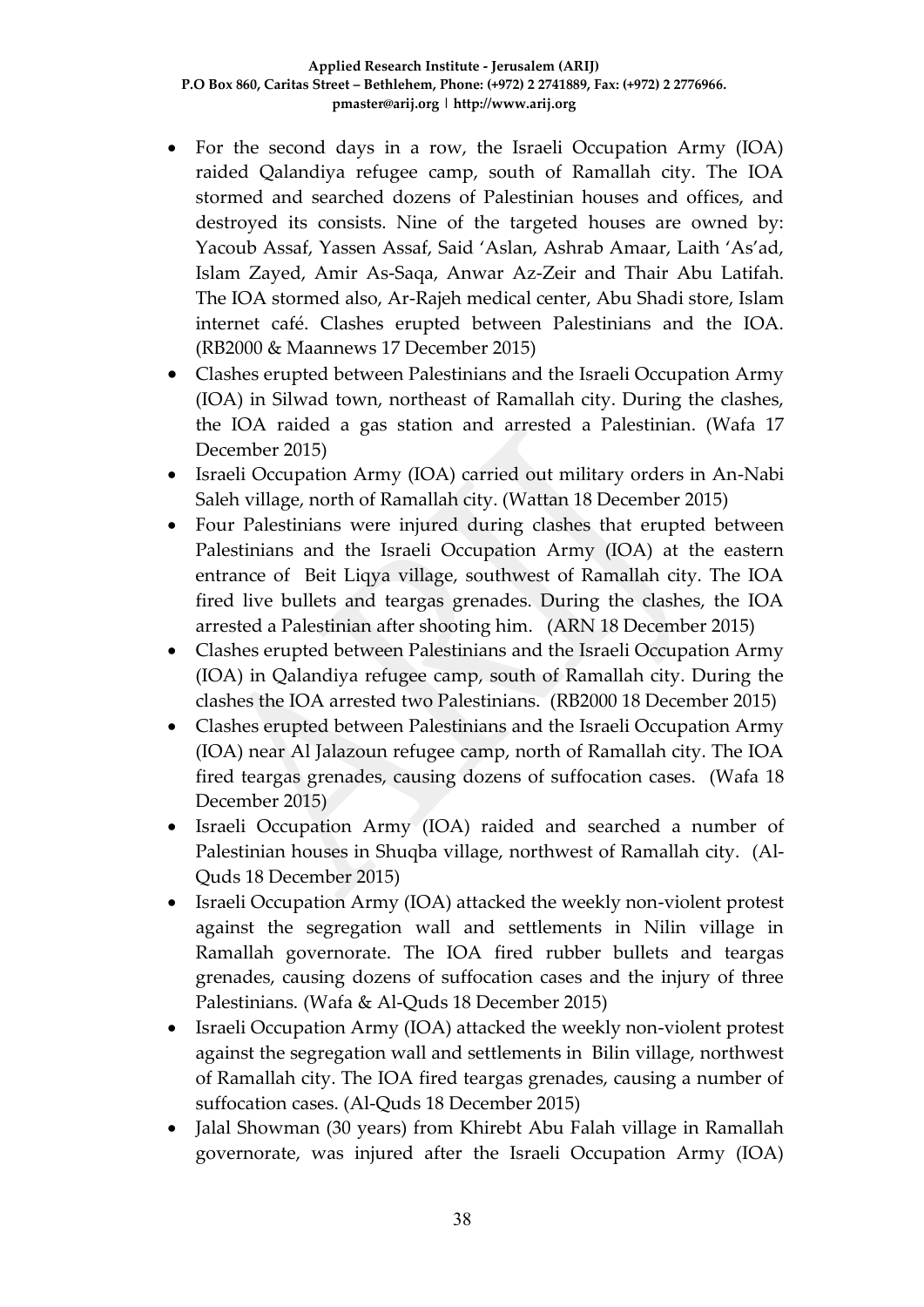- For the second days in a row, the Israeli Occupation Army (IOA) raided Qalandiya refugee camp, south of Ramallah city. The IOA stormed and searched dozens of Palestinian houses and offices, and destroyed its consists. Nine of the targeted houses are owned by: Yacoub Assaf, Yassen Assaf, Said 'Aslan, Ashrab Amaar, Laith 'As'ad, Islam Zayed, Amir As-Saqa, Anwar Az-Zeir and Thair Abu Latifah. The IOA stormed also, Ar-Rajeh medical center, Abu Shadi store, Islam internet café. Clashes erupted between Palestinians and the IOA. (RB2000 & Maannews 17 December 2015)
- Clashes erupted between Palestinians and the Israeli Occupation Army (IOA) in Silwad town, northeast of Ramallah city. During the clashes, the IOA raided a gas station and arrested a Palestinian. (Wafa 17 December 2015)
- Israeli Occupation Army (IOA) carried out military orders in An-Nabi Saleh village, north of Ramallah city. (Wattan 18 December 2015)
- Four Palestinians were injured during clashes that erupted between Palestinians and the Israeli Occupation Army (IOA) at the eastern entrance of Beit Liqya village, southwest of Ramallah city. The IOA fired live bullets and teargas grenades. During the clashes, the IOA arrested a Palestinian after shooting him. (ARN 18 December 2015)
- Clashes erupted between Palestinians and the Israeli Occupation Army (IOA) in Qalandiya refugee camp, south of Ramallah city. During the clashes the IOA arrested two Palestinians. (RB2000 18 December 2015)
- Clashes erupted between Palestinians and the Israeli Occupation Army (IOA) near Al Jalazoun refugee camp, north of Ramallah city. The IOA fired teargas grenades, causing dozens of suffocation cases. (Wafa 18 December 2015)
- Israeli Occupation Army (IOA) raided and searched a number of Palestinian houses in Shuqba village, northwest of Ramallah city. (Al-Quds 18 December 2015)
- Israeli Occupation Army (IOA) attacked the weekly non-violent protest against the segregation wall and settlements in Nilin village in Ramallah governorate. The IOA fired rubber bullets and teargas grenades, causing dozens of suffocation cases and the injury of three Palestinians. (Wafa & Al-Quds 18 December 2015)
- Israeli Occupation Army (IOA) attacked the weekly non-violent protest against the segregation wall and settlements in Bilin village, northwest of Ramallah city. The IOA fired teargas grenades, causing a number of suffocation cases. (Al-Quds 18 December 2015)
- Jalal Showman (30 years) from Khirebt Abu Falah village in Ramallah governorate, was injured after the Israeli Occupation Army (IOA)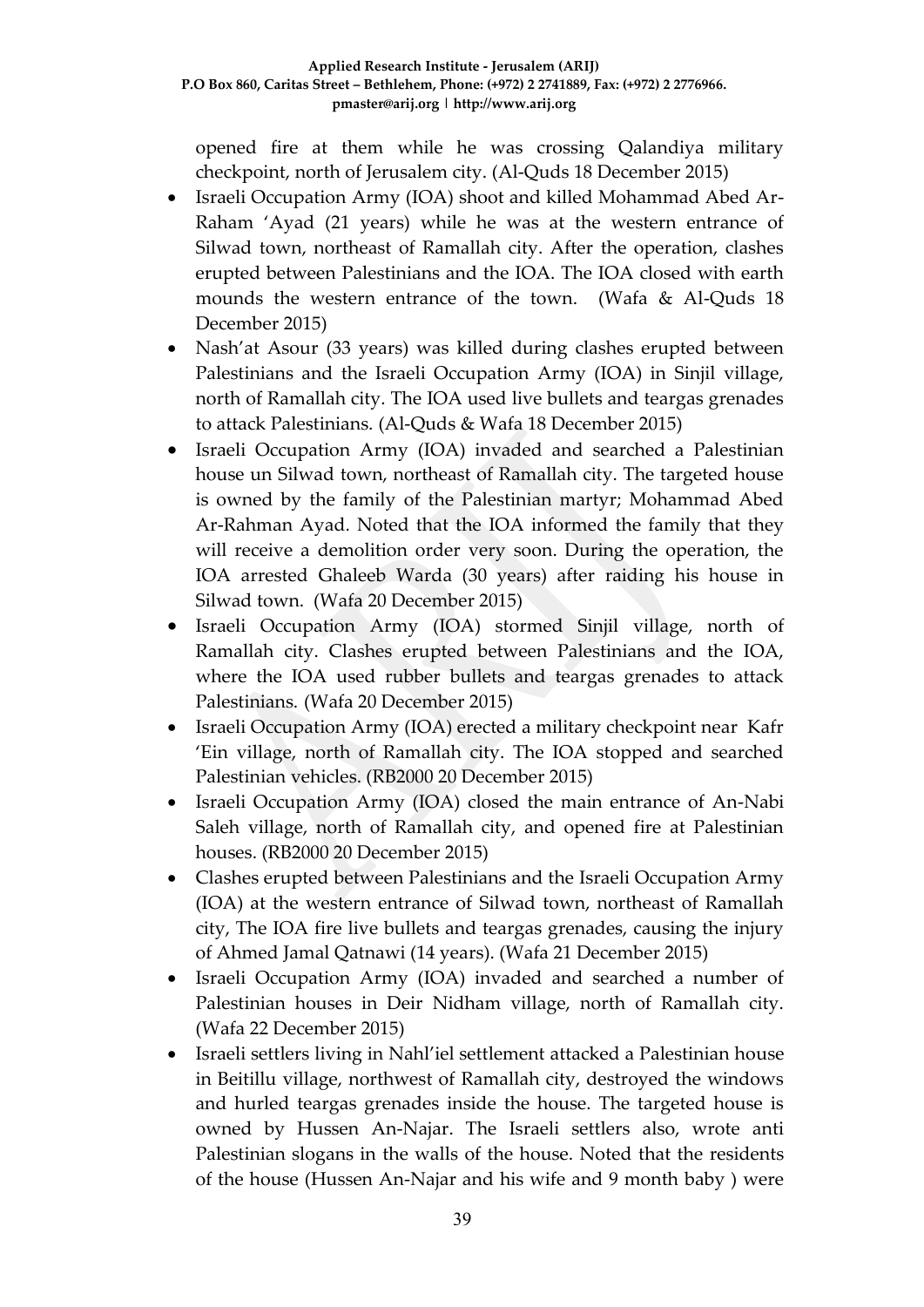opened fire at them while he was crossing Qalandiya military checkpoint, north of Jerusalem city. (Al-Quds 18 December 2015)

- Israeli Occupation Army (IOA) shoot and killed Mohammad Abed Ar-Raham 'Ayad (21 years) while he was at the western entrance of Silwad town, northeast of Ramallah city. After the operation, clashes erupted between Palestinians and the IOA. The IOA closed with earth mounds the western entrance of the town. (Wafa & Al-Quds 18 December 2015)
- Nash'at Asour (33 years) was killed during clashes erupted between Palestinians and the Israeli Occupation Army (IOA) in Sinjil village, north of Ramallah city. The IOA used live bullets and teargas grenades to attack Palestinians. (Al-Quds & Wafa 18 December 2015)
- Israeli Occupation Army (IOA) invaded and searched a Palestinian house un Silwad town, northeast of Ramallah city. The targeted house is owned by the family of the Palestinian martyr; Mohammad Abed Ar-Rahman Ayad. Noted that the IOA informed the family that they will receive a demolition order very soon. During the operation, the IOA arrested Ghaleeb Warda (30 years) after raiding his house in Silwad town. (Wafa 20 December 2015)
- Israeli Occupation Army (IOA) stormed Sinjil village, north of Ramallah city. Clashes erupted between Palestinians and the IOA, where the IOA used rubber bullets and teargas grenades to attack Palestinians. (Wafa 20 December 2015)
- Israeli Occupation Army (IOA) erected a military checkpoint near Kafr 'Ein village, north of Ramallah city. The IOA stopped and searched Palestinian vehicles. (RB2000 20 December 2015)
- Israeli Occupation Army (IOA) closed the main entrance of An-Nabi Saleh village, north of Ramallah city, and opened fire at Palestinian houses. (RB2000 20 December 2015)
- Clashes erupted between Palestinians and the Israeli Occupation Army (IOA) at the western entrance of Silwad town, northeast of Ramallah city, The IOA fire live bullets and teargas grenades, causing the injury of Ahmed Jamal Qatnawi (14 years). (Wafa 21 December 2015)
- Israeli Occupation Army (IOA) invaded and searched a number of Palestinian houses in Deir Nidham village, north of Ramallah city. (Wafa 22 December 2015)
- Israeli settlers living in Nahl'iel settlement attacked a Palestinian house in Beitillu village, northwest of Ramallah city, destroyed the windows and hurled teargas grenades inside the house. The targeted house is owned by Hussen An-Najar. The Israeli settlers also, wrote anti Palestinian slogans in the walls of the house. Noted that the residents of the house (Hussen An-Najar and his wife and 9 month baby ) were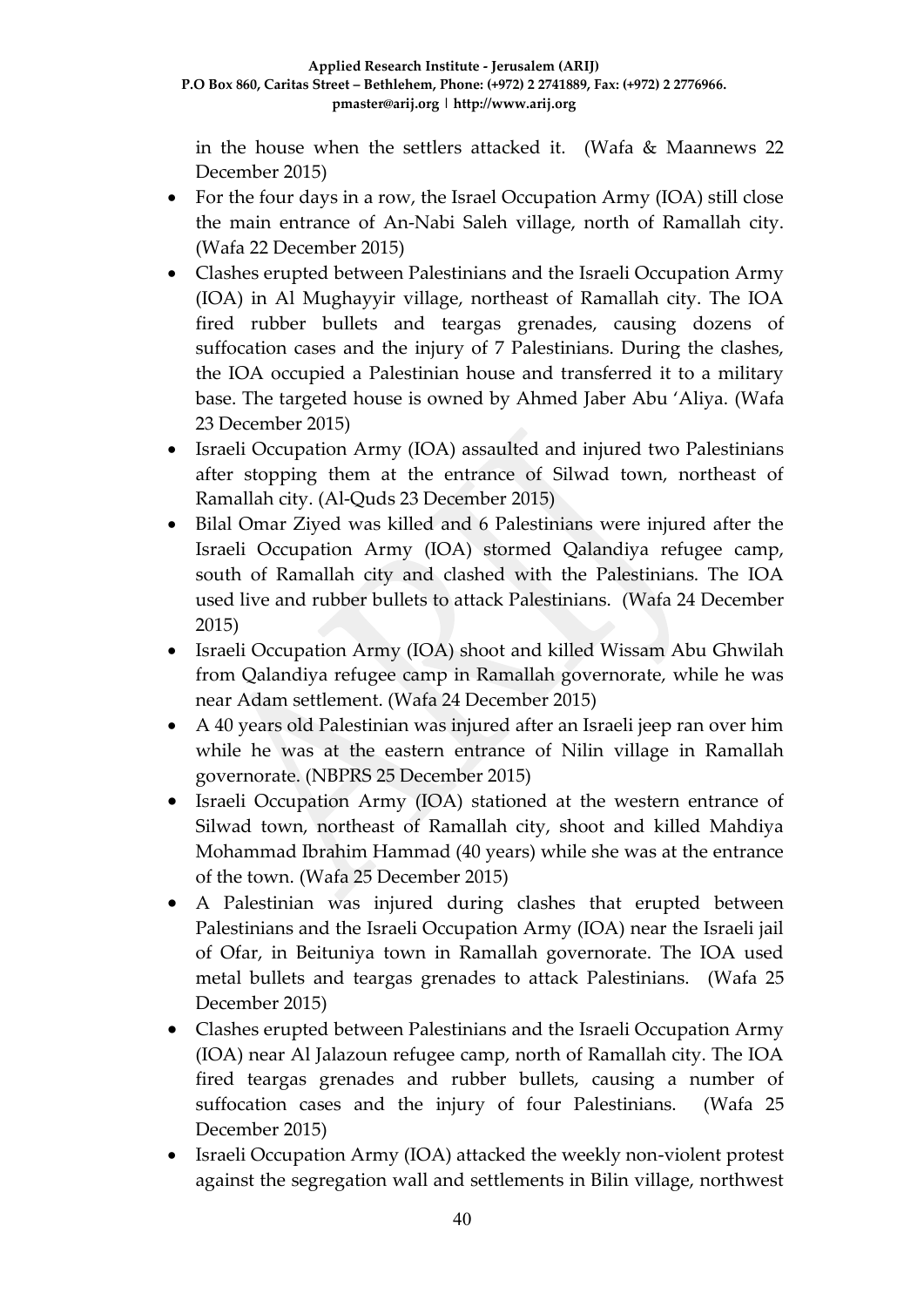in the house when the settlers attacked it. (Wafa & Maannews 22 December 2015)

- For the four days in a row, the Israel Occupation Army (IOA) still close the main entrance of An-Nabi Saleh village, north of Ramallah city. (Wafa 22 December 2015)
- Clashes erupted between Palestinians and the Israeli Occupation Army (IOA) in Al Mughayyir village, northeast of Ramallah city. The IOA fired rubber bullets and teargas grenades, causing dozens of suffocation cases and the injury of 7 Palestinians. During the clashes, the IOA occupied a Palestinian house and transferred it to a military base. The targeted house is owned by Ahmed Jaber Abu 'Aliya. (Wafa 23 December 2015)
- Israeli Occupation Army (IOA) assaulted and injured two Palestinians after stopping them at the entrance of Silwad town, northeast of Ramallah city. (Al-Quds 23 December 2015)
- Bilal Omar Ziyed was killed and 6 Palestinians were injured after the Israeli Occupation Army (IOA) stormed Qalandiya refugee camp, south of Ramallah city and clashed with the Palestinians. The IOA used live and rubber bullets to attack Palestinians. (Wafa 24 December 2015)
- Israeli Occupation Army (IOA) shoot and killed Wissam Abu Ghwilah from Qalandiya refugee camp in Ramallah governorate, while he was near Adam settlement. (Wafa 24 December 2015)
- A 40 years old Palestinian was injured after an Israeli jeep ran over him while he was at the eastern entrance of Nilin village in Ramallah governorate. (NBPRS 25 December 2015)
- Israeli Occupation Army (IOA) stationed at the western entrance of Silwad town, northeast of Ramallah city, shoot and killed Mahdiya Mohammad Ibrahim Hammad (40 years) while she was at the entrance of the town. (Wafa 25 December 2015)
- A Palestinian was injured during clashes that erupted between Palestinians and the Israeli Occupation Army (IOA) near the Israeli jail of Ofar, in Beituniya town in Ramallah governorate. The IOA used metal bullets and teargas grenades to attack Palestinians.(Wafa 25 December 2015)
- Clashes erupted between Palestinians and the Israeli Occupation Army (IOA) near Al Jalazoun refugee camp, north of Ramallah city. The IOA fired teargas grenades and rubber bullets, causing a number of suffocation cases and the injury of four Palestinians.(Wafa 25 December 2015)
- Israeli Occupation Army (IOA) attacked the weekly non-violent protest against the segregation wall and settlements in Bilin village, northwest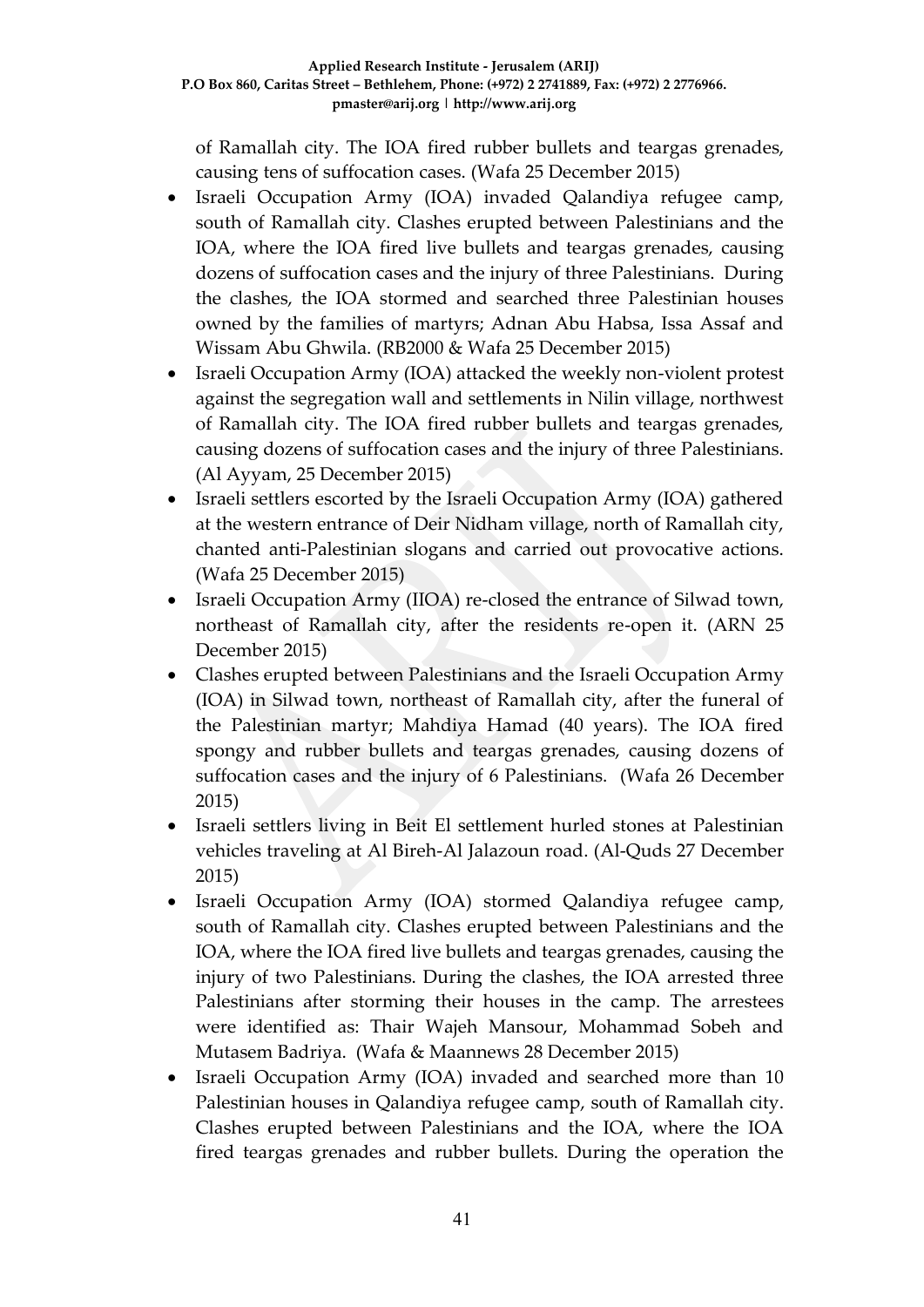of Ramallah city. The IOA fired rubber bullets and teargas grenades, causing tens of suffocation cases. (Wafa 25 December 2015)

- Israeli Occupation Army (IOA) invaded Qalandiya refugee camp, south of Ramallah city. Clashes erupted between Palestinians and the IOA, where the IOA fired live bullets and teargas grenades, causing dozens of suffocation cases and the injury of three Palestinians. During the clashes, the IOA stormed and searched three Palestinian houses owned by the families of martyrs; Adnan Abu Habsa, Issa Assaf and Wissam Abu Ghwila. (RB2000 & Wafa 25 December 2015)
- Israeli Occupation Army (IOA) attacked the weekly non-violent protest against the segregation wall and settlements in Nilin village, northwest of Ramallah city. The IOA fired rubber bullets and teargas grenades, causing dozens of suffocation cases and the injury of three Palestinians. (Al Ayyam, 25 December 2015)
- Israeli settlers escorted by the Israeli Occupation Army (IOA) gathered at the western entrance of Deir Nidham village, north of Ramallah city, chanted anti-Palestinian slogans and carried out provocative actions. (Wafa 25 December 2015)
- Israeli Occupation Army (IIOA) re-closed the entrance of Silwad town, northeast of Ramallah city, after the residents re-open it. (ARN 25 December 2015)
- Clashes erupted between Palestinians and the Israeli Occupation Army (IOA) in Silwad town, northeast of Ramallah city, after the funeral of the Palestinian martyr; Mahdiya Hamad (40 years). The IOA fired spongy and rubber bullets and teargas grenades, causing dozens of suffocation cases and the injury of 6 Palestinians. (Wafa 26 December 2015)
- Israeli settlers living in Beit El settlement hurled stones at Palestinian vehicles traveling at Al Bireh-Al Jalazoun road. (Al-Quds 27 December 2015)
- Israeli Occupation Army (IOA) stormed Qalandiya refugee camp, south of Ramallah city. Clashes erupted between Palestinians and the IOA, where the IOA fired live bullets and teargas grenades, causing the injury of two Palestinians. During the clashes, the IOA arrested three Palestinians after storming their houses in the camp. The arrestees were identified as: Thair Wajeh Mansour, Mohammad Sobeh and Mutasem Badriya. (Wafa & Maannews 28 December 2015)
- Israeli Occupation Army (IOA) invaded and searched more than 10 Palestinian houses in Qalandiya refugee camp, south of Ramallah city. Clashes erupted between Palestinians and the IOA, where the IOA fired teargas grenades and rubber bullets. During the operation the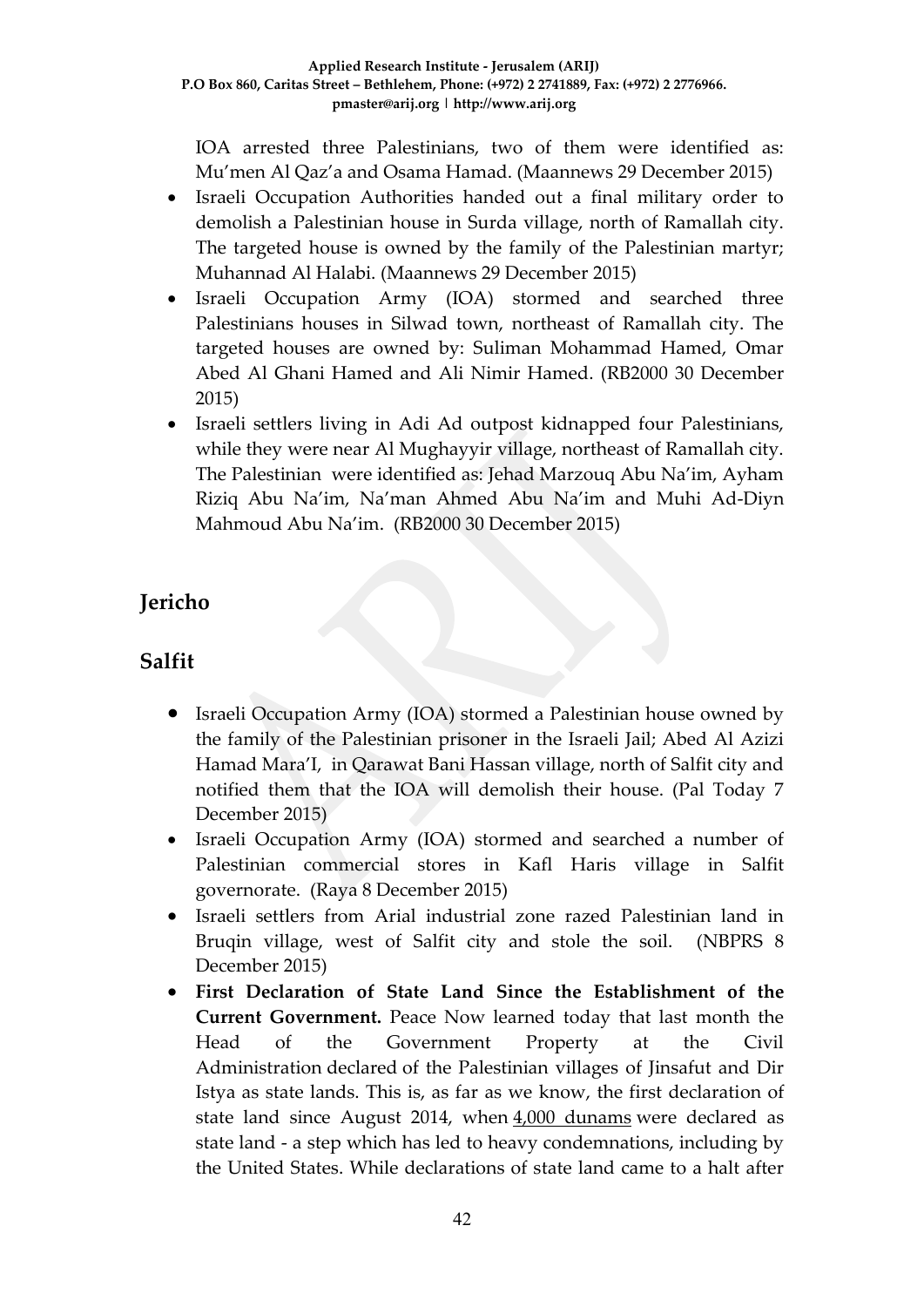IOA arrested three Palestinians, two of them were identified as: Mu'men Al Qaz'a and Osama Hamad. (Maannews 29 December 2015)

- Israeli Occupation Authorities handed out a final military order to demolish a Palestinian house in Surda village, north of Ramallah city. The targeted house is owned by the family of the Palestinian martyr; Muhannad Al Halabi. (Maannews 29 December 2015)
- Israeli Occupation Army (IOA) stormed and searched three Palestinians houses in Silwad town, northeast of Ramallah city. The targeted houses are owned by: Suliman Mohammad Hamed, Omar Abed Al Ghani Hamed and Ali Nimir Hamed. (RB2000 30 December 2015)
- Israeli settlers living in Adi Ad outpost kidnapped four Palestinians, while they were near Al Mughayyir village, northeast of Ramallah city. The Palestinian were identified as: Jehad Marzouq Abu Na'im, Ayham Riziq Abu Na'im, Na'man Ahmed Abu Na'im and Muhi Ad-Diyn Mahmoud Abu Na'im. (RB2000 30 December 2015)

# **Jericho**

# **Salfit**

- Israeli Occupation Army (IOA) stormed a Palestinian house owned by the family of the Palestinian prisoner in the Israeli Jail; Abed Al Azizi Hamad Mara'I, in Qarawat Bani Hassan village, north of Salfit city and notified them that the IOA will demolish their house. (Pal Today 7 December 2015)
- Israeli Occupation Army (IOA) stormed and searched a number of Palestinian commercial stores in Kafl Haris village in Salfit governorate. (Raya 8 December 2015)
- Israeli settlers from Arial industrial zone razed Palestinian land in Bruqin village, west of Salfit city and stole the soil. (NBPRS 8 December 2015)
- **First Declaration of State Land Since the Establishment of the Current Government.** Peace Now learned today that last month the Head of the Government Property at the Civil Administration declared of the Palestinian villages of Jinsafut and Dir Istya as state lands. This is, as far as we know, the first declaration of state land since August 2014, when [4,000 dunams](http://peacenow.org.il/eng/GvaotDecleration) were declared as state land - a step which has led to heavy condemnations, including by the United States. While declarations of state land came to a halt after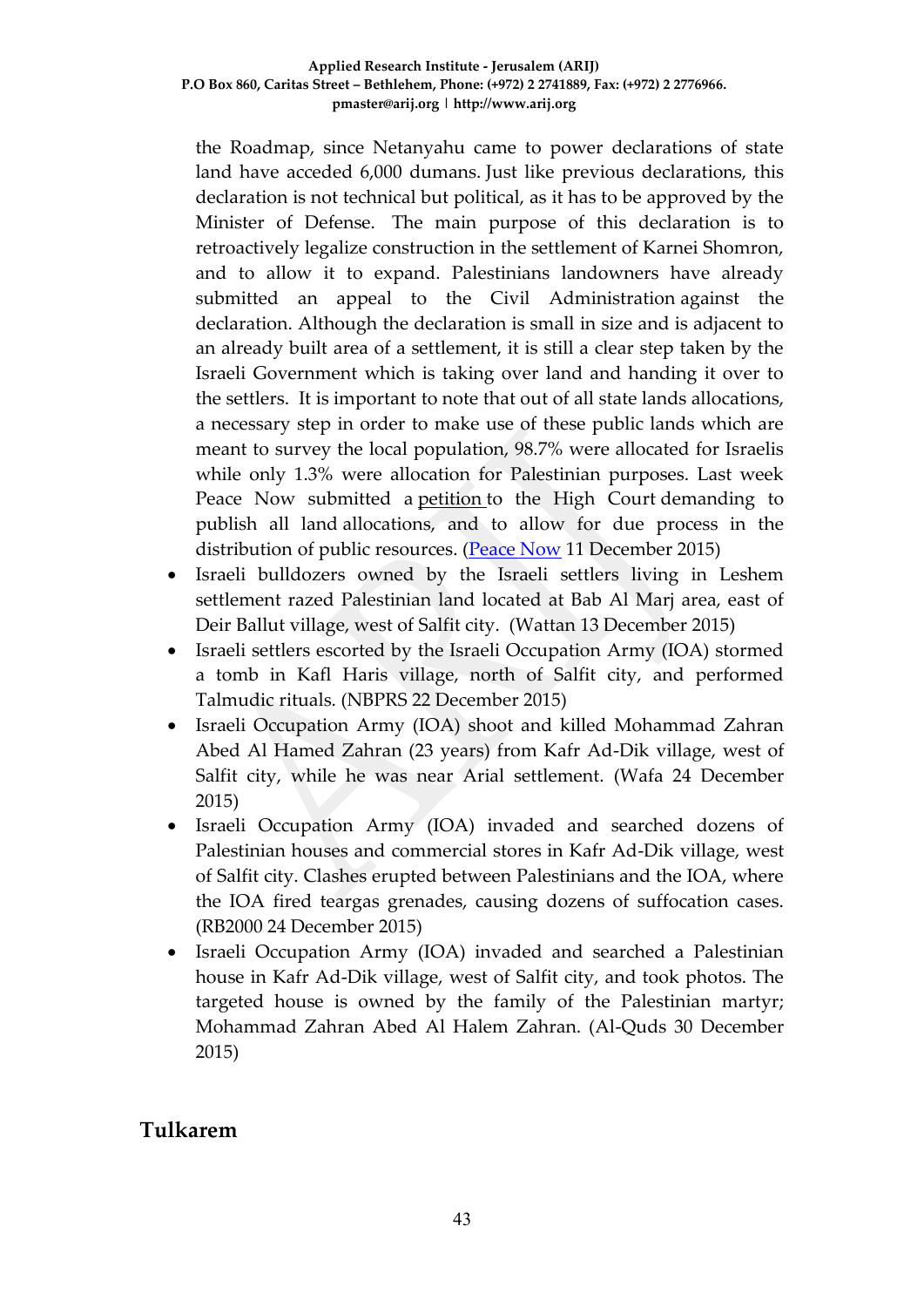the Roadmap, since Netanyahu came to power declarations of state land have acceded 6,000 dumans. Just like previous declarations, this declaration is not technical but political, as it has to be approved by the Minister of Defense. The main purpose of this declaration is to retroactively legalize construction in the settlement of Karnei Shomron, and to allow it to expand. Palestinians landowners have already submitted an appeal to the Civil Administration against the declaration. Although the declaration is small in size and is adjacent to an already built area of a settlement, it is still a clear step taken by the Israeli Government which is taking over land and handing it over to the settlers. It is important to note that out of all state lands allocations, a necessary step in order to make use of these public lands which are meant to survey the local population, 98.7% were allocated for Israelis while only 1.3% were allocation for Palestinian purposes. Last week Peace Now submitted a [petition](http://peacenow.org.il/eng/allocationsEng) to the High Court demanding to publish all land allocations, and to allow for due process in the distribution of public resources. [\(Peace Now](http://peacenow.org.il/eng/KerniShormonDeclaration) 11 December 2015)

- Israeli bulldozers owned by the Israeli settlers living in Leshem settlement razed Palestinian land located at Bab Al Marj area, east of Deir Ballut village, west of Salfit city. (Wattan 13 December 2015)
- Israeli settlers escorted by the Israeli Occupation Army (IOA) stormed a tomb in Kafl Haris village, north of Salfit city, and performed Talmudic rituals. (NBPRS 22 December 2015)
- Israeli Occupation Army (IOA) shoot and killed Mohammad Zahran Abed Al Hamed Zahran (23 years) from Kafr Ad-Dik village, west of Salfit city, while he was near Arial settlement. (Wafa 24 December 2015)
- Israeli Occupation Army (IOA) invaded and searched dozens of Palestinian houses and commercial stores in Kafr Ad-Dik village, west of Salfit city. Clashes erupted between Palestinians and the IOA, where the IOA fired teargas grenades, causing dozens of suffocation cases. (RB2000 24 December 2015)
- Israeli Occupation Army (IOA) invaded and searched a Palestinian house in Kafr Ad-Dik village, west of Salfit city, and took photos. The targeted house is owned by the family of the Palestinian martyr; Mohammad Zahran Abed Al Halem Zahran. (Al-Quds 30 December 2015)

## **Tulkarem**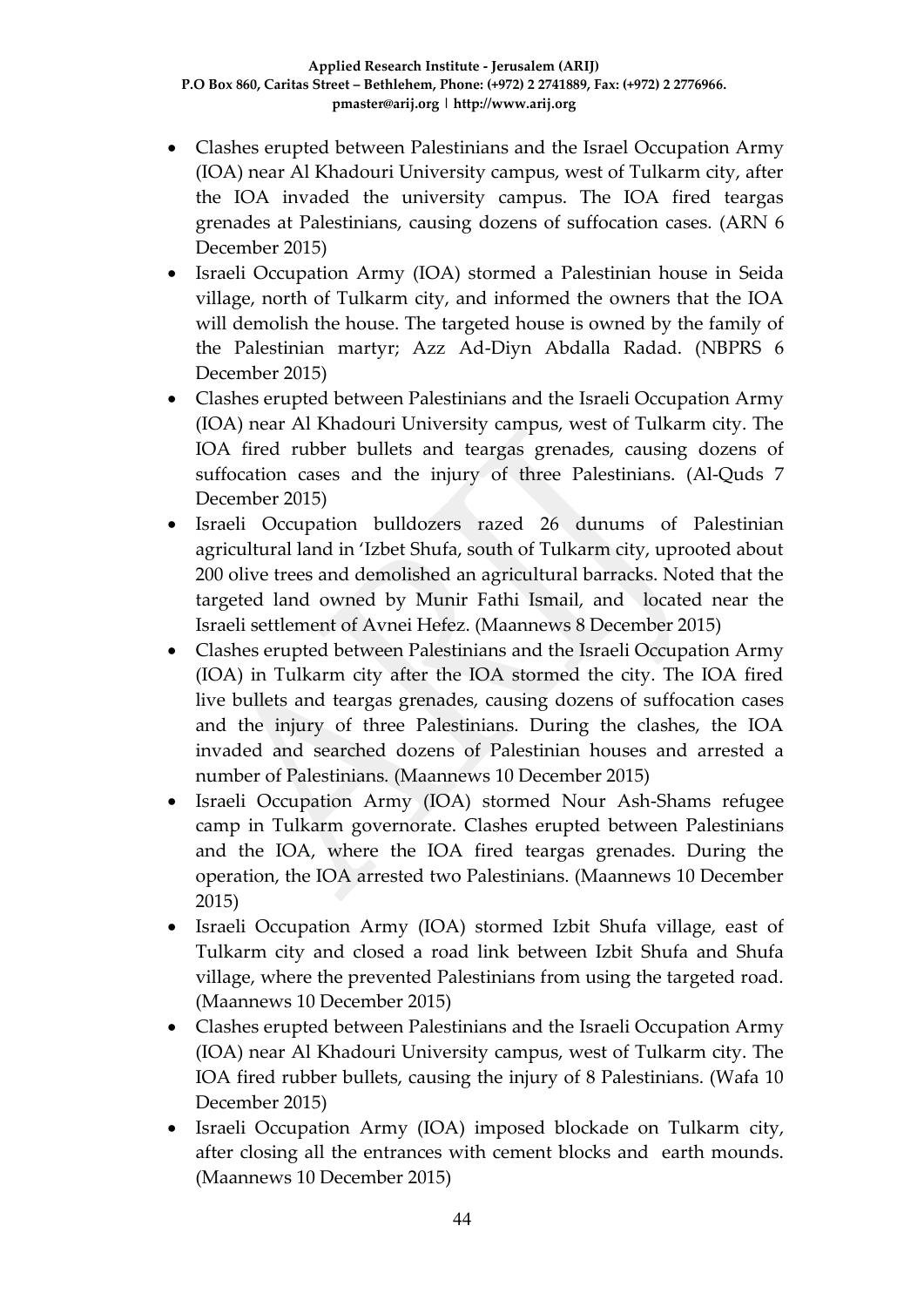- Clashes erupted between Palestinians and the Israel Occupation Army (IOA) near Al Khadouri University campus, west of Tulkarm city, after the IOA invaded the university campus. The IOA fired teargas grenades at Palestinians, causing dozens of suffocation cases. (ARN 6 December 2015)
- Israeli Occupation Army (IOA) stormed a Palestinian house in Seida village, north of Tulkarm city, and informed the owners that the IOA will demolish the house. The targeted house is owned by the family of the Palestinian martyr; Azz Ad-Diyn Abdalla Radad. (NBPRS 6 December 2015)
- Clashes erupted between Palestinians and the Israeli Occupation Army (IOA) near Al Khadouri University campus, west of Tulkarm city. The IOA fired rubber bullets and teargas grenades, causing dozens of suffocation cases and the injury of three Palestinians. (Al-Quds 7 December 2015)
- Israeli Occupation bulldozers razed 26 dunums of Palestinian agricultural land in 'Izbet Shufa, south of Tulkarm city, uprooted about 200 olive trees and demolished an agricultural barracks. Noted that the targeted land owned by Munir Fathi Ismail, and located near the Israeli settlement of Avnei Hefez. (Maannews 8 December 2015)
- Clashes erupted between Palestinians and the Israeli Occupation Army (IOA) in Tulkarm city after the IOA stormed the city. The IOA fired live bullets and teargas grenades, causing dozens of suffocation cases and the injury of three Palestinians. During the clashes, the IOA invaded and searched dozens of Palestinian houses and arrested a number of Palestinians. (Maannews 10 December 2015)
- Israeli Occupation Army (IOA) stormed Nour Ash-Shams refugee camp in Tulkarm governorate. Clashes erupted between Palestinians and the IOA, where the IOA fired teargas grenades. During the operation, the IOA arrested two Palestinians. (Maannews 10 December 2015)
- Israeli Occupation Army (IOA) stormed Izbit Shufa village, east of Tulkarm city and closed a road link between Izbit Shufa and Shufa village, where the prevented Palestinians from using the targeted road. (Maannews 10 December 2015)
- Clashes erupted between Palestinians and the Israeli Occupation Army (IOA) near Al Khadouri University campus, west of Tulkarm city. The IOA fired rubber bullets, causing the injury of 8 Palestinians. (Wafa 10 December 2015)
- Israeli Occupation Army (IOA) imposed blockade on Tulkarm city, after closing all the entrances with cement blocks and earth mounds. (Maannews 10 December 2015)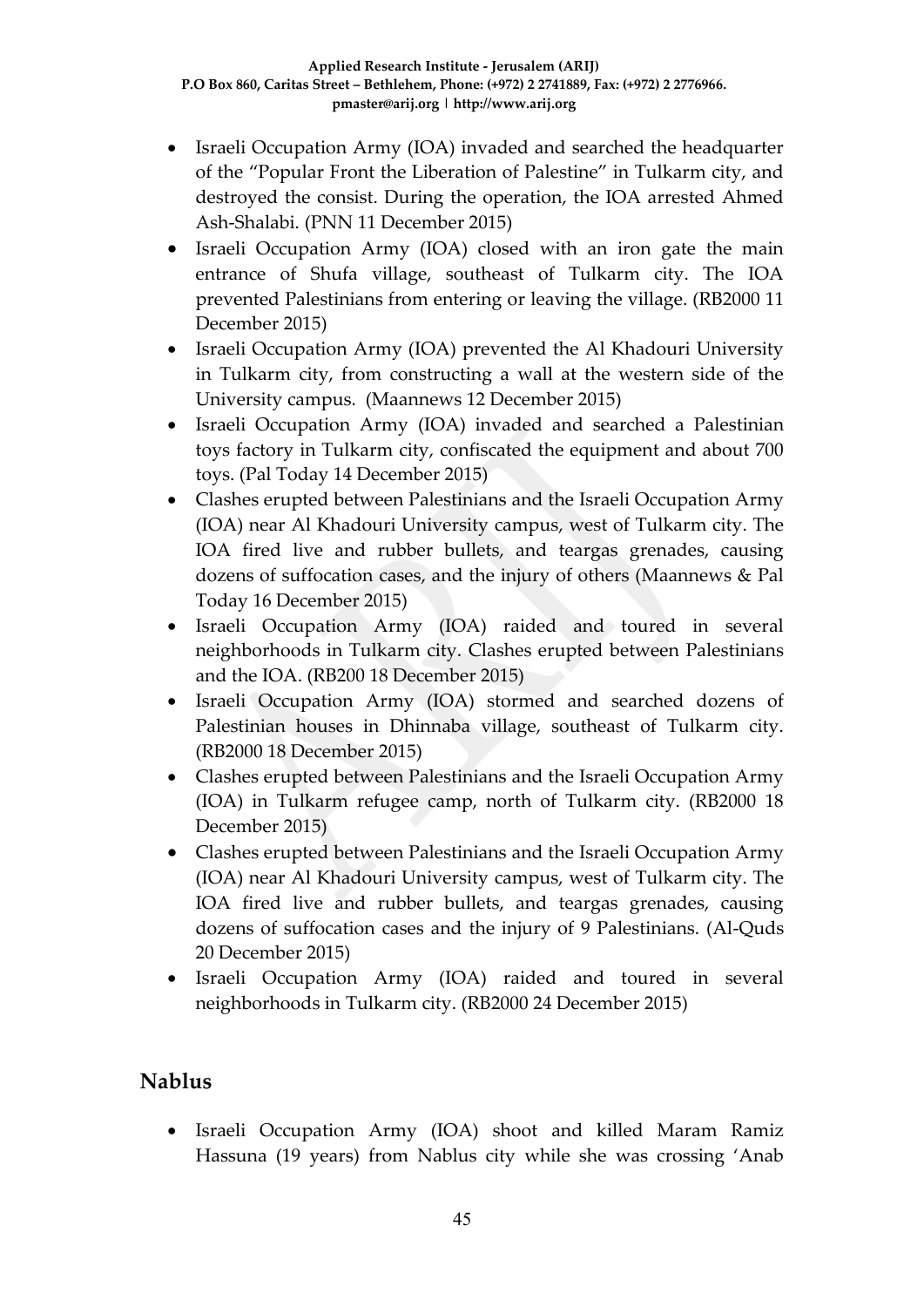- Israeli Occupation Army (IOA) invaded and searched the headquarter of the "Popular Front the Liberation of Palestine" in Tulkarm city, and destroyed the consist. During the operation, the IOA arrested Ahmed Ash-Shalabi. (PNN 11 December 2015)
- Israeli Occupation Army (IOA) closed with an iron gate the main entrance of Shufa village, southeast of Tulkarm city. The IOA prevented Palestinians from entering or leaving the village. (RB2000 11 December 2015)
- Israeli Occupation Army (IOA) prevented the Al Khadouri University in Tulkarm city, from constructing a wall at the western side of the University campus. (Maannews 12 December 2015)
- Israeli Occupation Army (IOA) invaded and searched a Palestinian toys factory in Tulkarm city, confiscated the equipment and about 700 toys. (Pal Today 14 December 2015)
- Clashes erupted between Palestinians and the Israeli Occupation Army (IOA) near Al Khadouri University campus, west of Tulkarm city. The IOA fired live and rubber bullets, and teargas grenades, causing dozens of suffocation cases, and the injury of others (Maannews & Pal Today 16 December 2015)
- Israeli Occupation Army (IOA) raided and toured in several neighborhoods in Tulkarm city. Clashes erupted between Palestinians and the IOA. (RB200 18 December 2015)
- Israeli Occupation Army (IOA) stormed and searched dozens of Palestinian houses in Dhinnaba village, southeast of Tulkarm city. (RB2000 18 December 2015)
- Clashes erupted between Palestinians and the Israeli Occupation Army (IOA) in Tulkarm refugee camp, north of Tulkarm city. (RB2000 18 December 2015)
- Clashes erupted between Palestinians and the Israeli Occupation Army (IOA) near Al Khadouri University campus, west of Tulkarm city. The IOA fired live and rubber bullets, and teargas grenades, causing dozens of suffocation cases and the injury of 9 Palestinians. (Al-Quds 20 December 2015)
- Israeli Occupation Army (IOA) raided and toured in several neighborhoods in Tulkarm city. (RB2000 24 December 2015)

# **Nablus**

 Israeli Occupation Army (IOA) shoot and killed Maram Ramiz Hassuna (19 years) from Nablus city while she was crossing 'Anab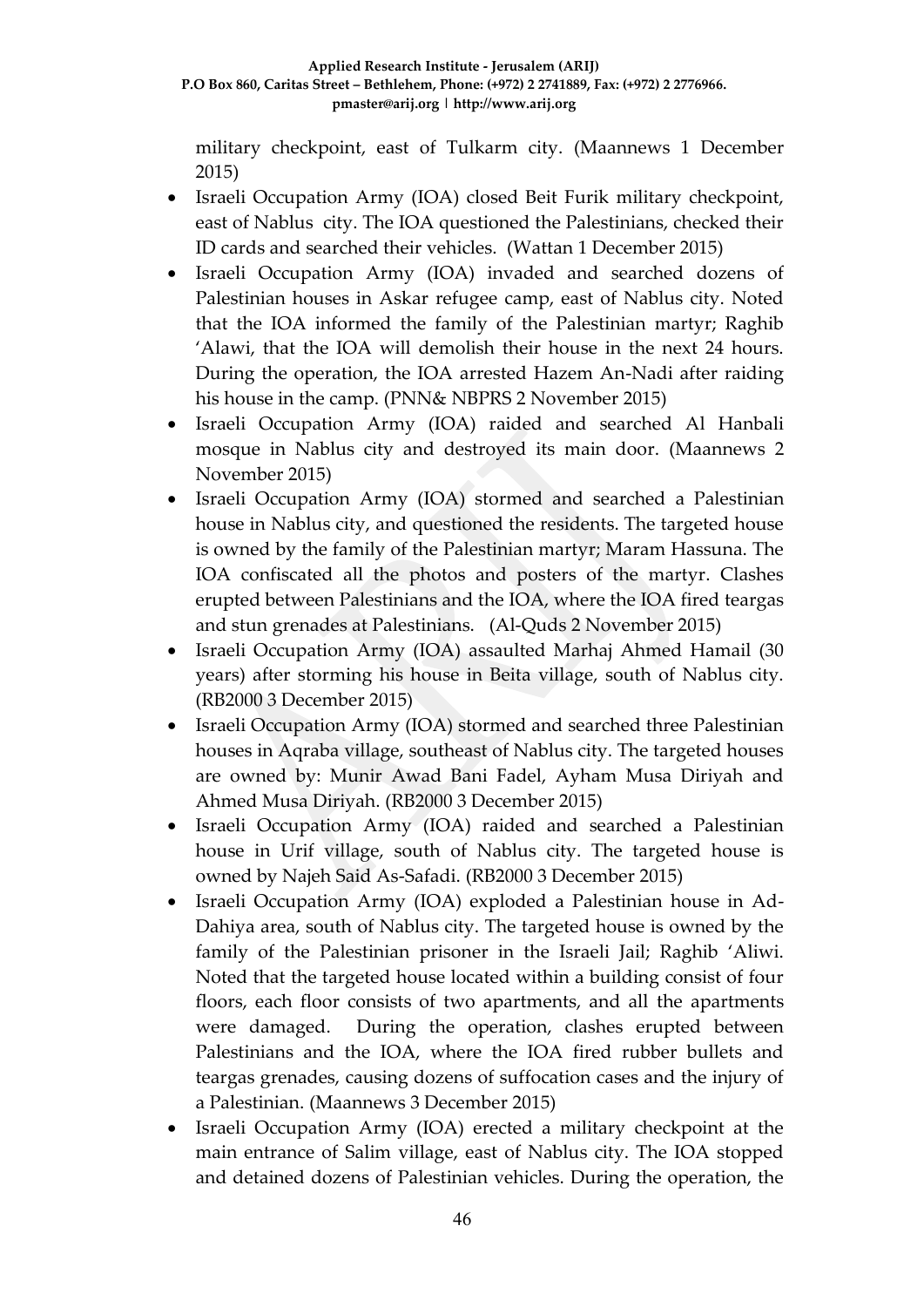military checkpoint, east of Tulkarm city. (Maannews 1 December 2015)

- Israeli Occupation Army (IOA) closed Beit Furik military checkpoint, east of Nablus city. The IOA questioned the Palestinians, checked their ID cards and searched their vehicles. (Wattan 1 December 2015)
- Israeli Occupation Army (IOA) invaded and searched dozens of Palestinian houses in Askar refugee camp, east of Nablus city. Noted that the IOA informed the family of the Palestinian martyr; Raghib 'Alawi, that the IOA will demolish their house in the next 24 hours. During the operation, the IOA arrested Hazem An-Nadi after raiding his house in the camp. (PNN& NBPRS 2 November 2015)
- Israeli Occupation Army (IOA) raided and searched Al Hanbali mosque in Nablus city and destroyed its main door. (Maannews 2 November 2015)
- Israeli Occupation Army (IOA) stormed and searched a Palestinian house in Nablus city, and questioned the residents. The targeted house is owned by the family of the Palestinian martyr; Maram Hassuna. The IOA confiscated all the photos and posters of the martyr. Clashes erupted between Palestinians and the IOA, where the IOA fired teargas and stun grenades at Palestinians. (Al-Quds 2 November 2015)
- Israeli Occupation Army (IOA) assaulted Marhaj Ahmed Hamail (30 years) after storming his house in Beita village, south of Nablus city. (RB2000 3 December 2015)
- Israeli Occupation Army (IOA) stormed and searched three Palestinian houses in Aqraba village, southeast of Nablus city. The targeted houses are owned by: Munir Awad Bani Fadel, Ayham Musa Diriyah and Ahmed Musa Diriyah. (RB2000 3 December 2015)
- Israeli Occupation Army (IOA) raided and searched a Palestinian house in Urif village, south of Nablus city. The targeted house is owned by Najeh Said As-Safadi. (RB2000 3 December 2015)
- Israeli Occupation Army (IOA) exploded a Palestinian house in Ad-Dahiya area, south of Nablus city. The targeted house is owned by the family of the Palestinian prisoner in the Israeli Jail; Raghib 'Aliwi. Noted that the targeted house located within a building consist of four floors, each floor consists of two apartments, and all the apartments were damaged. During the operation, clashes erupted between Palestinians and the IOA, where the IOA fired rubber bullets and teargas grenades, causing dozens of suffocation cases and the injury of a Palestinian. (Maannews 3 December 2015)
- Israeli Occupation Army (IOA) erected a military checkpoint at the main entrance of Salim village, east of Nablus city. The IOA stopped and detained dozens of Palestinian vehicles. During the operation, the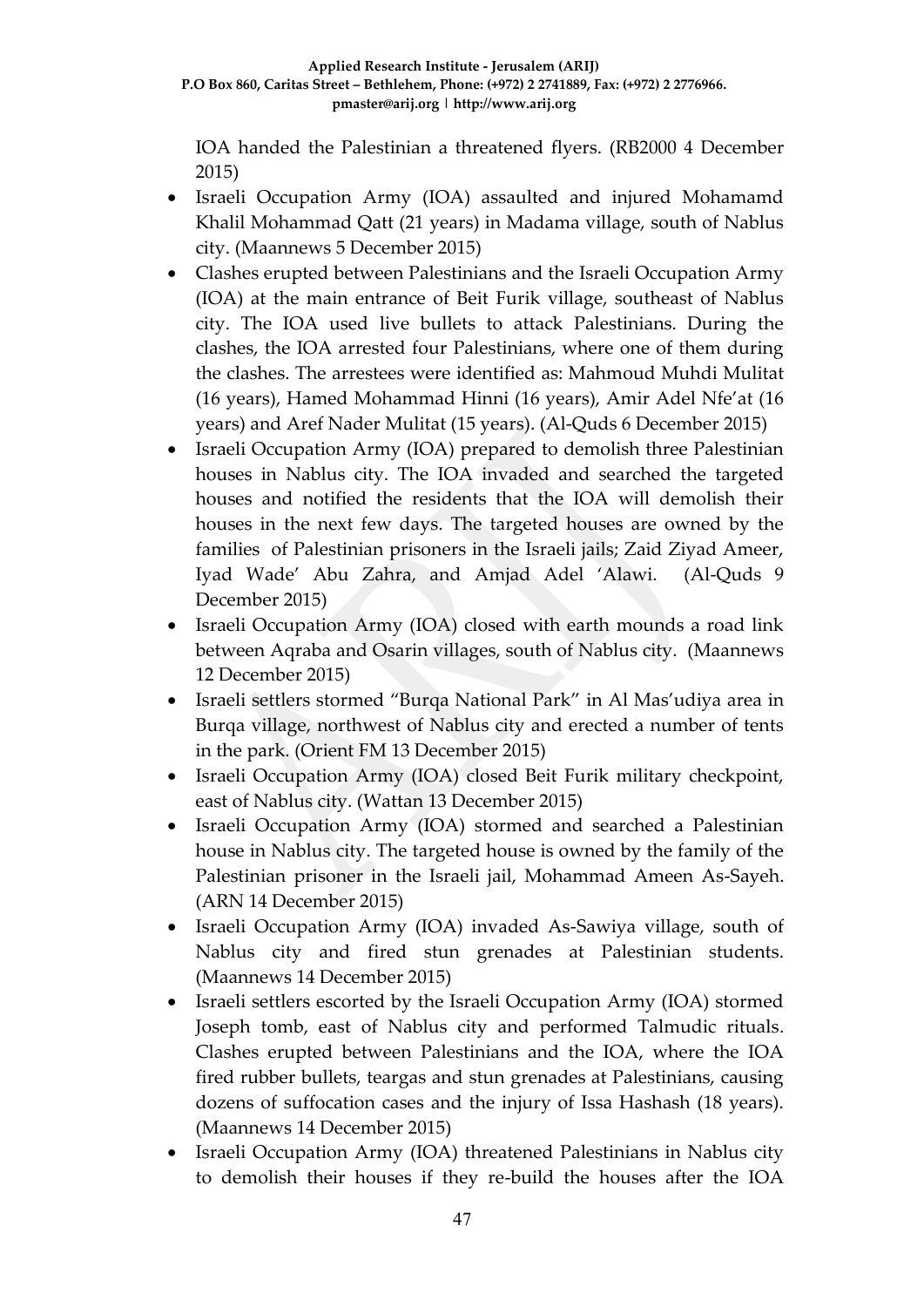IOA handed the Palestinian a threatened flyers. (RB2000 4 December 2015)

- Israeli Occupation Army (IOA) assaulted and injured Mohamamd Khalil Mohammad Qatt (21 years) in Madama village, south of Nablus city. (Maannews 5 December 2015)
- Clashes erupted between Palestinians and the Israeli Occupation Army (IOA) at the main entrance of Beit Furik village, southeast of Nablus city. The IOA used live bullets to attack Palestinians. During the clashes, the IOA arrested four Palestinians, where one of them during the clashes. The arrestees were identified as: Mahmoud Muhdi Mulitat (16 years), Hamed Mohammad Hinni (16 years), Amir Adel Nfe'at (16 years) and Aref Nader Mulitat (15 years). (Al-Quds 6 December 2015)
- Israeli Occupation Army (IOA) prepared to demolish three Palestinian houses in Nablus city. The IOA invaded and searched the targeted houses and notified the residents that the IOA will demolish their houses in the next few days. The targeted houses are owned by the families of Palestinian prisoners in the Israeli jails; Zaid Ziyad Ameer, Iyad Wade' Abu Zahra, and Amjad Adel 'Alawi. (Al-Quds 9 December 2015)
- Israeli Occupation Army (IOA) closed with earth mounds a road link between Aqraba and Osarin villages, south of Nablus city. (Maannews 12 December 2015)
- Israeli settlers stormed "Burqa National Park" in Al Mas'udiya area in Burqa village, northwest of Nablus city and erected a number of tents in the park. (Orient FM 13 December 2015)
- Israeli Occupation Army (IOA) closed Beit Furik military checkpoint, east of Nablus city. (Wattan 13 December 2015)
- Israeli Occupation Army (IOA) stormed and searched a Palestinian house in Nablus city. The targeted house is owned by the family of the Palestinian prisoner in the Israeli jail, Mohammad Ameen As-Sayeh. (ARN 14 December 2015)
- Israeli Occupation Army (IOA) invaded As-Sawiya village, south of Nablus city and fired stun grenades at Palestinian students. (Maannews 14 December 2015)
- Israeli settlers escorted by the Israeli Occupation Army (IOA) stormed Joseph tomb, east of Nablus city and performed Talmudic rituals. Clashes erupted between Palestinians and the IOA, where the IOA fired rubber bullets, teargas and stun grenades at Palestinians, causing dozens of suffocation cases and the injury of Issa Hashash (18 years). (Maannews 14 December 2015)
- Israeli Occupation Army (IOA) threatened Palestinians in Nablus city to demolish their houses if they re-build the houses after the IOA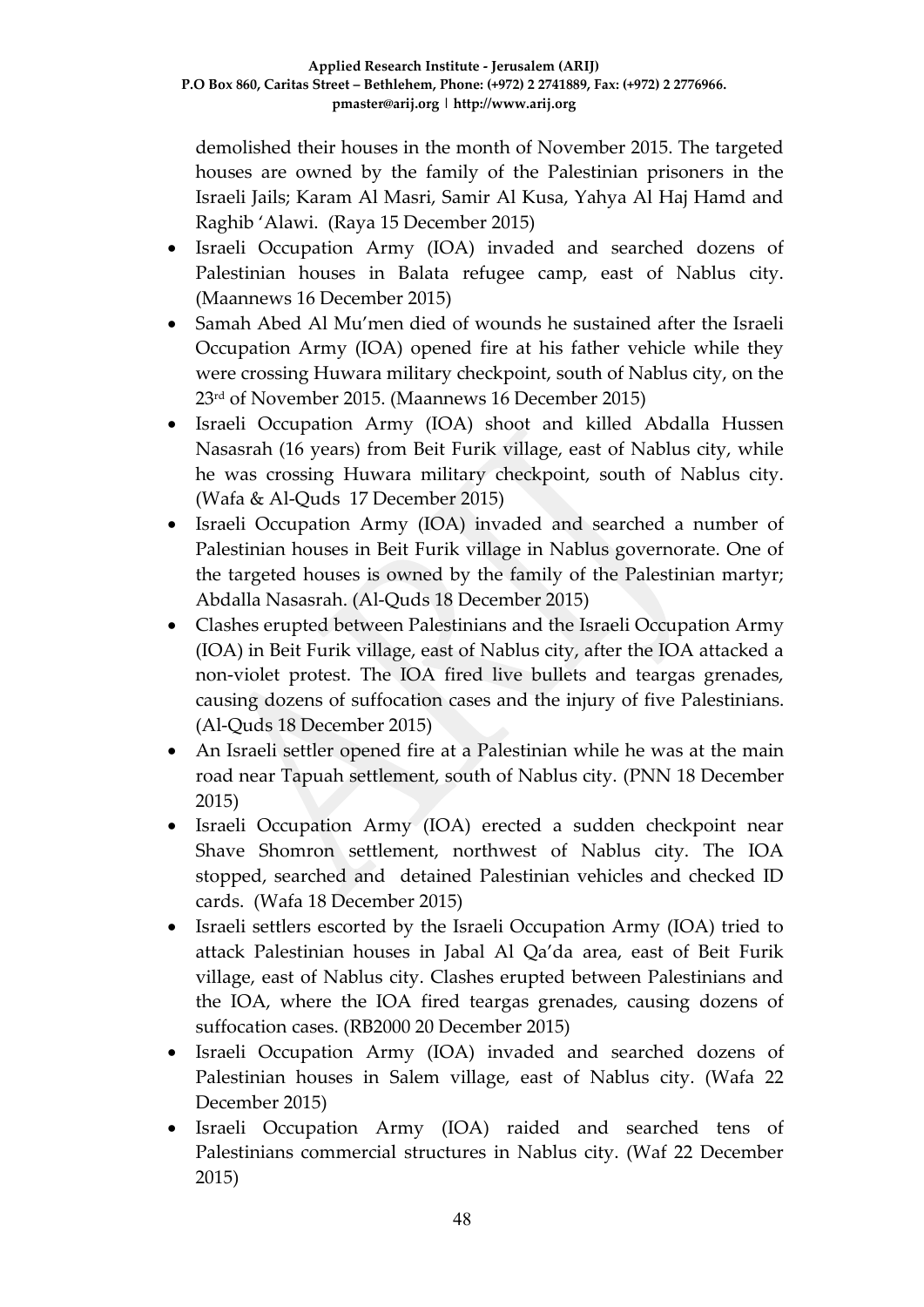demolished their houses in the month of November 2015. The targeted houses are owned by the family of the Palestinian prisoners in the Israeli Jails; Karam Al Masri, Samir Al Kusa, Yahya Al Haj Hamd and Raghib 'Alawi. (Raya 15 December 2015)

- Israeli Occupation Army (IOA) invaded and searched dozens of Palestinian houses in Balata refugee camp, east of Nablus city. (Maannews 16 December 2015)
- Samah Abed Al Mu'men died of wounds he sustained after the Israeli Occupation Army (IOA) opened fire at his father vehicle while they were crossing Huwara military checkpoint, south of Nablus city, on the 23rd of November 2015. (Maannews 16 December 2015)
- Israeli Occupation Army (IOA) shoot and killed Abdalla Hussen Nasasrah (16 years) from Beit Furik village, east of Nablus city, while he was crossing Huwara military checkpoint, south of Nablus city. (Wafa & Al-Quds 17 December 2015)
- Israeli Occupation Army (IOA) invaded and searched a number of Palestinian houses in Beit Furik village in Nablus governorate. One of the targeted houses is owned by the family of the Palestinian martyr; Abdalla Nasasrah. (Al-Quds 18 December 2015)
- Clashes erupted between Palestinians and the Israeli Occupation Army (IOA) in Beit Furik village, east of Nablus city, after the IOA attacked a non-violet protest. The IOA fired live bullets and teargas grenades, causing dozens of suffocation cases and the injury of five Palestinians. (Al-Quds 18 December 2015)
- An Israeli settler opened fire at a Palestinian while he was at the main road near Tapuah settlement, south of Nablus city. (PNN 18 December 2015)
- Israeli Occupation Army (IOA) erected a sudden checkpoint near Shave Shomron settlement, northwest of Nablus city. The IOA stopped, searched and detained Palestinian vehicles and checked ID cards. (Wafa 18 December 2015)
- Israeli settlers escorted by the Israeli Occupation Army (IOA) tried to attack Palestinian houses in Jabal Al Qa'da area, east of Beit Furik village, east of Nablus city. Clashes erupted between Palestinians and the IOA, where the IOA fired teargas grenades, causing dozens of suffocation cases. (RB2000 20 December 2015)
- Israeli Occupation Army (IOA) invaded and searched dozens of Palestinian houses in Salem village, east of Nablus city. (Wafa 22 December 2015)
- Israeli Occupation Army (IOA) raided and searched tens of Palestinians commercial structures in Nablus city. (Waf 22 December 2015)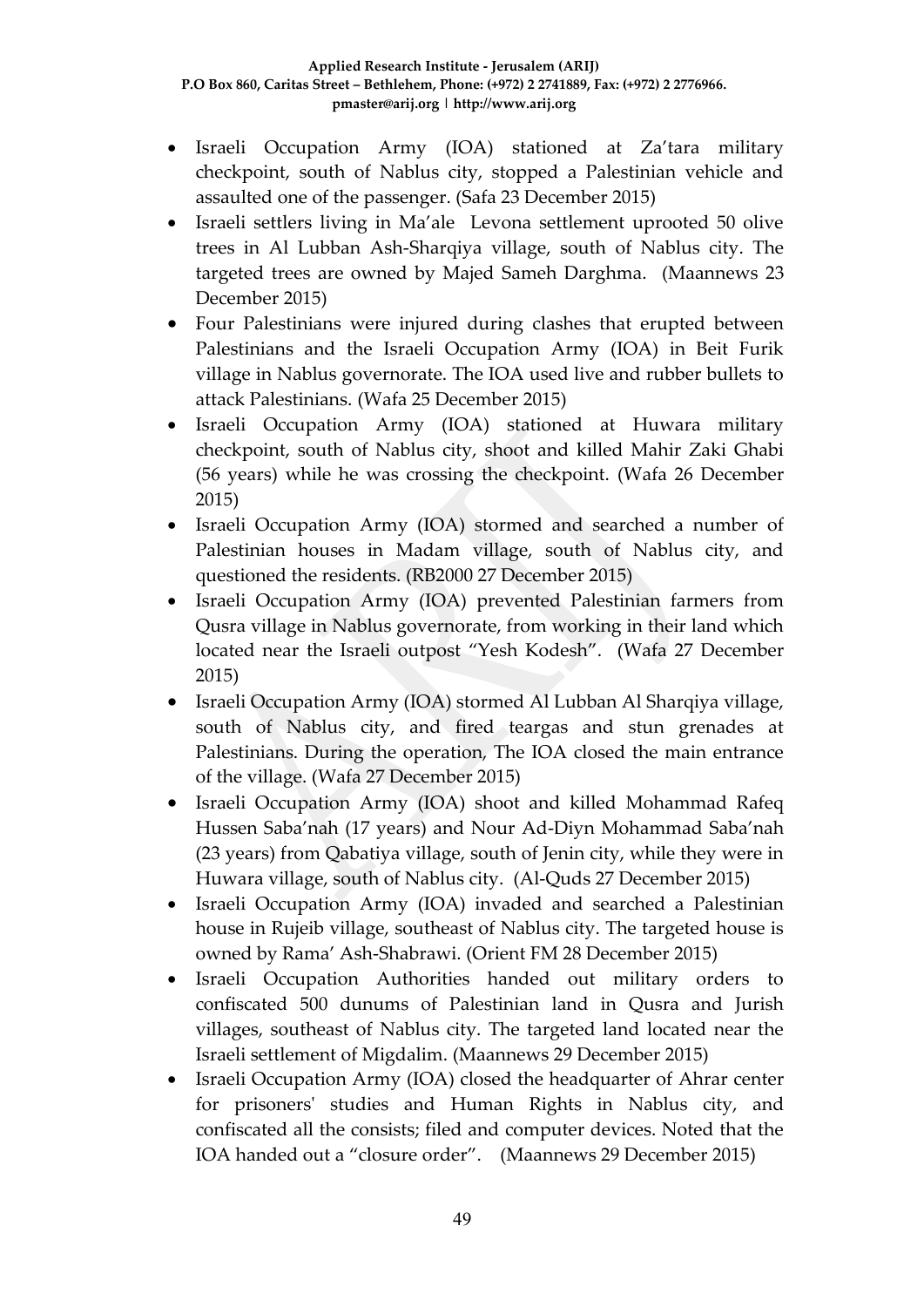- Israeli Occupation Army (IOA) stationed at Za'tara military checkpoint, south of Nablus city, stopped a Palestinian vehicle and assaulted one of the passenger. (Safa 23 December 2015)
- Israeli settlers living in Ma'ale Levona settlement uprooted 50 olive trees in Al Lubban Ash-Sharqiya village, south of Nablus city. The targeted trees are owned by Majed Sameh Darghma. (Maannews 23 December 2015)
- Four Palestinians were injured during clashes that erupted between Palestinians and the Israeli Occupation Army (IOA) in Beit Furik village in Nablus governorate. The IOA used live and rubber bullets to attack Palestinians. (Wafa 25 December 2015)
- Israeli Occupation Army (IOA) stationed at Huwara military checkpoint, south of Nablus city, shoot and killed Mahir Zaki Ghabi (56 years) while he was crossing the checkpoint. (Wafa 26 December 2015)
- Israeli Occupation Army (IOA) stormed and searched a number of Palestinian houses in Madam village, south of Nablus city, and questioned the residents. (RB2000 27 December 2015)
- Israeli Occupation Army (IOA) prevented Palestinian farmers from Qusra village in Nablus governorate, from working in their land which located near the Israeli outpost "Yesh Kodesh". (Wafa 27 December 2015)
- Israeli Occupation Army (IOA) stormed Al Lubban Al Sharqiya village, south of Nablus city, and fired teargas and stun grenades at Palestinians. During the operation, The IOA closed the main entrance of the village. (Wafa 27 December 2015)
- Israeli Occupation Army (IOA) shoot and killed Mohammad Rafeq Hussen Saba'nah (17 years) and Nour Ad-Diyn Mohammad Saba'nah (23 years) from Qabatiya village, south of Jenin city, while they were in Huwara village, south of Nablus city. (Al-Quds 27 December 2015)
- Israeli Occupation Army (IOA) invaded and searched a Palestinian house in Rujeib village, southeast of Nablus city. The targeted house is owned by Rama' Ash-Shabrawi. (Orient FM 28 December 2015)
- Israeli Occupation Authorities handed out military orders to confiscated 500 dunums of Palestinian land in Qusra and Jurish villages, southeast of Nablus city. The targeted land located near the Israeli settlement of Migdalim. (Maannews 29 December 2015)
- Israeli Occupation Army (IOA) closed the headquarter of Ahrar center for prisoners' studies and Human Rights in Nablus city, and confiscated all the consists; filed and computer devices. Noted that the IOA handed out a "closure order". (Maannews 29 December 2015)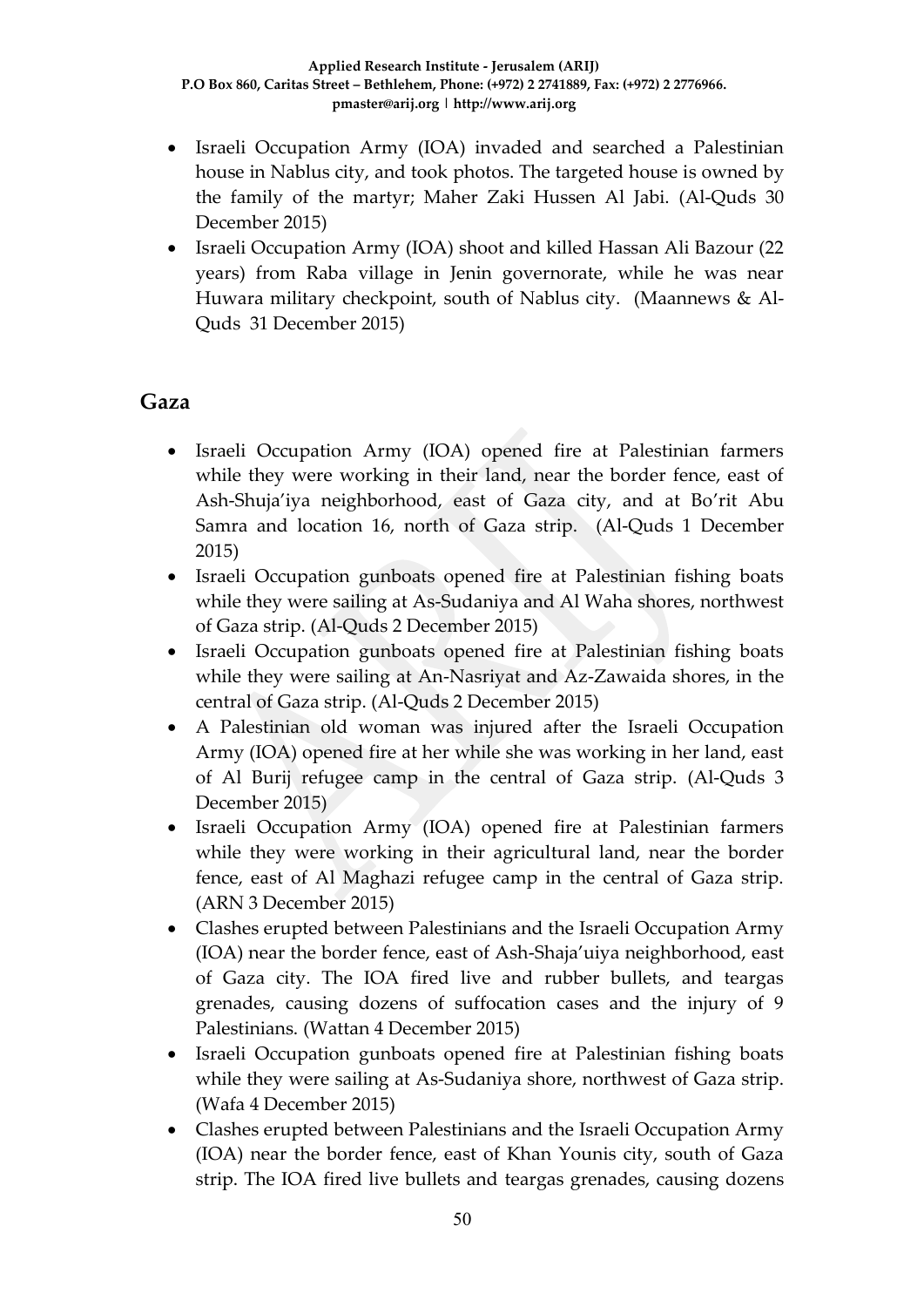- Israeli Occupation Army (IOA) invaded and searched a Palestinian house in Nablus city, and took photos. The targeted house is owned by the family of the martyr; Maher Zaki Hussen Al Jabi. (Al-Quds 30 December 2015)
- Israeli Occupation Army (IOA) shoot and killed Hassan Ali Bazour (22 years) from Raba village in Jenin governorate, while he was near Huwara military checkpoint, south of Nablus city. (Maannews & Al-Quds 31 December 2015)

#### **Gaza**

- Israeli Occupation Army (IOA) opened fire at Palestinian farmers while they were working in their land, near the border fence, east of Ash-Shuja'iya neighborhood, east of Gaza city, and at Bo'rit Abu Samra and location 16, north of Gaza strip. (Al-Quds 1 December 2015)
- Israeli Occupation gunboats opened fire at Palestinian fishing boats while they were sailing at As-Sudaniya and Al Waha shores, northwest of Gaza strip. (Al-Quds 2 December 2015)
- Israeli Occupation gunboats opened fire at Palestinian fishing boats while they were sailing at An-Nasriyat and Az-Zawaida shores, in the central of Gaza strip. (Al-Quds 2 December 2015)
- A Palestinian old woman was injured after the Israeli Occupation Army (IOA) opened fire at her while she was working in her land, east of Al Burij refugee camp in the central of Gaza strip. (Al-Quds 3 December 2015)
- Israeli Occupation Army (IOA) opened fire at Palestinian farmers while they were working in their agricultural land, near the border fence, east of Al Maghazi refugee camp in the central of Gaza strip. (ARN 3 December 2015)
- Clashes erupted between Palestinians and the Israeli Occupation Army (IOA) near the border fence, east of Ash-Shaja'uiya neighborhood, east of Gaza city. The IOA fired live and rubber bullets, and teargas grenades, causing dozens of suffocation cases and the injury of 9 Palestinians. (Wattan 4 December 2015)
- Israeli Occupation gunboats opened fire at Palestinian fishing boats while they were sailing at As-Sudaniya shore, northwest of Gaza strip. (Wafa 4 December 2015)
- Clashes erupted between Palestinians and the Israeli Occupation Army (IOA) near the border fence, east of Khan Younis city, south of Gaza strip. The IOA fired live bullets and teargas grenades, causing dozens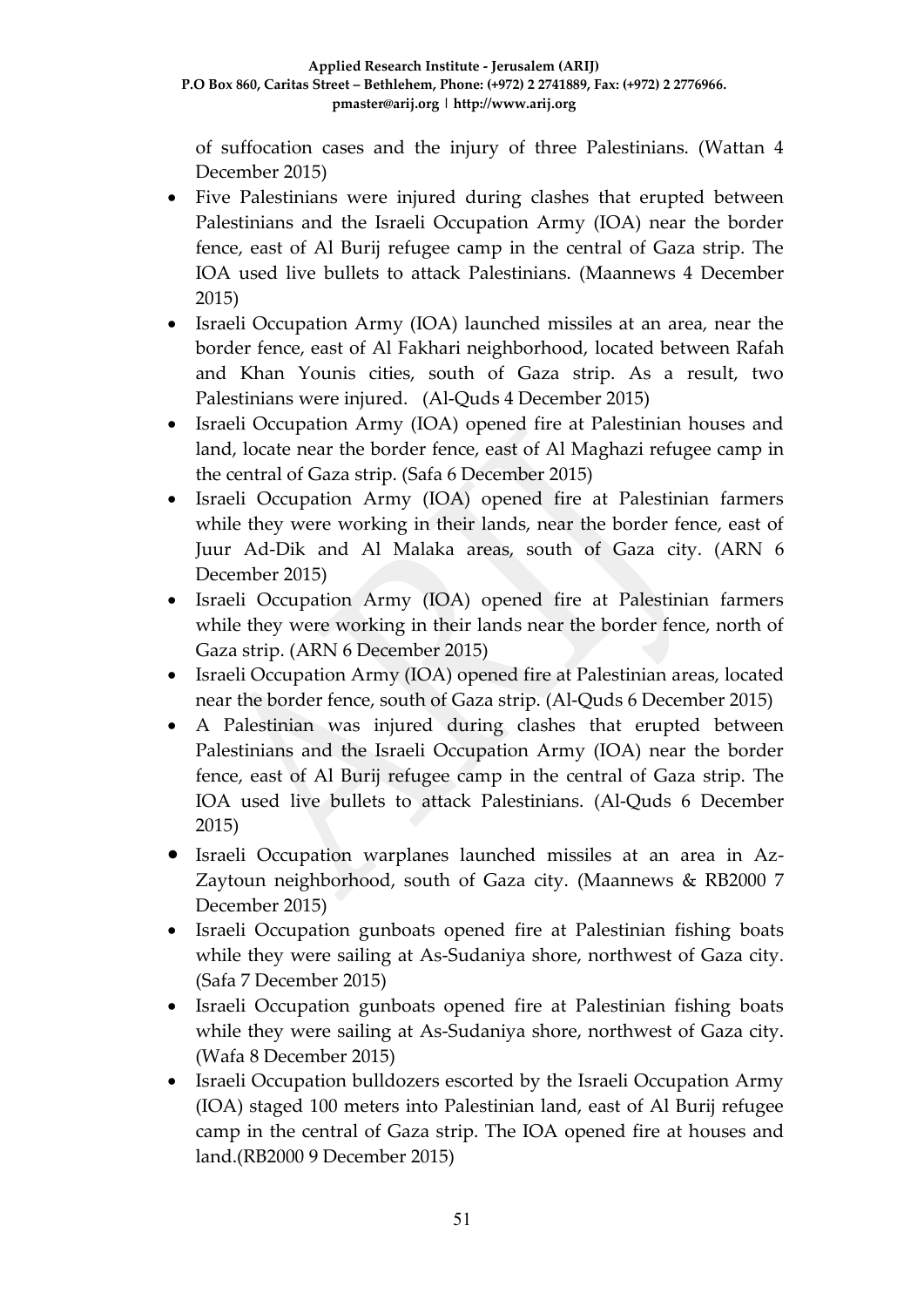of suffocation cases and the injury of three Palestinians. (Wattan 4 December 2015)

- Five Palestinians were injured during clashes that erupted between Palestinians and the Israeli Occupation Army (IOA) near the border fence, east of Al Burij refugee camp in the central of Gaza strip. The IOA used live bullets to attack Palestinians. (Maannews 4 December 2015)
- Israeli Occupation Army (IOA) launched missiles at an area, near the border fence, east of Al Fakhari neighborhood, located between Rafah and Khan Younis cities, south of Gaza strip. As a result, two Palestinians were injured. (Al-Quds 4 December 2015)
- Israeli Occupation Army (IOA) opened fire at Palestinian houses and land, locate near the border fence, east of Al Maghazi refugee camp in the central of Gaza strip. (Safa 6 December 2015)
- Israeli Occupation Army (IOA) opened fire at Palestinian farmers while they were working in their lands, near the border fence, east of Juur Ad-Dik and Al Malaka areas, south of Gaza city. (ARN 6 December 2015)
- Israeli Occupation Army (IOA) opened fire at Palestinian farmers while they were working in their lands near the border fence, north of Gaza strip. (ARN 6 December 2015)
- Israeli Occupation Army (IOA) opened fire at Palestinian areas, located near the border fence, south of Gaza strip. (Al-Quds 6 December 2015)
- A Palestinian was injured during clashes that erupted between Palestinians and the Israeli Occupation Army (IOA) near the border fence, east of Al Burij refugee camp in the central of Gaza strip. The IOA used live bullets to attack Palestinians. (Al-Quds 6 December 2015)
- Israeli Occupation warplanes launched missiles at an area in Az-Zaytoun neighborhood, south of Gaza city. (Maannews & RB2000 7 December 2015)
- Israeli Occupation gunboats opened fire at Palestinian fishing boats while they were sailing at As-Sudaniya shore, northwest of Gaza city. (Safa 7 December 2015)
- Israeli Occupation gunboats opened fire at Palestinian fishing boats while they were sailing at As-Sudaniya shore, northwest of Gaza city. (Wafa 8 December 2015)
- Israeli Occupation bulldozers escorted by the Israeli Occupation Army (IOA) staged 100 meters into Palestinian land, east of Al Burij refugee camp in the central of Gaza strip. The IOA opened fire at houses and land.(RB2000 9 December 2015)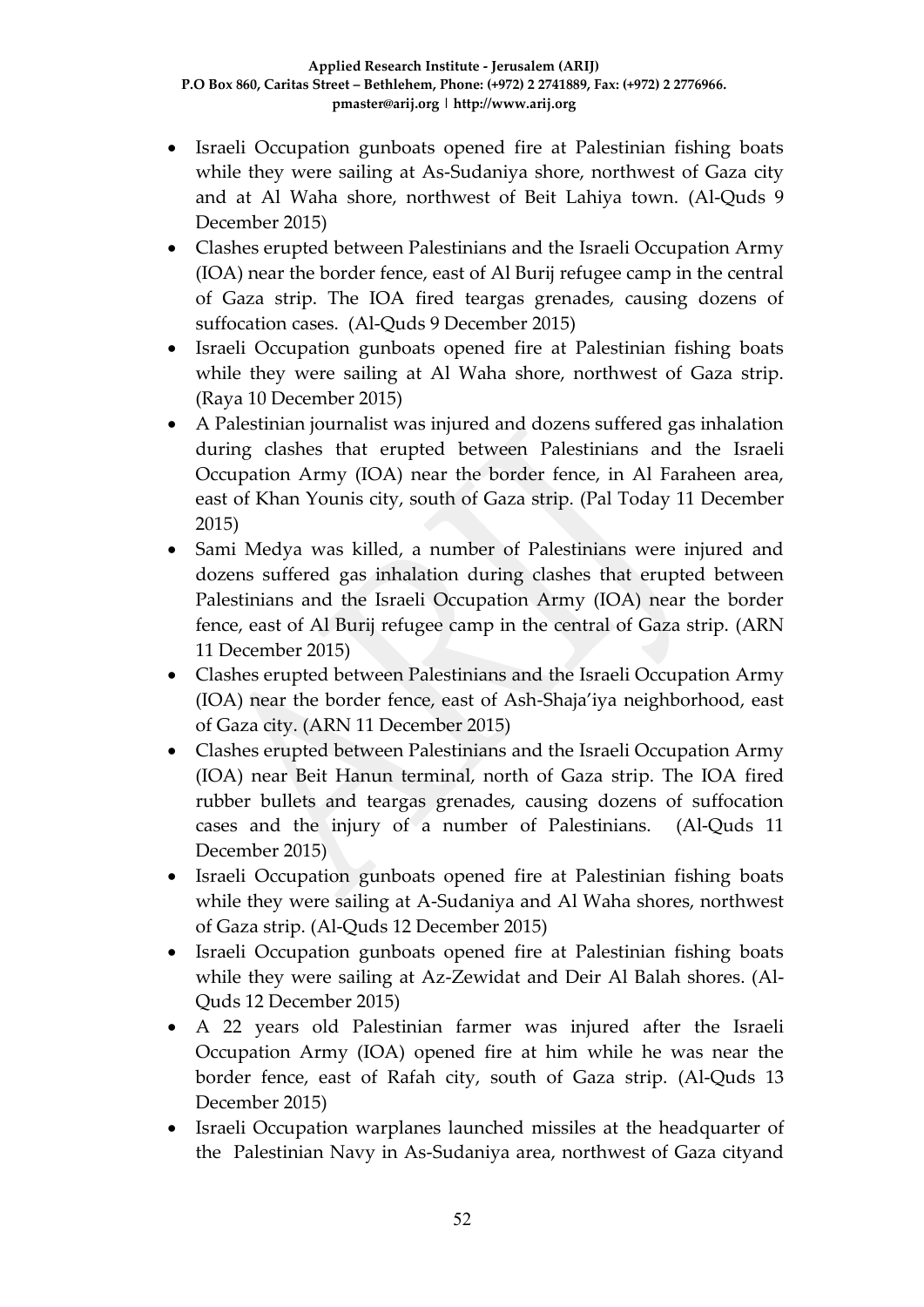- Israeli Occupation gunboats opened fire at Palestinian fishing boats while they were sailing at As-Sudaniya shore, northwest of Gaza city and at Al Waha shore, northwest of Beit Lahiya town. (Al-Quds 9 December 2015)
- Clashes erupted between Palestinians and the Israeli Occupation Army (IOA) near the border fence, east of Al Burij refugee camp in the central of Gaza strip. The IOA fired teargas grenades, causing dozens of suffocation cases. (Al-Quds 9 December 2015)
- Israeli Occupation gunboats opened fire at Palestinian fishing boats while they were sailing at Al Waha shore, northwest of Gaza strip. (Raya 10 December 2015)
- A Palestinian journalist was injured and dozens suffered gas inhalation during clashes that erupted between Palestinians and the Israeli Occupation Army (IOA) near the border fence, in Al Faraheen area, east of Khan Younis city, south of Gaza strip. (Pal Today 11 December 2015)
- Sami Medya was killed, a number of Palestinians were injured and dozens suffered gas inhalation during clashes that erupted between Palestinians and the Israeli Occupation Army (IOA) near the border fence, east of Al Burij refugee camp in the central of Gaza strip. (ARN 11 December 2015)
- Clashes erupted between Palestinians and the Israeli Occupation Army (IOA) near the border fence, east of Ash-Shaja'iya neighborhood, east of Gaza city. (ARN 11 December 2015)
- Clashes erupted between Palestinians and the Israeli Occupation Army (IOA) near Beit Hanun terminal, north of Gaza strip. The IOA fired rubber bullets and teargas grenades, causing dozens of suffocation cases and the injury of a number of Palestinians. (Al-Quds 11 December 2015)
- Israeli Occupation gunboats opened fire at Palestinian fishing boats while they were sailing at A-Sudaniya and Al Waha shores, northwest of Gaza strip. (Al-Quds 12 December 2015)
- Israeli Occupation gunboats opened fire at Palestinian fishing boats while they were sailing at Az-Zewidat and Deir Al Balah shores. (Al-Quds 12 December 2015)
- A 22 years old Palestinian farmer was injured after the Israeli Occupation Army (IOA) opened fire at him while he was near the border fence, east of Rafah city, south of Gaza strip. (Al-Quds 13 December 2015)
- Israeli Occupation warplanes launched missiles at the headquarter of the Palestinian Navy in As-Sudaniya area, northwest of Gaza cityand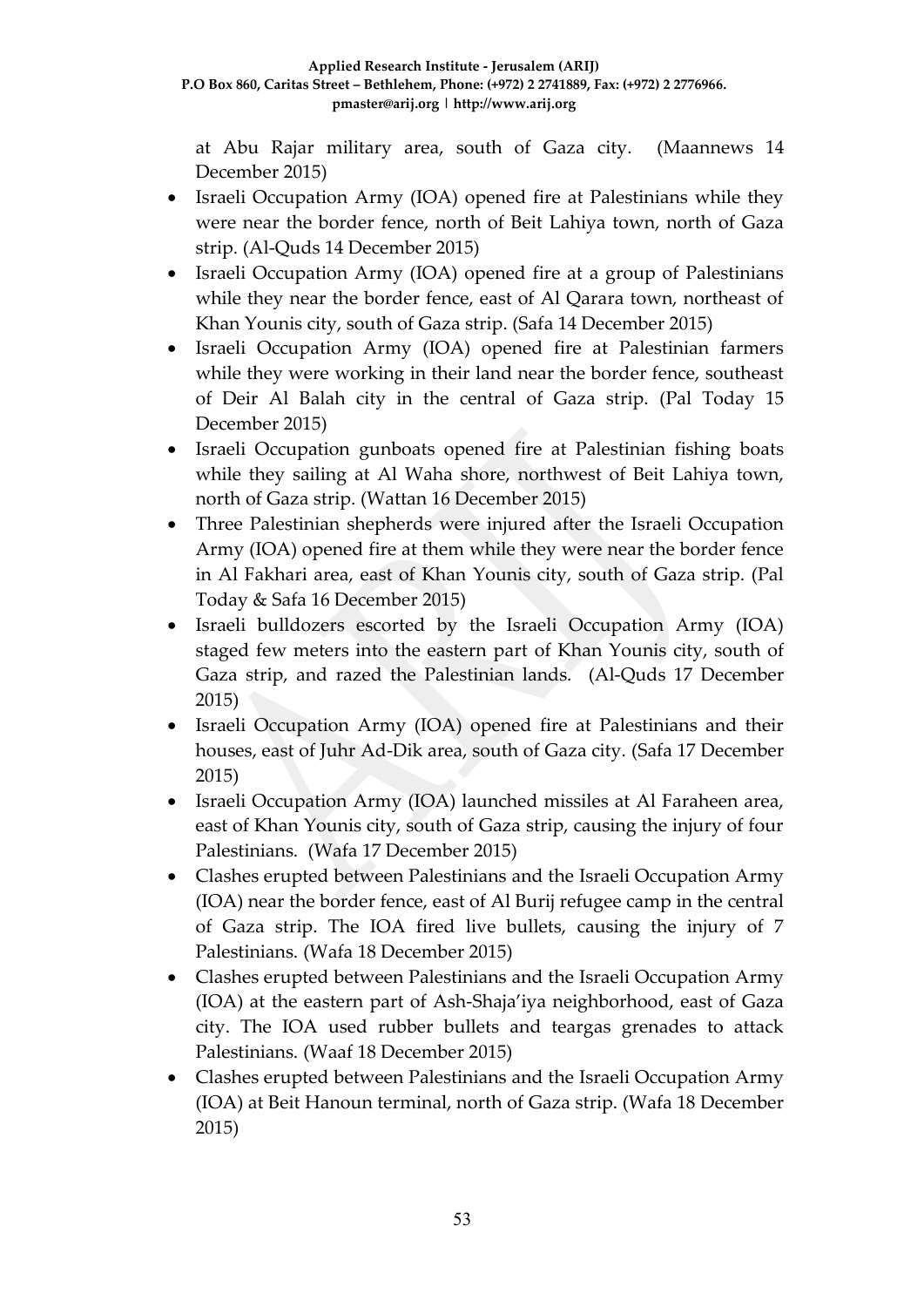at Abu Rajar military area, south of Gaza city. (Maannews 14 December 2015)

- Israeli Occupation Army (IOA) opened fire at Palestinians while they were near the border fence, north of Beit Lahiya town, north of Gaza strip. (Al-Quds 14 December 2015)
- Israeli Occupation Army (IOA) opened fire at a group of Palestinians while they near the border fence, east of Al Qarara town, northeast of Khan Younis city, south of Gaza strip. (Safa 14 December 2015)
- Israeli Occupation Army (IOA) opened fire at Palestinian farmers while they were working in their land near the border fence, southeast of Deir Al Balah city in the central of Gaza strip. (Pal Today 15 December 2015)
- Israeli Occupation gunboats opened fire at Palestinian fishing boats while they sailing at Al Waha shore, northwest of Beit Lahiya town, north of Gaza strip. (Wattan 16 December 2015)
- Three Palestinian shepherds were injured after the Israeli Occupation Army (IOA) opened fire at them while they were near the border fence in Al Fakhari area, east of Khan Younis city, south of Gaza strip. (Pal Today & Safa 16 December 2015)
- Israeli bulldozers escorted by the Israeli Occupation Army (IOA) staged few meters into the eastern part of Khan Younis city, south of Gaza strip, and razed the Palestinian lands. (Al-Quds 17 December 2015)
- Israeli Occupation Army (IOA) opened fire at Palestinians and their houses, east of Juhr Ad-Dik area, south of Gaza city. (Safa 17 December 2015)
- Israeli Occupation Army (IOA) launched missiles at Al Faraheen area, east of Khan Younis city, south of Gaza strip, causing the injury of four Palestinians. (Wafa 17 December 2015)
- Clashes erupted between Palestinians and the Israeli Occupation Army (IOA) near the border fence, east of Al Burij refugee camp in the central of Gaza strip. The IOA fired live bullets, causing the injury of 7 Palestinians. (Wafa 18 December 2015)
- Clashes erupted between Palestinians and the Israeli Occupation Army (IOA) at the eastern part of Ash-Shaja'iya neighborhood, east of Gaza city. The IOA used rubber bullets and teargas grenades to attack Palestinians. (Waaf 18 December 2015)
- Clashes erupted between Palestinians and the Israeli Occupation Army (IOA) at Beit Hanoun terminal, north of Gaza strip. (Wafa 18 December 2015)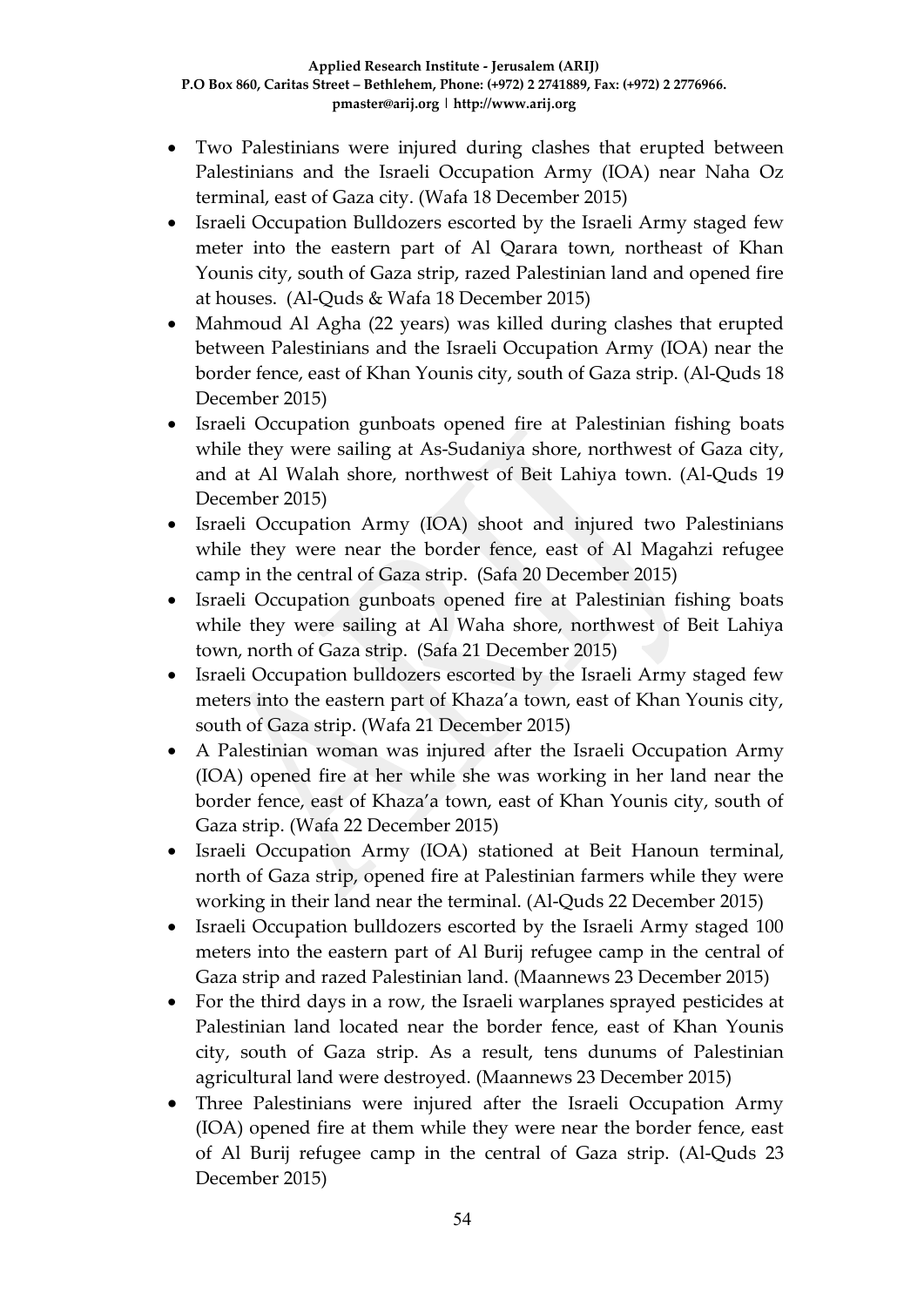- Two Palestinians were injured during clashes that erupted between Palestinians and the Israeli Occupation Army (IOA) near Naha Oz terminal, east of Gaza city. (Wafa 18 December 2015)
- Israeli Occupation Bulldozers escorted by the Israeli Army staged few meter into the eastern part of Al Qarara town, northeast of Khan Younis city, south of Gaza strip, razed Palestinian land and opened fire at houses. (Al-Quds & Wafa 18 December 2015)
- Mahmoud Al Agha (22 years) was killed during clashes that erupted between Palestinians and the Israeli Occupation Army (IOA) near the border fence, east of Khan Younis city, south of Gaza strip. (Al-Quds 18 December 2015)
- Israeli Occupation gunboats opened fire at Palestinian fishing boats while they were sailing at As-Sudaniya shore, northwest of Gaza city, and at Al Walah shore, northwest of Beit Lahiya town. (Al-Quds 19 December 2015)
- Israeli Occupation Army (IOA) shoot and injured two Palestinians while they were near the border fence, east of Al Magahzi refugee camp in the central of Gaza strip. (Safa 20 December 2015)
- Israeli Occupation gunboats opened fire at Palestinian fishing boats while they were sailing at Al Waha shore, northwest of Beit Lahiya town, north of Gaza strip. (Safa 21 December 2015)
- Israeli Occupation bulldozers escorted by the Israeli Army staged few meters into the eastern part of Khaza'a town, east of Khan Younis city, south of Gaza strip. (Wafa 21 December 2015)
- A Palestinian woman was injured after the Israeli Occupation Army (IOA) opened fire at her while she was working in her land near the border fence, east of Khaza'a town, east of Khan Younis city, south of Gaza strip. (Wafa 22 December 2015)
- Israeli Occupation Army (IOA) stationed at Beit Hanoun terminal, north of Gaza strip, opened fire at Palestinian farmers while they were working in their land near the terminal. (Al-Quds 22 December 2015)
- Israeli Occupation bulldozers escorted by the Israeli Army staged 100 meters into the eastern part of Al Burij refugee camp in the central of Gaza strip and razed Palestinian land. (Maannews 23 December 2015)
- For the third days in a row, the Israeli warplanes sprayed pesticides at Palestinian land located near the border fence, east of Khan Younis city, south of Gaza strip. As a result, tens dunums of Palestinian agricultural land were destroyed. (Maannews 23 December 2015)
- Three Palestinians were injured after the Israeli Occupation Army (IOA) opened fire at them while they were near the border fence, east of Al Burij refugee camp in the central of Gaza strip. (Al-Quds 23 December 2015)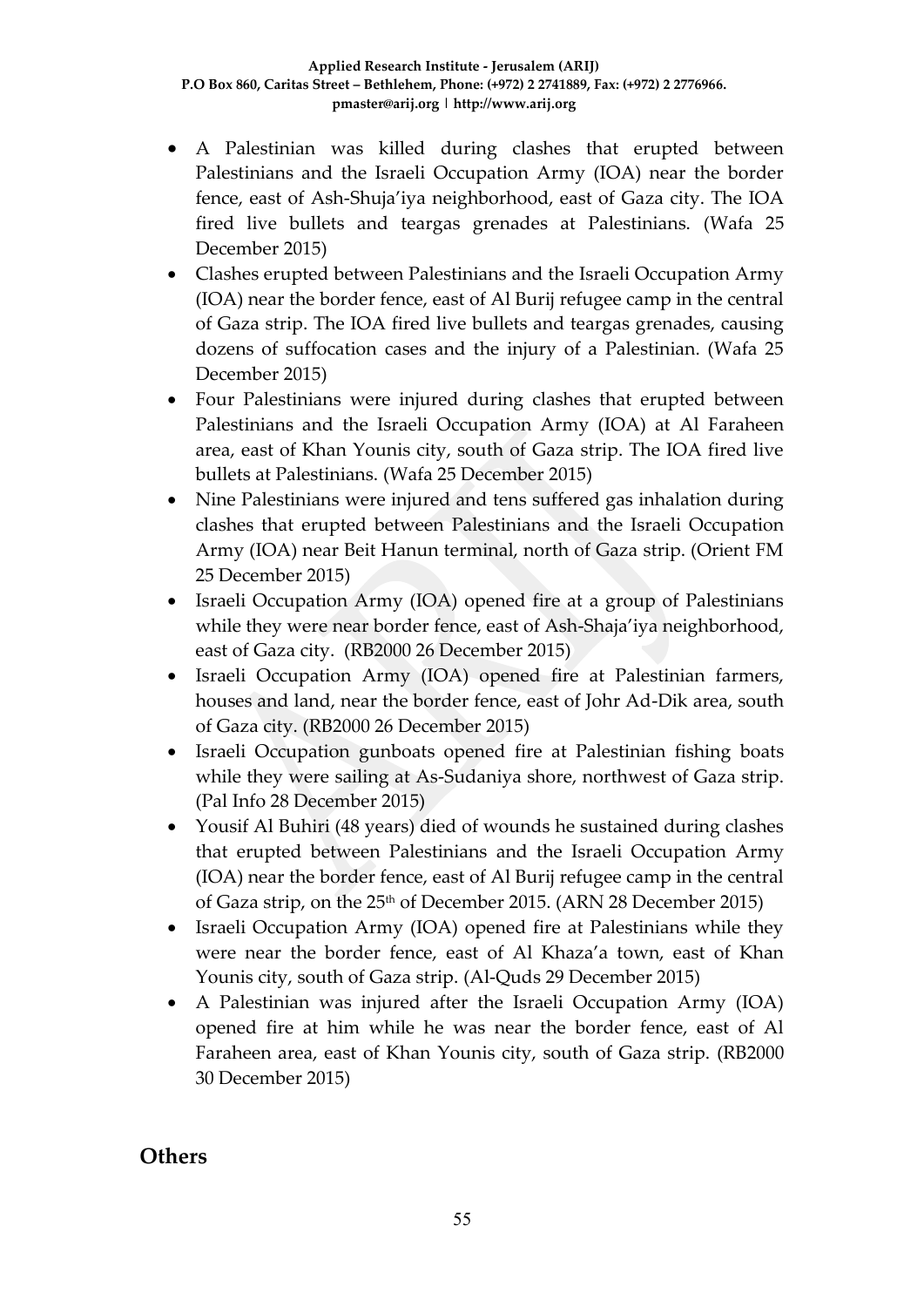- A Palestinian was killed during clashes that erupted between Palestinians and the Israeli Occupation Army (IOA) near the border fence, east of Ash-Shuja'iya neighborhood, east of Gaza city. The IOA fired live bullets and teargas grenades at Palestinians. (Wafa 25 December 2015)
- Clashes erupted between Palestinians and the Israeli Occupation Army (IOA) near the border fence, east of Al Burij refugee camp in the central of Gaza strip. The IOA fired live bullets and teargas grenades, causing dozens of suffocation cases and the injury of a Palestinian. (Wafa 25 December 2015)
- Four Palestinians were injured during clashes that erupted between Palestinians and the Israeli Occupation Army (IOA) at Al Faraheen area, east of Khan Younis city, south of Gaza strip. The IOA fired live bullets at Palestinians. (Wafa 25 December 2015)
- Nine Palestinians were injured and tens suffered gas inhalation during clashes that erupted between Palestinians and the Israeli Occupation Army (IOA) near Beit Hanun terminal, north of Gaza strip. (Orient FM 25 December 2015)
- Israeli Occupation Army (IOA) opened fire at a group of Palestinians while they were near border fence, east of Ash-Shaja'iya neighborhood, east of Gaza city. (RB2000 26 December 2015)
- Israeli Occupation Army (IOA) opened fire at Palestinian farmers, houses and land, near the border fence, east of Johr Ad-Dik area, south of Gaza city. (RB2000 26 December 2015)
- Israeli Occupation gunboats opened fire at Palestinian fishing boats while they were sailing at As-Sudaniya shore, northwest of Gaza strip. (Pal Info 28 December 2015)
- Yousif Al Buhiri (48 years) died of wounds he sustained during clashes that erupted between Palestinians and the Israeli Occupation Army (IOA) near the border fence, east of Al Burij refugee camp in the central of Gaza strip, on the 25<sup>th</sup> of December 2015. (ARN 28 December 2015)
- Israeli Occupation Army (IOA) opened fire at Palestinians while they were near the border fence, east of Al Khaza'a town, east of Khan Younis city, south of Gaza strip. (Al-Quds 29 December 2015)
- A Palestinian was injured after the Israeli Occupation Army (IOA) opened fire at him while he was near the border fence, east of Al Faraheen area, east of Khan Younis city, south of Gaza strip. (RB2000 30 December 2015)

## **Others**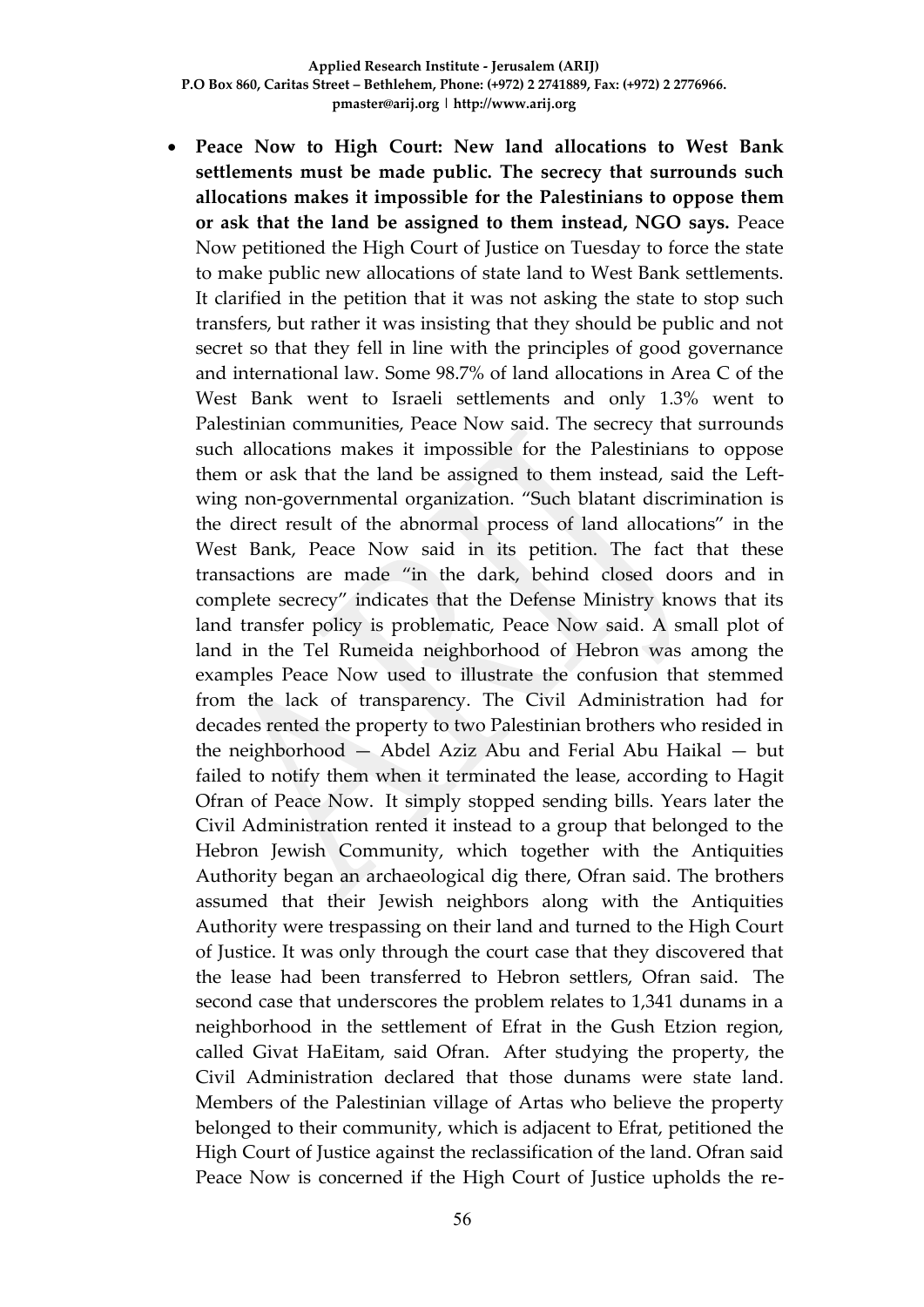**Peace Now to High Court: New land allocations to West Bank settlements must be made public. The secrecy that surrounds such allocations makes it impossible for the Palestinians to oppose them or ask that the land be assigned to them instead, NGO says.** Peace Now petitioned the High Court of Justice on Tuesday to force the state to make public new allocations of state land to West Bank settlements. It clarified in the petition that it was not asking the state to stop such transfers, but rather it was insisting that they should be public and not secret so that they fell in line with the principles of good governance and international law. Some 98.7% of land allocations in Area C of the West Bank went to Israeli settlements and only 1.3% went to Palestinian communities, Peace Now said. The secrecy that surrounds such allocations makes it impossible for the Palestinians to oppose them or ask that the land be assigned to them instead, said the Leftwing non-governmental organization. "Such blatant discrimination is the direct result of the abnormal process of land allocations" in the West Bank, Peace Now said in its petition. The fact that these transactions are made "in the dark, behind closed doors and in complete secrecy" indicates that the Defense Ministry knows that its land transfer policy is problematic, Peace Now said. A small plot of land in the Tel Rumeida neighborhood of Hebron was among the examples Peace Now used to illustrate the confusion that stemmed from the lack of transparency. The Civil Administration had for decades rented the property to two Palestinian brothers who resided in the neighborhood — Abdel Aziz Abu and Ferial Abu Haikal — but failed to notify them when it terminated the lease, according to Hagit Ofran of Peace Now. It simply stopped sending bills. Years later the Civil Administration rented it instead to a group that belonged to the Hebron Jewish Community, which together with the Antiquities Authority began an archaeological dig there, Ofran said. The brothers assumed that their Jewish neighbors along with the Antiquities Authority were trespassing on their land and turned to the High Court of Justice. It was only through the court case that they discovered that the lease had been transferred to Hebron settlers, Ofran said. The second case that underscores the problem relates to 1,341 dunams in a neighborhood in the settlement of Efrat in the Gush Etzion region, called Givat HaEitam, said Ofran. After studying the property, the Civil Administration declared that those dunams were state land. Members of the Palestinian village of Artas who believe the property belonged to their community, which is adjacent to Efrat, petitioned the High Court of Justice against the reclassification of the land. Ofran said Peace Now is concerned if the High Court of Justice upholds the re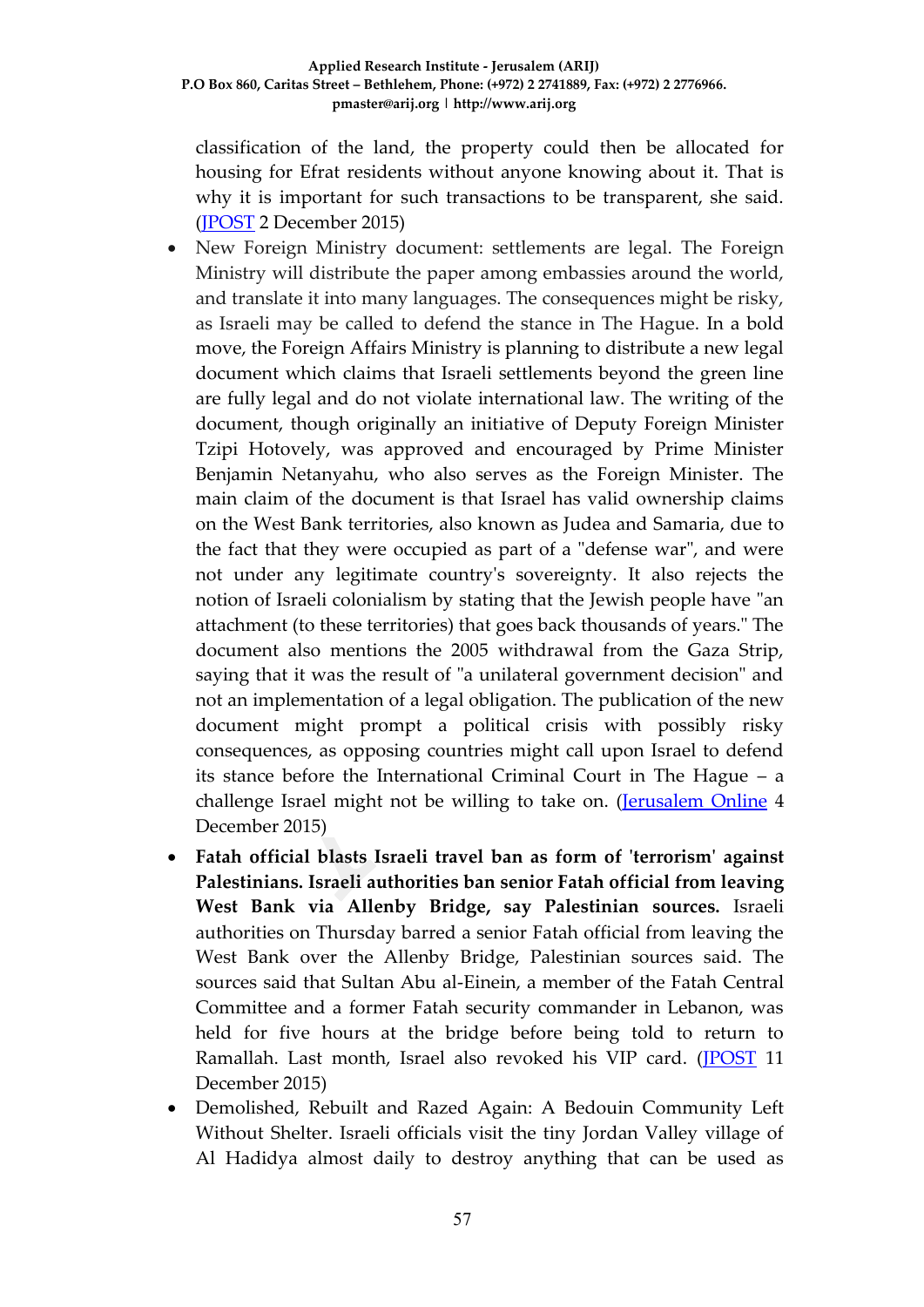classification of the land, the property could then be allocated for housing for Efrat residents without anyone knowing about it. That is why it is important for such transactions to be transparent, she said. [\(JPOST](http://www.jpost.com/Arab-Israeli-Conflict/Peace-Now-to-High-Court-New-land-allocations-to-West-Bank-settlements-must-be-made-public-435962) 2 December 2015)

- New Foreign Ministry document: settlements are legal. The Foreign Ministry will distribute the paper among embassies around the world, and translate it into many languages. The consequences might be risky, as Israeli may be called to defend the stance in The Hague. In a bold move, the Foreign Affairs Ministry is planning to distribute a new legal document which claims that Israeli settlements beyond the green line are fully legal and do not violate international law. The writing of the document, though originally an initiative of Deputy Foreign Minister Tzipi Hotovely, was approved and encouraged by Prime Minister Benjamin Netanyahu, who also serves as the Foreign Minister. The main claim of the document is that Israel has valid ownership claims on the West Bank territories, also known as Judea and Samaria, due to the fact that they were occupied as part of a "defense war", and were not under any legitimate country's sovereignty. It also rejects the notion of Israeli colonialism by stating that the Jewish people have "an attachment (to these territories) that goes back thousands of years." The document also mentions the 2005 withdrawal from the Gaza Strip, saying that it was the result of "a unilateral government decision" and not an implementation of a legal obligation. The publication of the new document might prompt a political crisis with possibly risky consequences, as opposing countries might call upon Israel to defend its stance before the International Criminal Court in The Hague – a challenge Israel might not be willing to take on. [\(Jerusalem Online](http://www.jerusalemonline.com/news/politics-and-military/politics/new-foreign-ministry-document-gives-settlements-legal-legitimacy-17553) 4 December 2015)
- **Fatah official blasts Israeli travel ban as form of 'terrorism' against Palestinians. Israeli authorities ban senior Fatah official from leaving West Bank via Allenby Bridge, say Palestinian sources.** Israeli authorities on Thursday barred a senior Fatah official from leaving the West Bank over the Allenby Bridge, Palestinian sources said. The sources said that Sultan Abu al-Einein, a member of the Fatah Central Committee and a former Fatah security commander in Lebanon, was held for five hours at the bridge before being told to return to Ramallah. Last month, Israel also revoked his VIP card. [\(JPOST](http://www.jpost.com/Arab-Israeli-Conflict/Fatah-official-blasts-Israeli-travel-ban-as-form-of-terrorism-against-Palestinians-436975) 11 December 2015)
- Demolished, Rebuilt and Razed Again: A Bedouin Community Left Without Shelter. Israeli officials visit the tiny Jordan Valley village of Al Hadidya almost daily to destroy anything that can be used as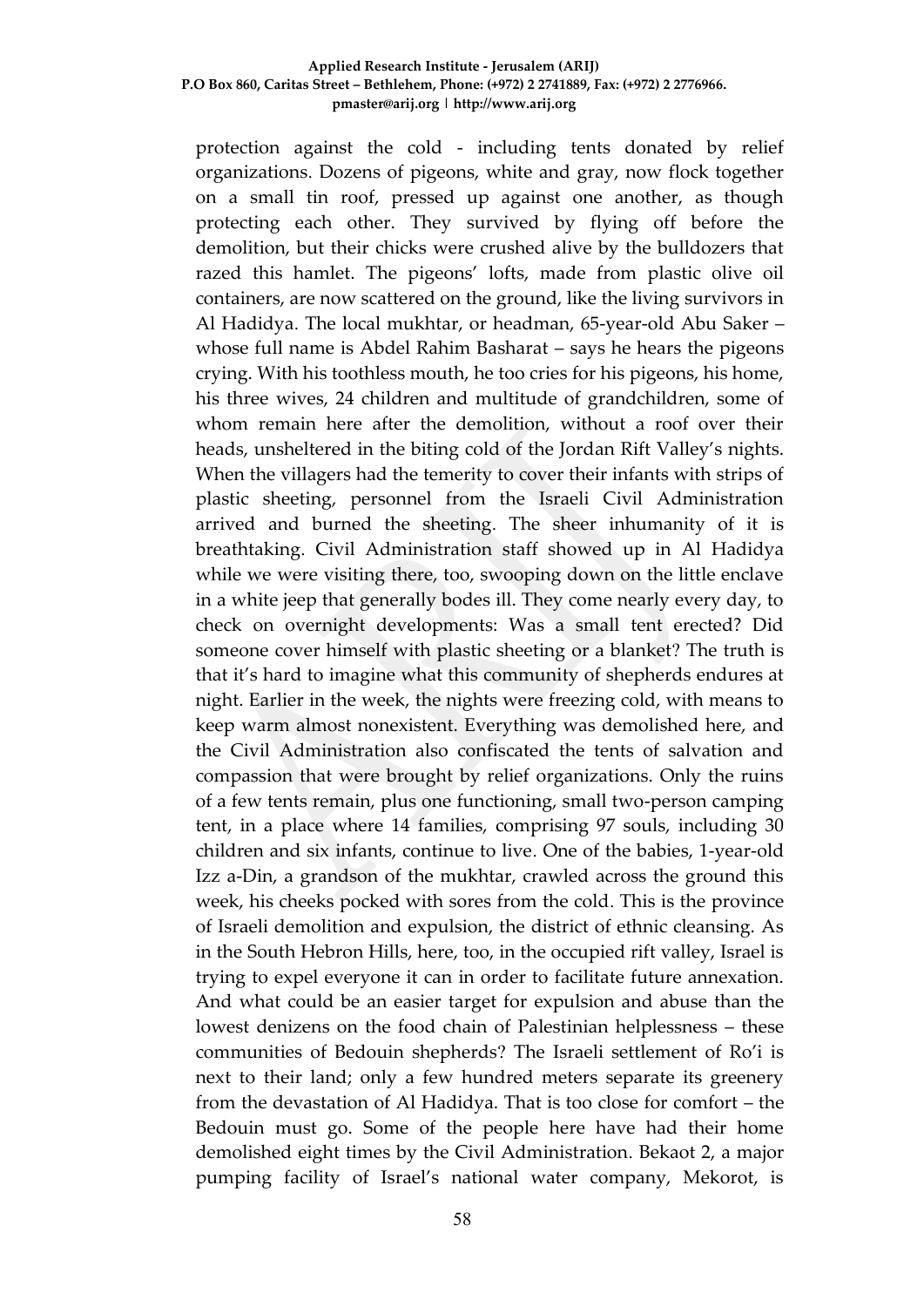protection against the cold - including tents donated by relief organizations. Dozens of pigeons, white and gray, now flock together on a small tin roof, pressed up against one another, as though protecting each other. They survived by flying off before the demolition, but their chicks were crushed alive by the bulldozers that razed this hamlet. The pigeons' lofts, made from plastic olive oil containers, are now scattered on the ground, like the living survivors in Al Hadidya. The local mukhtar, or headman, 65-year-old Abu Saker – whose full name is Abdel Rahim Basharat – says he hears the pigeons crying. With his toothless mouth, he too cries for his pigeons, his home, his three wives, 24 children and multitude of grandchildren, some of whom remain here after the demolition, without a roof over their heads, unsheltered in the biting cold of the Jordan Rift Valley's nights. When the villagers had the temerity to cover their infants with strips of plastic sheeting, personnel from the Israeli Civil Administration arrived and burned the sheeting. The sheer inhumanity of it is breathtaking. Civil Administration staff showed up in Al Hadidya while we were visiting there, too, swooping down on the little enclave in a white jeep that generally bodes ill. They come nearly every day, to check on overnight developments: Was a small tent erected? Did someone cover himself with plastic sheeting or a blanket? The truth is that it's hard to imagine what this community of shepherds endures at night. Earlier in the week, the nights were freezing cold, with means to keep warm almost nonexistent. Everything was demolished here, and the Civil Administration also confiscated the tents of salvation and compassion that were brought by relief organizations. Only the ruins of a few tents remain, plus one functioning, small two-person camping tent, in a place where 14 families, comprising 97 souls, including 30 children and six infants, continue to live. One of the babies, 1-year-old Izz a-Din, a grandson of the mukhtar, crawled across the ground this week, his cheeks pocked with sores from the cold. This is the province of Israeli demolition and expulsion, the district of ethnic cleansing. As in the South Hebron Hills, here, too, in the occupied rift valley, Israel is trying to expel everyone it can in order to facilitate future annexation. And what could be an easier target for expulsion and abuse than the lowest denizens on the food chain of Palestinian helplessness – these communities of Bedouin shepherds? The Israeli settlement of Ro'i is next to their land; only a few hundred meters separate its greenery from the devastation of Al Hadidya. That is too close for comfort – the Bedouin must go. Some of the people here have had their home demolished eight times by the Civil Administration. Bekaot 2, a major pumping facility of Israel's national water company, Mekorot, is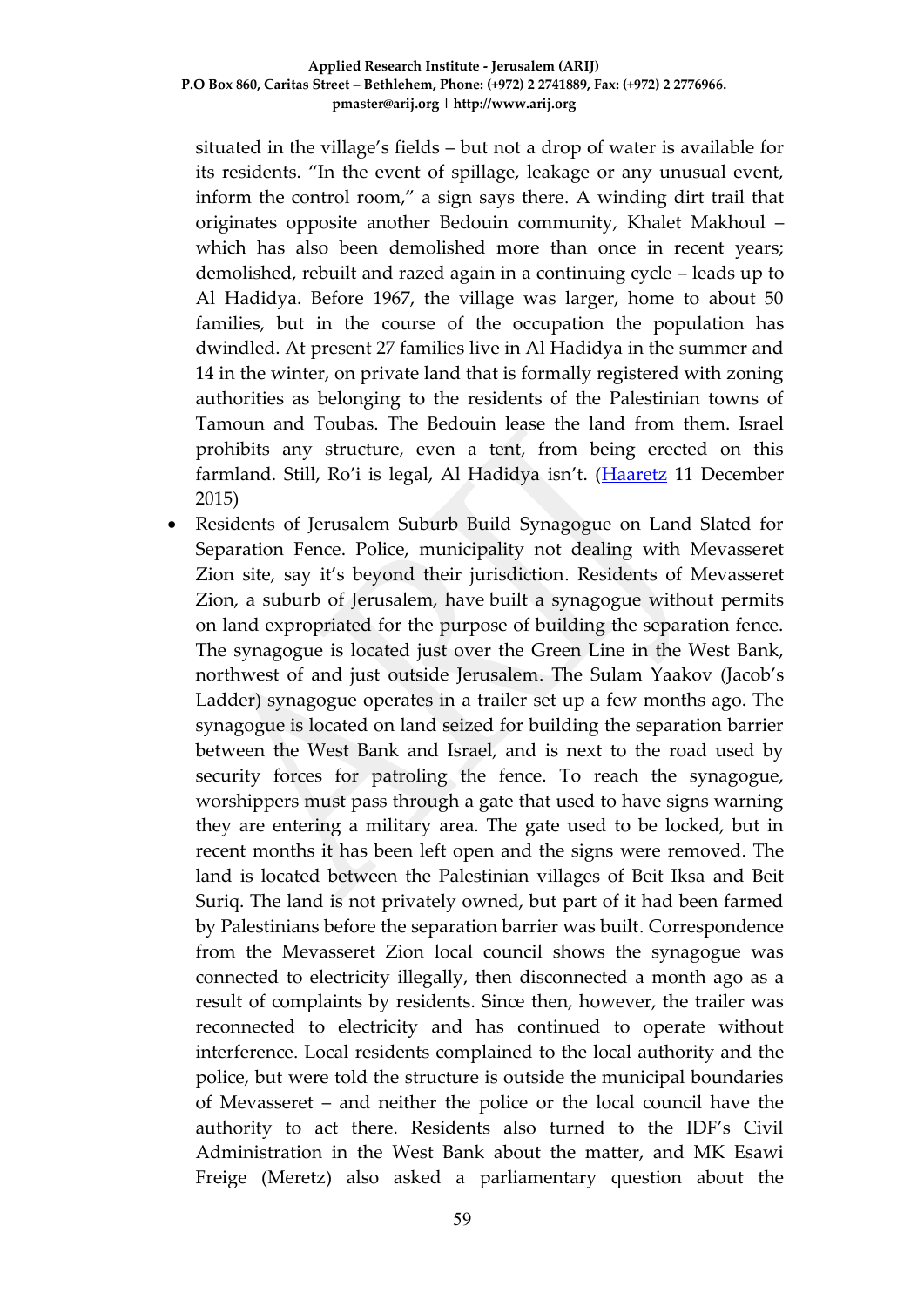situated in the village's fields – but not a drop of water is available for its residents. "In the event of spillage, leakage or any unusual event, inform the control room," a sign says there. A winding dirt trail that originates opposite another Bedouin community, Khalet Makhoul – which has also been demolished more than once in recent years; demolished, rebuilt and razed again in a continuing cycle – leads up to Al Hadidya. Before 1967, the village was larger, home to about 50 families, but in the course of the occupation the population has dwindled. At present 27 families live in Al Hadidya in the summer and 14 in the winter, on private land that is formally registered with zoning authorities as belonging to the residents of the Palestinian towns of Tamoun and Toubas. The Bedouin lease the land from them. Israel prohibits any structure, even a tent, from being erected on this farmland. Still, Ro'i is legal, Al Hadidya isn't. ([Haaretz](http://www.haaretz.com/israel-news/.premium-1.691212) 11 December 2015)

 Residents of Jerusalem Suburb Build Synagogue on Land Slated for Separation Fence. Police, municipality not dealing with Mevasseret Zion site, say it's beyond their jurisdiction. Residents of Mevasseret Zion, a suburb of Jerusalem, have built a synagogue without permits on land expropriated for the purpose of building the separation fence. The synagogue is located just over the Green Line in the West Bank, northwest of and just outside Jerusalem. The Sulam Yaakov (Jacob's Ladder) synagogue operates in a trailer set up a few months ago. The synagogue is located on land seized for building the separation barrier between the West Bank and Israel, and is next to the road used by security forces for patroling the fence. To reach the synagogue, worshippers must pass through a gate that used to have signs warning they are entering a military area. The gate used to be locked, but in recent months it has been left open and the signs were removed. The land is located between the Palestinian villages of Beit Iksa and Beit Suriq. The land is not privately owned, but part of it had been farmed by Palestinians before the separation barrier was built. Correspondence from the Mevasseret Zion local council shows the synagogue was connected to electricity illegally, then disconnected a month ago as a result of complaints by residents. Since then, however, the trailer was reconnected to electricity and has continued to operate without interference. Local residents complained to the local authority and the police, but were told the structure is outside the municipal boundaries of Mevasseret – and neither the police or the local council have the authority to act there. Residents also turned to the IDF's Civil Administration in the West Bank about the matter, and MK Esawi Freige (Meretz) also asked a parliamentary question about the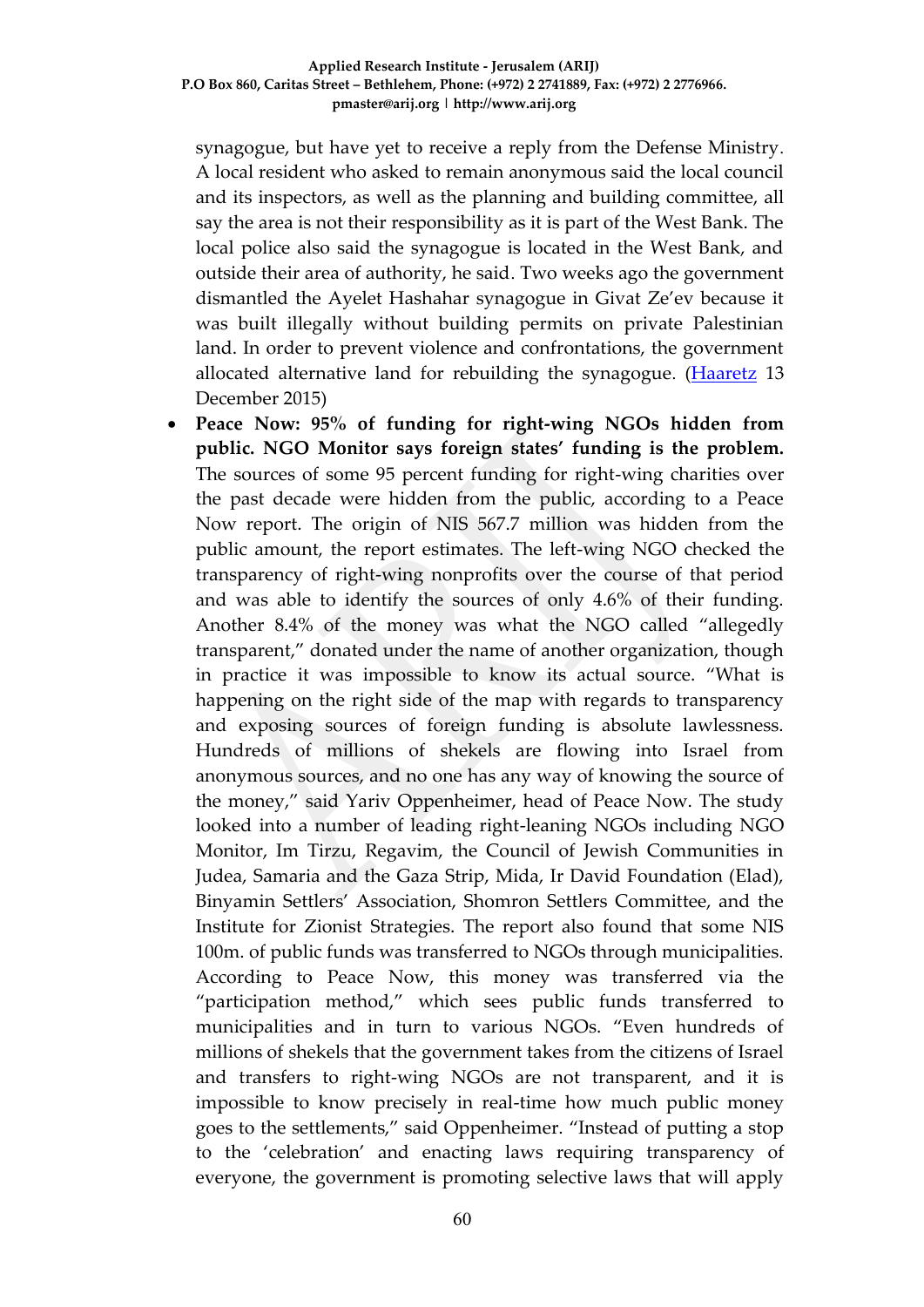synagogue, but have yet to receive a reply from the Defense Ministry. A local resident who asked to remain anonymous said the local council and its inspectors, as well as the planning and building committee, all say the area is not their responsibility as it is part of the West Bank. The local police also said the synagogue is located in the West Bank, and outside their area of authority, he said. Two weeks ago the government dismantled the Ayelet Hashahar synagogue in Givat Ze'ev because it was built illegally without building permits on private Palestinian land. In order to prevent violence and confrontations, the government allocated alternative land for rebuilding the synagogue. [\(Haaretz](http://www.haaretz.com/israel-news/.premium-1.691476) 13 December 2015)

 **Peace Now: 95% of funding for right-wing NGOs hidden from public. NGO Monitor says foreign states' funding is the problem.**  The sources of some 95 percent funding for right-wing charities over the past decade were hidden from the public, according to a Peace Now report. The origin of NIS 567.7 million was hidden from the public amount, the report estimates. The left-wing NGO checked the transparency of right-wing nonprofits over the course of that period and was able to identify the sources of only 4.6% of their funding. Another 8.4% of the money was what the NGO called "allegedly transparent," donated under the name of another organization, though in practice it was impossible to know its actual source. "What is happening on the right side of the map with regards to transparency and exposing sources of foreign funding is absolute lawlessness. Hundreds of millions of shekels are flowing into Israel from anonymous sources, and no one has any way of knowing the source of the money," said Yariv Oppenheimer, head of Peace Now. The study looked into a number of leading right-leaning NGOs including NGO Monitor, Im Tirzu, Regavim, the Council of Jewish Communities in Judea, Samaria and the Gaza Strip, Mida, Ir David Foundation (Elad), Binyamin Settlers' Association, Shomron Settlers Committee, and the Institute for Zionist Strategies. The report also found that some NIS 100m. of public funds was transferred to NGOs through municipalities. According to Peace Now, this money was transferred via the "participation method," which sees public funds transferred to municipalities and in turn to various NGOs. "Even hundreds of millions of shekels that the government takes from the citizens of Israel and transfers to right-wing NGOs are not transparent, and it is impossible to know precisely in real-time how much public money goes to the settlements," said Oppenheimer. "Instead of putting a stop to the 'celebration' and enacting laws requiring transparency of everyone, the government is promoting selective laws that will apply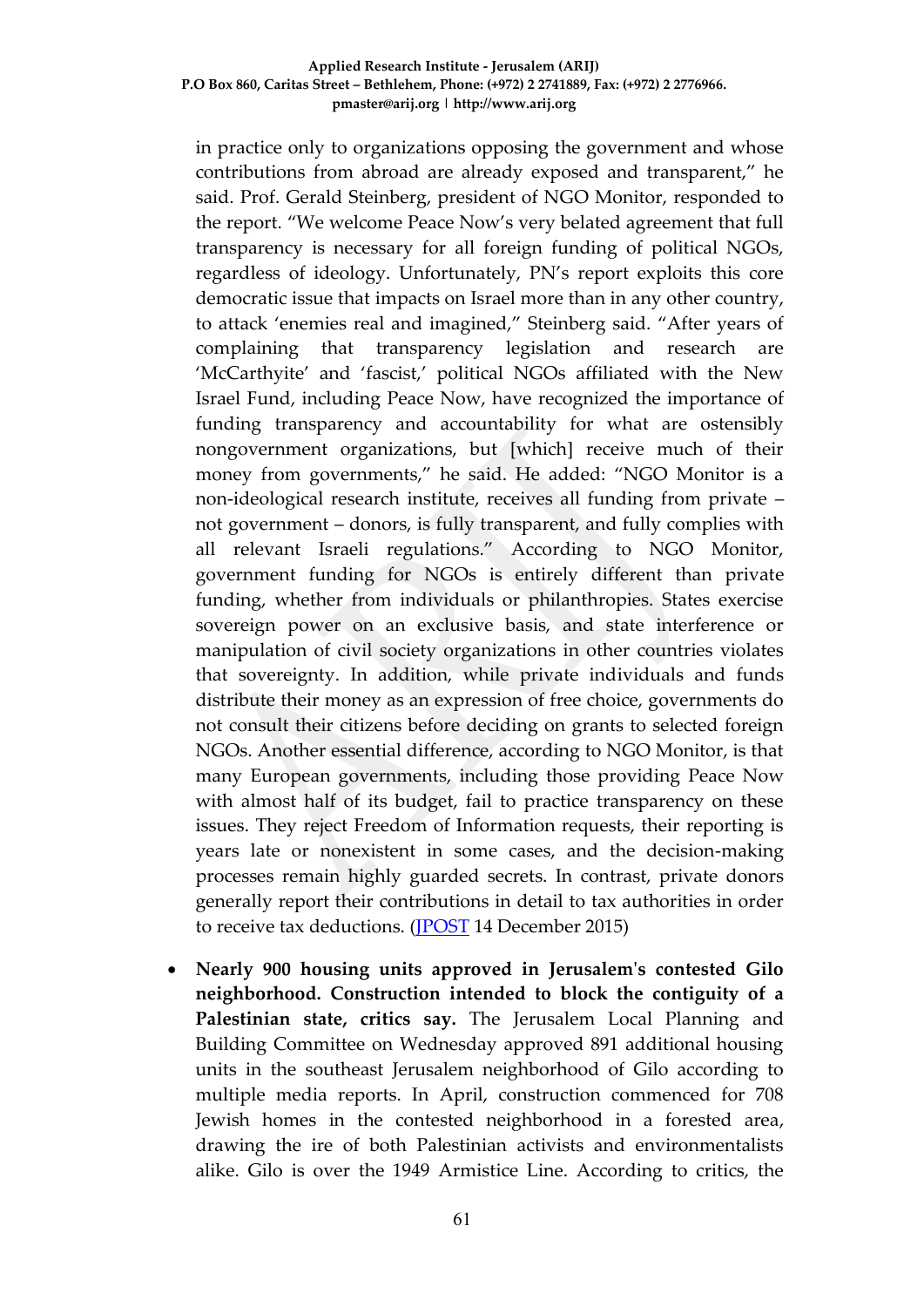in practice only to organizations opposing the government and whose contributions from abroad are already exposed and transparent," he said. Prof. Gerald Steinberg, president of NGO Monitor, responded to the report. "We welcome Peace Now's very belated agreement that full transparency is necessary for all foreign funding of political NGOs, regardless of ideology. Unfortunately, PN's report exploits this core democratic issue that impacts on Israel more than in any other country, to attack 'enemies real and imagined," Steinberg said. "After years of complaining that transparency legislation and research are 'McCarthyite' and 'fascist,' political NGOs affiliated with the New Israel Fund, including Peace Now, have recognized the importance of funding transparency and accountability for what are ostensibly nongovernment organizations, but [which] receive much of their money from governments," he said. He added: "NGO Monitor is a non-ideological research institute, receives all funding from private – not government – donors, is fully transparent, and fully complies with all relevant Israeli regulations." According to NGO Monitor, government funding for NGOs is entirely different than private funding, whether from individuals or philanthropies. States exercise sovereign power on an exclusive basis, and state interference or manipulation of civil society organizations in other countries violates that sovereignty. In addition, while private individuals and funds distribute their money as an expression of free choice, governments do not consult their citizens before deciding on grants to selected foreign NGOs. Another essential difference, according to NGO Monitor, is that many European governments, including those providing Peace Now with almost half of its budget, fail to practice transparency on these issues. They reject Freedom of Information requests, their reporting is years late or nonexistent in some cases, and the decision-making processes remain highly guarded secrets. In contrast, private donors generally report their contributions in detail to tax authorities in order to receive tax deductions. [\(JPOST](http://www.jpost.com/Israel-News/Peace-Now-95-percent-of-funding-for-right-wing-NGOs-hidden-from-public-437239) 14 December 2015)

 **Nearly 900 housing units approved in Jerusalem's contested Gilo neighborhood. Construction intended to block the contiguity of a Palestinian state, critics say.** The Jerusalem Local Planning and Building Committee on Wednesday approved 891 additional housing units in the southeast Jerusalem neighborhood of Gilo according to multiple media reports. In April, construction commenced for 708 Jewish homes in the contested neighborhood in a forested area, drawing the ire of both Palestinian activists and environmentalists alike. Gilo is over the 1949 Armistice Line. According to critics, the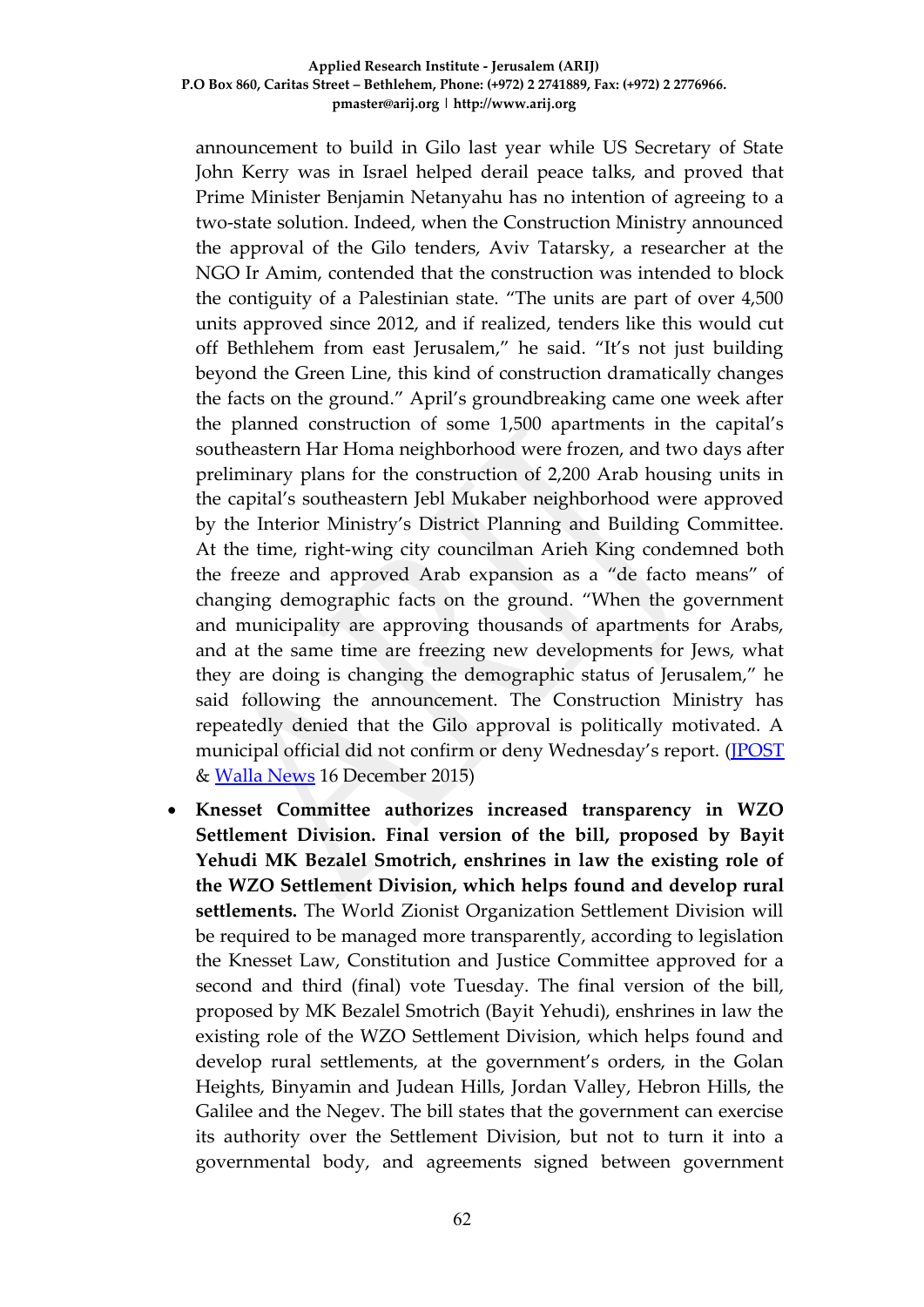announcement to build in Gilo last year while US Secretary of State John Kerry was in Israel helped derail peace talks, and proved that Prime Minister Benjamin Netanyahu has no intention of agreeing to a two-state solution. Indeed, when the Construction Ministry announced the approval of the Gilo tenders, Aviv Tatarsky, a researcher at the NGO Ir Amim, contended that the construction was intended to block the contiguity of a Palestinian state. "The units are part of over 4,500 units approved since 2012, and if realized, tenders like this would cut off Bethlehem from east Jerusalem," he said. "It's not just building beyond the Green Line, this kind of construction dramatically changes the facts on the ground." April's groundbreaking came one week after the planned construction of some 1,500 apartments in the capital's southeastern Har Homa neighborhood were frozen, and two days after preliminary plans for the construction of 2,200 Arab housing units in the capital's southeastern Jebl Mukaber neighborhood were approved by the Interior Ministry's District Planning and Building Committee. At the time, right-wing city councilman Arieh King condemned both the freeze and approved Arab expansion as a "de facto means" of changing demographic facts on the ground. "When the government and municipality are approving thousands of apartments for Arabs, and at the same time are freezing new developments for Jews, what they are doing is changing the demographic status of Jerusalem," he said following the announcement. The Construction Ministry has repeatedly denied that the Gilo approval is politically motivated. A municipal official did not confirm or deny Wednesday's report. [\(JPOST](http://www.jpost.com/Israel-News/Nearly-900-housing-units-approved-in-Jerusalems-contested-Gilo-neighborhood-437471) & [Walla News](http://news.walla.co.il/item/2916120) 16 December 2015)

 **Knesset Committee authorizes increased transparency in WZO Settlement Division. Final version of the bill, proposed by Bayit Yehudi MK Bezalel Smotrich, enshrines in law the existing role of the WZO Settlement Division, which helps found and develop rural settlements.** The World Zionist Organization Settlement Division will be required to be managed more transparently, according to legislation the Knesset Law, Constitution and Justice Committee approved for a second and third (final) vote Tuesday. The final version of the bill, proposed by MK Bezalel Smotrich (Bayit Yehudi), enshrines in law the existing role of the WZO Settlement Division, which helps found and develop rural settlements, at the government's orders, in the Golan Heights, Binyamin and Judean Hills, Jordan Valley, Hebron Hills, the Galilee and the Negev. The bill states that the government can exercise its authority over the Settlement Division, but not to turn it into a governmental body, and agreements signed between government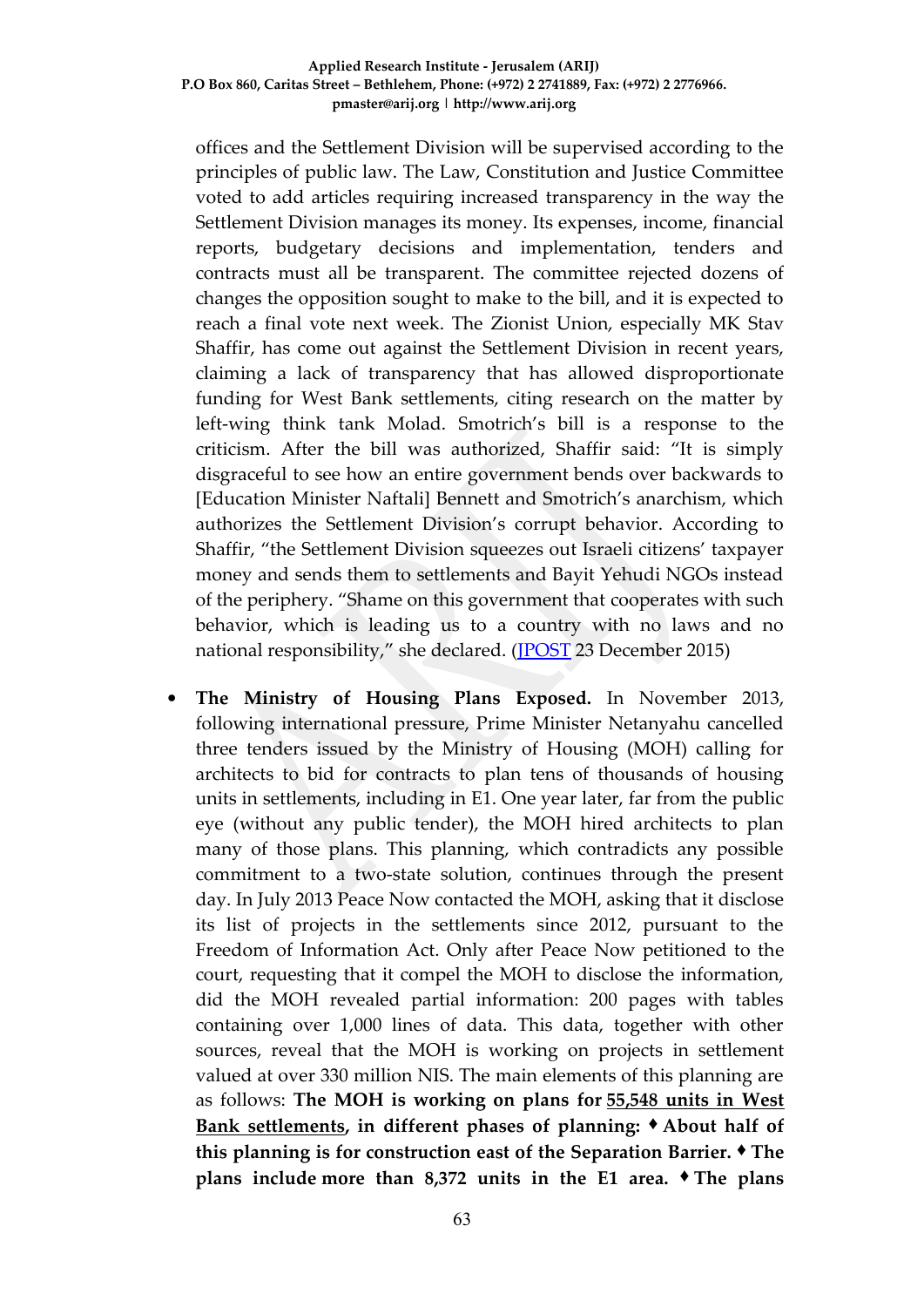offices and the Settlement Division will be supervised according to the principles of public law. The Law, Constitution and Justice Committee voted to add articles requiring increased transparency in the way the Settlement Division manages its money. Its expenses, income, financial reports, budgetary decisions and implementation, tenders and contracts must all be transparent. The committee rejected dozens of changes the opposition sought to make to the bill, and it is expected to reach a final vote next week. The Zionist Union, especially MK Stav Shaffir, has come out against the Settlement Division in recent years, claiming a lack of transparency that has allowed disproportionate funding for West Bank settlements, citing research on the matter by left-wing think tank Molad. Smotrich's bill is a response to the criticism. After the bill was authorized, Shaffir said: "It is simply disgraceful to see how an entire government bends over backwards to [Education Minister Naftali] Bennett and Smotrich's anarchism, which authorizes the Settlement Division's corrupt behavior. According to Shaffir, "the Settlement Division squeezes out Israeli citizens' taxpayer money and sends them to settlements and Bayit Yehudi NGOs instead of the periphery. "Shame on this government that cooperates with such behavior, which is leading us to a country with no laws and no national responsibility," she declared. [\(JPOST](http://www.jpost.com/Israel-News/Knesset-Committee-authorizes-increased-transparency-in-WZO-Settlement-Division-438080) 23 December 2015)

 **The Ministry of Housing Plans Exposed.** In November 2013, following international pressure, Prime Minister Netanyahu cancelled three tenders issued by the Ministry of Housing (MOH) calling for architects to bid for contracts to plan tens of thousands of housing units in settlements, including in E1. One year later, far from the public eye (without any public tender), the MOH hired architects to plan many of those plans. This planning, which contradicts any possible commitment to a two-state solution, continues through the present day. In July 2013 Peace Now contacted the MOH, asking that it disclose its list of projects in the settlements since 2012, pursuant to the Freedom of Information Act. Only after Peace Now petitioned to the court, requesting that it compel the MOH to disclose the information, did the MOH revealed partial information: 200 pages with tables containing over 1,000 lines of data. This data, together with other sources, reveal that the MOH is working on projects in settlement valued at over 330 million NIS. The main elements of this planning are as follows: **The MOH is working on plans for 55,548 units in West Bank settlements, in different phases of planning:** ♦ **About half of this planning is for construction east of the Separation Barrier. ♦ The plans include more than 8,372 units in the E1 area. ♦ The plans**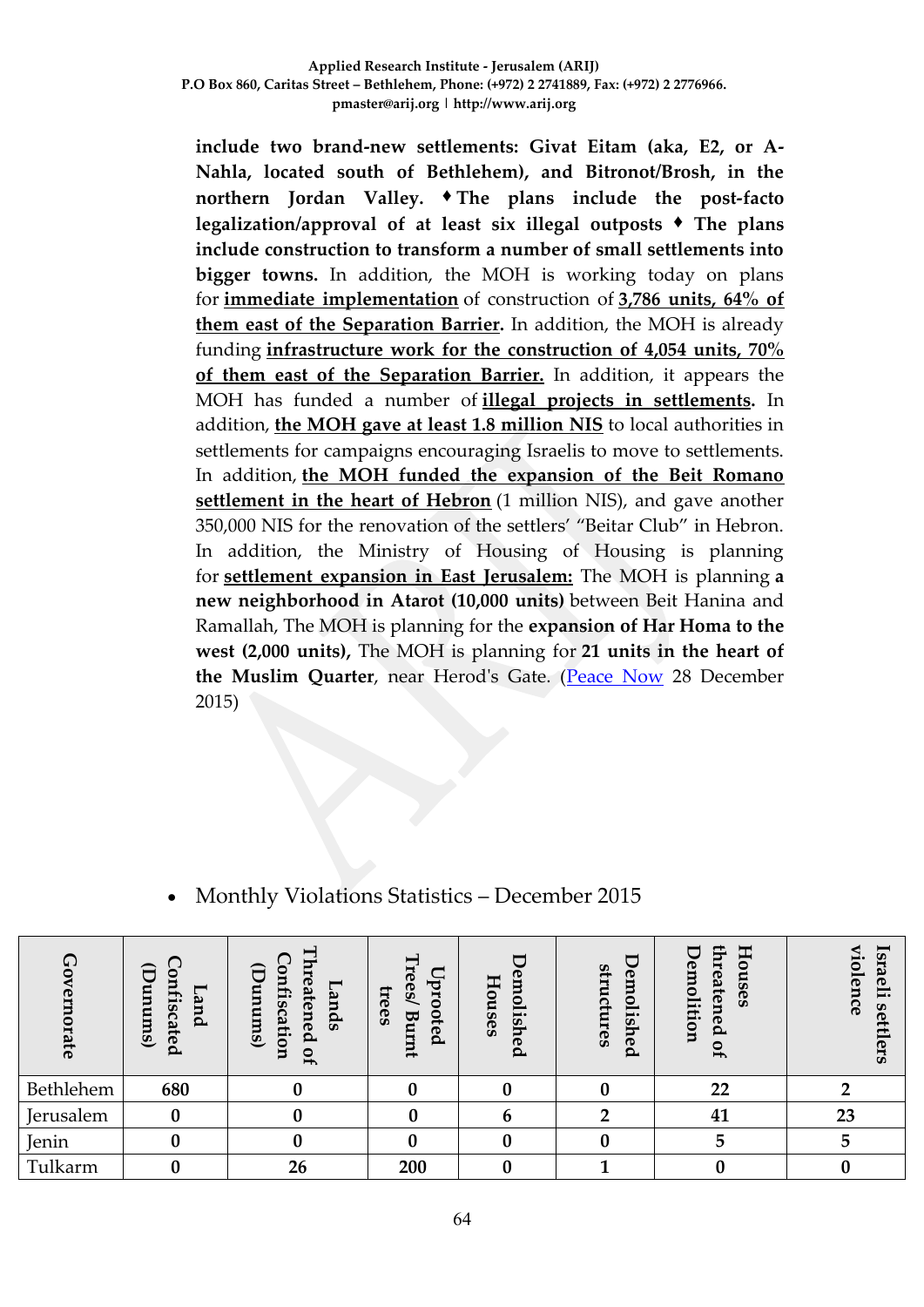**include two brand-new settlements: Givat Eitam (aka, E2, or A-Nahla, located south of Bethlehem), and Bitronot/Brosh, in the northern Jordan Valley. ♦ The plans include the post-facto legalization/approval of at least six illegal outposts ♦ The plans include construction to transform a number of small settlements into bigger towns.** In addition, the MOH is working today on plans for **immediate implementation** of construction of **3,786 units, 64% of them east of the Separation Barrier.** In addition, the MOH is already funding **infrastructure work for the construction of 4,054 units, 70% of them east of the Separation Barrier.** In addition, it appears the MOH has funded a number of **illegal projects in settlements.** In addition, **the MOH gave at least 1.8 million NIS** to local authorities in settlements for campaigns encouraging Israelis to move to settlements. In addition, **the MOH funded the expansion of the Beit Romano settlement in the heart of Hebron** (1 million NIS), and gave another 350,000 NIS for the renovation of the settlers' "Beitar Club" in Hebron. In addition, the Ministry of Housing of Housing is planning for **settlement expansion in East Jerusalem:** The MOH is planning **a new neighborhood in Atarot (10,000 units)** between Beit Hanina and Ramallah, The MOH is planning for the **expansion of Har Homa to the west (2,000 units),** The MOH is planning for **21 units in the heart of the Muslim Quarter**, near Herod's Gate. [\(Peace Now](http://peacenow.org.il/eng/MinistryofHousing) 28 December 2015)

| $\bm{\mathsf{C}}$<br>rate | $\widehat{\sigma}$<br>c<br>nfis<br>anums)<br>and<br>cated | 5<br>⊂<br>∍<br>reatened<br>mfis<br>—<br>ands<br>Ξ<br>sum)<br>cation<br>JO<br>∍ | Н<br><b>Te</b><br>Þr<br>$\mathbf{e}$<br>EE<br>≏<br><b>GS</b><br>ote<br>₩<br>trum <sup>{</sup><br>௨ | Š<br>Ho<br>olished<br>uses | structures<br>en<br>0<br>lish<br>eq | $_{\rm H}$<br>፰<br>emolition<br>eaten<br>5<br><b>GS</b><br>eq<br>o<br>$\overline{ }$ | ≺<br><b>Israeli</b><br>⊨<br>$\bullet$<br>lence<br>S<br>ര<br>ers |
|---------------------------|-----------------------------------------------------------|--------------------------------------------------------------------------------|----------------------------------------------------------------------------------------------------|----------------------------|-------------------------------------|--------------------------------------------------------------------------------------|-----------------------------------------------------------------|
| Bethlehem                 | 680                                                       |                                                                                |                                                                                                    | 0                          |                                     | 22                                                                                   |                                                                 |
| Jerusalem                 | $\mathbf{0}$                                              |                                                                                |                                                                                                    |                            | n                                   | 41                                                                                   | 23                                                              |
| Jenin                     |                                                           |                                                                                |                                                                                                    |                            |                                     |                                                                                      | 5                                                               |
| Tulkarm                   |                                                           | 26                                                                             | 200                                                                                                |                            |                                     |                                                                                      |                                                                 |

## Monthly Violations Statistics – December 2015